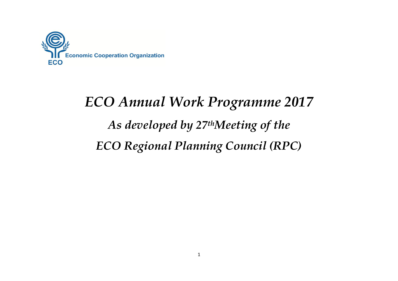

## *ECO Annual Work Programme 2017 As developed by 27thMeeting of the ECO Regional Planning Council (RPC)*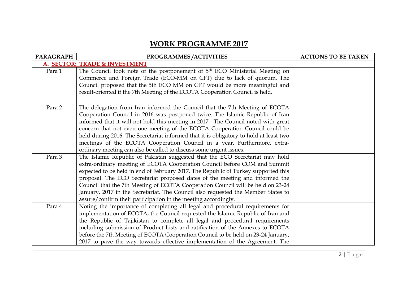## **WORK PROGRAMME 2017**

| <b>PARAGRAPH</b>              | PROGRAMMES/ACTIVITIES                                                                   | <b>ACTIONS TO BE TAKEN</b> |
|-------------------------------|-----------------------------------------------------------------------------------------|----------------------------|
| A. SECTOR: TRADE & INVESTMENT |                                                                                         |                            |
| Para 1                        | The Council took note of the postponement of 5 <sup>th</sup> ECO Ministerial Meeting on |                            |
|                               | Commerce and Foreign Trade (ECO-MM on CFT) due to lack of quorum. The                   |                            |
|                               | Council proposed that the 5th ECO MM on CFT would be more meaningful and                |                            |
|                               | result-oriented if the 7th Meeting of the ECOTA Cooperation Council is held.            |                            |
|                               |                                                                                         |                            |
| Para 2                        | The delegation from Iran informed the Council that the 7th Meeting of ECOTA             |                            |
|                               | Cooperation Council in 2016 was postponed twice. The Islamic Republic of Iran           |                            |
|                               | informed that it will not hold this meeting in 2017. The Council noted with great       |                            |
|                               | concern that not even one meeting of the ECOTA Cooperation Council could be             |                            |
|                               | held during 2016. The Secretariat informed that it is obligatory to hold at least two   |                            |
|                               | meetings of the ECOTA Cooperation Council in a year. Furthermore, extra-                |                            |
|                               | ordinary meeting can also be called to discuss some urgent issues.                      |                            |
| Para 3                        | The Islamic Republic of Pakistan suggested that the ECO Secretariat may hold            |                            |
|                               | extra-ordinary meeting of ECOTA Cooperation Council before COM and Summit               |                            |
|                               | expected to be held in end of February 2017. The Republic of Turkey supported this      |                            |
|                               | proposal. The ECO Secretariat proposed dates of the meeting and informed the            |                            |
|                               | Council that the 7th Meeting of ECOTA Cooperation Council will be held on 23-24         |                            |
|                               | January, 2017 in the Secretariat. The Council also requested the Member States to       |                            |
|                               | assure/confirm their participation in the meeting accordingly.                          |                            |
| Para 4                        | Noting the importance of completing all legal and procedural requirements for           |                            |
|                               | implementation of ECOTA, the Council requested the Islamic Republic of Iran and         |                            |
|                               | the Republic of Tajikistan to complete all legal and procedural requirements            |                            |
|                               | including submission of Product Lists and ratification of the Annexes to ECOTA          |                            |
|                               | before the 7th Meeting of ECOTA Cooperation Council to be held on 23-24 January,        |                            |
|                               | 2017 to pave the way towards effective implementation of the Agreement. The             |                            |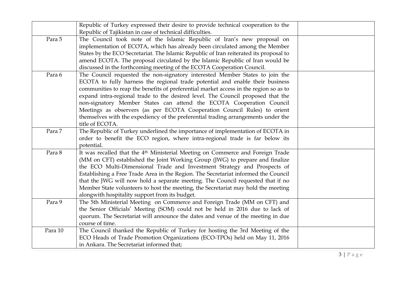|         | Republic of Turkey expressed their desire to provide technical cooperation to the<br>Republic of Tajikistan in case of technical difficulties.                                                                                                                                                                                                                                                                                                                                                                                                                                                        |  |
|---------|-------------------------------------------------------------------------------------------------------------------------------------------------------------------------------------------------------------------------------------------------------------------------------------------------------------------------------------------------------------------------------------------------------------------------------------------------------------------------------------------------------------------------------------------------------------------------------------------------------|--|
| Para 5  | The Council took note of the Islamic Republic of Iran's new proposal on<br>implementation of ECOTA, which has already been circulated among the Member<br>States by the ECO Secretariat. The Islamic Republic of Iran reiterated its proposal to<br>amend ECOTA. The proposal circulated by the Islamic Republic of Iran would be<br>discussed in the forthcoming meeting of the ECOTA Cooperation Council.                                                                                                                                                                                           |  |
| Para 6  | The Council requested the non-signatory interested Member States to join the<br>ECOTA to fully harness the regional trade potential and enable their business<br>communities to reap the benefits of preferential market access in the region so as to<br>expand intra-regional trade to the desired level. The Council proposed that the<br>non-signatory Member States can attend the ECOTA Cooperation Council<br>Meetings as observers (as per ECOTA Cooperation Council Rules) to orient<br>themselves with the expediency of the preferential trading arrangements under the<br>title of ECOTA. |  |
| Para 7  | The Republic of Turkey underlined the importance of implementation of ECOTA in<br>order to benefit the ECO region, where intra-regional trade is far below its<br>potential.                                                                                                                                                                                                                                                                                                                                                                                                                          |  |
| Para 8  | It was recalled that the 4 <sup>th</sup> Ministerial Meeting on Commerce and Foreign Trade<br>(MM on CFT) established the Joint Working Group (JWG) to prepare and finalize<br>the ECO Multi-Dimensional Trade and Investment Strategy and Prospects of<br>Establishing a Free Trade Area in the Region. The Secretariat informed the Council<br>that the JWG will now hold a separate meeting. The Council requested that if no<br>Member State volunteers to host the meeting, the Secretariat may hold the meeting<br>alongwith hospitality support from its budget.                               |  |
| Para 9  | The 5th Ministerial Meeting on Commerce and Foreign Trade (MM on CFT) and<br>the Senior Officials' Meeting (SOM) could not be held in 2016 due to lack of<br>quorum. The Secretariat will announce the dates and venue of the meeting in due<br>course of time.                                                                                                                                                                                                                                                                                                                                       |  |
| Para 10 | The Council thanked the Republic of Turkey for hosting the 3rd Meeting of the<br>ECO Heads of Trade Promotion Organizations (ECO-TPOs) held on May 11, 2016<br>in Ankara. The Secretariat informed that;                                                                                                                                                                                                                                                                                                                                                                                              |  |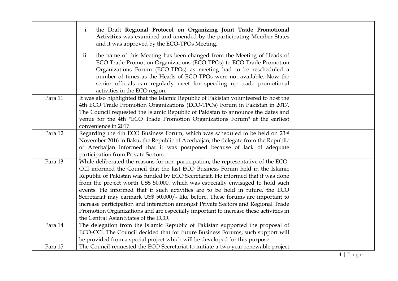|         | the Draft Regional Protocol on Organizing Joint Trade Promotional<br>i.<br>Activities was examined and amended by the participating Member States<br>and it was approved by the ECO-TPOs Meeting.                                                                                                                                                                                                                                                                                                                                                                                                                                                                                                                                     |  |
|---------|---------------------------------------------------------------------------------------------------------------------------------------------------------------------------------------------------------------------------------------------------------------------------------------------------------------------------------------------------------------------------------------------------------------------------------------------------------------------------------------------------------------------------------------------------------------------------------------------------------------------------------------------------------------------------------------------------------------------------------------|--|
|         | the name of this Meeting has been changed from the Meeting of Heads of<br>ii.<br>ECO Trade Promotion Organizations (ECO-TPOs) to ECO Trade Promotion<br>Organizations Forum (ECO-TPOs) as meeting had to be rescheduled a<br>number of times as the Heads of ECO-TPOs were not available. Now the<br>senior officials can regularly meet for speeding up trade promotional<br>activities in the ECO region.                                                                                                                                                                                                                                                                                                                           |  |
| Para 11 | It was also highlighted that the Islamic Republic of Pakistan volunteered to host the<br>4th ECO Trade Promotion Organizations (ECO-TPOs) Forum in Pakistan in 2017.<br>The Council requested the Islamic Republic of Pakistan to announce the dates and<br>venue for the 4th "ECO Trade Promotion Organizations Forum" at the earliest<br>convenience in 2017.                                                                                                                                                                                                                                                                                                                                                                       |  |
| Para 12 | Regarding the 4th ECO Business Forum, which was scheduled to be held on 23rd<br>November 2016 in Baku, the Republic of Azerbaijan, the delegate from the Republic<br>of Azerbaijan informed that it was postponed because of lack of adequate<br>participation from Private Sectors.                                                                                                                                                                                                                                                                                                                                                                                                                                                  |  |
| Para 13 | While deliberated the reasons for non-participation, the representative of the ECO-<br>CCI informed the Council that the last ECO Business Forum held in the Islamic<br>Republic of Pakistan was funded by ECO Secretariat. He informed that it was done<br>from the project worth US\$ 50,000, which was especially envisaged to hold such<br>events. He informed that if such activities are to be held in future, the ECO<br>Secretariat may earmark US\$ 50,000/- like before. These forums are important to<br>increase participation and interaction amongst Private Sectors and Regional Trade<br>Promotion Organizations and are especially important to increase these activities in<br>the Central Asian States of the ECO. |  |
| Para 14 | The delegation from the Islamic Republic of Pakistan supported the proposal of<br>ECO-CCI. The Council decided that for future Business Forums, such support will<br>be provided from a special project which will be developed for this purpose.                                                                                                                                                                                                                                                                                                                                                                                                                                                                                     |  |
| Para 15 | The Council requested the ECO Secretariat to initiate a two year renewable project                                                                                                                                                                                                                                                                                                                                                                                                                                                                                                                                                                                                                                                    |  |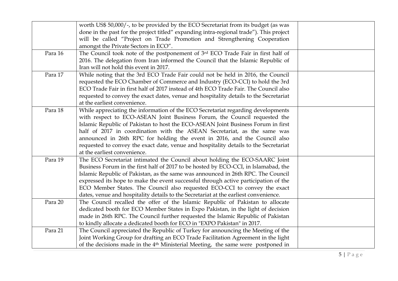|         | worth US\$ 50,000/-, to be provided by the ECO Secretariat from its budget (as was<br>done in the past for the project titled" expanding intra-regional trade"). This project<br>will be called "Project on Trade Promotion and Strengthening Cooperation<br>amongst the Private Sectors in ECO".                                                                                                                                                                                                                                  |  |
|---------|------------------------------------------------------------------------------------------------------------------------------------------------------------------------------------------------------------------------------------------------------------------------------------------------------------------------------------------------------------------------------------------------------------------------------------------------------------------------------------------------------------------------------------|--|
| Para 16 | The Council took note of the postponement of 3rd ECO Trade Fair in first half of<br>2016. The delegation from Iran informed the Council that the Islamic Republic of<br>Iran will not hold this event in 2017.                                                                                                                                                                                                                                                                                                                     |  |
| Para 17 | While noting that the 3rd ECO Trade Fair could not be held in 2016, the Council<br>requested the ECO Chamber of Commerce and Industry (ECO-CCI) to hold the 3rd<br>ECO Trade Fair in first half of 2017 instead of 4th ECO Trade Fair. The Council also<br>requested to convey the exact dates, venue and hospitality details to the Secretariat<br>at the earliest convenience.                                                                                                                                                   |  |
| Para 18 | While appreciating the information of the ECO Secretariat regarding developments<br>with respect to ECO-ASEAN Joint Business Forum, the Council requested the<br>Islamic Republic of Pakistan to host the ECO-ASEAN Joint Business Forum in first<br>half of 2017 in coordination with the ASEAN Secretariat, as the same was<br>announced in 26th RPC for holding the event in 2016, and the Council also<br>requested to convey the exact date, venue and hospitality details to the Secretariat<br>at the earliest convenience. |  |
| Para 19 | The ECO Secretariat intimated the Council about holding the ECO-SAARC Joint<br>Business Forum in the first half of 2017 to be hosted by ECO-CCI, in Islamabad, the<br>Islamic Republic of Pakistan, as the same was announced in 26th RPC. The Council<br>expressed its hope to make the event successful through active participation of the<br>ECO Member States. The Council also requested ECO-CCI to convey the exact<br>dates, venue and hospitality details to the Secretariat at the earliest convenience.                 |  |
| Para 20 | The Council recalled the offer of the Islamic Republic of Pakistan to allocate<br>dedicated booth for ECO Member States in Expo Pakistan, in the light of decision<br>made in 26th RPC. The Council further requested the Islamic Republic of Pakistan<br>to kindly allocate a dedicated booth for ECO in "EXPO Pakistan" in 2017.                                                                                                                                                                                                 |  |
| Para 21 | The Council appreciated the Republic of Turkey for announcing the Meeting of the<br>Joint Working Group for drafting an ECO Trade Facilitation Agreement in the light<br>of the decisions made in the 4 <sup>th</sup> Ministerial Meeting, the same were postponed in                                                                                                                                                                                                                                                              |  |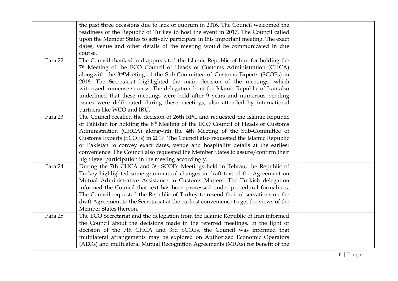|         | the past three occasions due to lack of quorum in 2016. The Council welcomed the           |  |
|---------|--------------------------------------------------------------------------------------------|--|
|         | readiness of the Republic of Turkey to host the event in 2017. The Council called          |  |
|         | upon the Member States to actively participate in this important meeting. The exact        |  |
|         | dates, venue and other details of the meeting would be communicated in due                 |  |
|         | course.                                                                                    |  |
| Para 22 | The Council thanked and appreciated the Islamic Republic of Iran for holding the           |  |
|         | 7th Meeting of the ECO Council of Heads of Customs Administration (CHCA)                   |  |
|         | alongwith the 3rdMeeting of the Sub-Committee of Customs Experts (SCOEs) in                |  |
|         | 2016. The Secretariat highlighted the main decision of the meetings, which                 |  |
|         | witnessed immense success. The delegation from the Islamic Republic of Iran also           |  |
|         | underlined that these meetings were held after 9 years and numerous pending                |  |
|         | issues were deliberated during these meetings, also attended by international              |  |
|         | partners like WCO and IRU.                                                                 |  |
| Para 23 | The Council recalled the decision of 26th RPC and requested the Islamic Republic           |  |
|         | of Pakistan for holding the 8 <sup>th</sup> Meeting of the ECO Council of Heads of Customs |  |
|         | Administration (CHCA) alongwith the 4th Meeting of the Sub-Committee of                    |  |
|         | Customs Experts (SCOEs) in 2017. The Council also requested the Islamic Republic           |  |
|         | of Pakistan to convey exact dates, venue and hospitality details at the earliest           |  |
|         | convenience. The Council also requested the Member States to assure/confirm their          |  |
|         | high level participation in the meeting accordingly.                                       |  |
| Para 24 | During the 7th CHCA and 3rd SCOEs Meetings held in Tehran, the Republic of                 |  |
|         | Turkey highlighted some grammatical changes in draft text of the Agreement on              |  |
|         | Mutual Administrative Assistance in Customs Matters. The Turkish delegation                |  |
|         | informed the Council that text has been processed under procedural formalities.            |  |
|         | The Council requested the Republic of Turkey to resend their observations on the           |  |
|         | draft Agreement to the Secretariat at the earliest convenience to get the views of the     |  |
|         | Member States thereon.                                                                     |  |
| Para 25 | The ECO Secretariat and the delegation from the Islamic Republic of Iran informed          |  |
|         | the Council about the decisions made in the referred meetings. In the light of             |  |
|         | decision of the 7th CHCA and 3rd SCOEs, the Council was informed that                      |  |
|         | multilateral arrangements may be explored on Authorized Economic Operators                 |  |
|         | (AEOs) and multilateral Mutual Recognition Agreements (MRAs) for benefit of the            |  |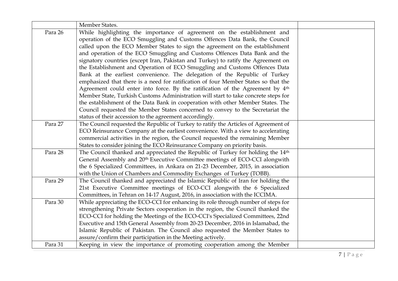|         | Member States.                                                                              |  |
|---------|---------------------------------------------------------------------------------------------|--|
| Para 26 | While highlighting the importance of agreement on the establishment and                     |  |
|         | operation of the ECO Smuggling and Customs Offences Data Bank, the Council                  |  |
|         | called upon the ECO Member States to sign the agreement on the establishment                |  |
|         | and operation of the ECO Smuggling and Customs Offences Data Bank and the                   |  |
|         | signatory countries (except Iran, Pakistan and Turkey) to ratify the Agreement on           |  |
|         | the Establishment and Operation of ECO Smuggling and Customs Offences Data                  |  |
|         | Bank at the earliest convenience. The delegation of the Republic of Turkey                  |  |
|         | emphasized that there is a need for ratification of four Member States so that the          |  |
|         | Agreement could enter into force. By the ratification of the Agreement by 4 <sup>th</sup>   |  |
|         | Member State, Turkish Customs Administration will start to take concrete steps for          |  |
|         | the establishment of the Data Bank in cooperation with other Member States. The             |  |
|         | Council requested the Member States concerned to convey to the Secretariat the              |  |
|         | status of their accession to the agreement accordingly.                                     |  |
| Para 27 | The Council requested the Republic of Turkey to ratify the Articles of Agreement of         |  |
|         | ECO Reinsurance Company at the earliest convenience. With a view to accelerating            |  |
|         | commercial activities in the region, the Council requested the remaining Member             |  |
|         | States to consider joining the ECO Reinsurance Company on priority basis.                   |  |
| Para 28 | The Council thanked and appreciated the Republic of Turkey for holding the 14 <sup>th</sup> |  |
|         | General Assembly and 20 <sup>th</sup> Executive Committee meetings of ECO-CCI alongwith     |  |
|         | the 6 Specialized Committees, in Ankara on 21-23 December, 2015, in association             |  |
|         | with the Union of Chambers and Commodity Exchanges of Turkey (TOBB).                        |  |
| Para 29 | The Council thanked and appreciated the Islamic Republic of Iran for holding the            |  |
|         | 21st Executive Committee meetings of ECO-CCI alongwith the 6 Specialized                    |  |
|         | Committees, in Tehran on 14-17 August, 2016, in association with the ICCIMA.                |  |
| Para 30 | While appreciating the ECO-CCI for enhancing its role through number of steps for           |  |
|         | strengthening Private Sectors cooperation in the region, the Council thanked the            |  |
|         | ECO-CCI for holding the Meetings of the ECO-CCI's Specialized Committees, 22nd              |  |
|         | Executive and 15th General Assembly from 20-23 December, 2016 in Islamabad, the             |  |
|         | Islamic Republic of Pakistan. The Council also requested the Member States to               |  |
|         | assure/confirm their participation in the Meeting actively.                                 |  |
| Para 31 | Keeping in view the importance of promoting cooperation among the Member                    |  |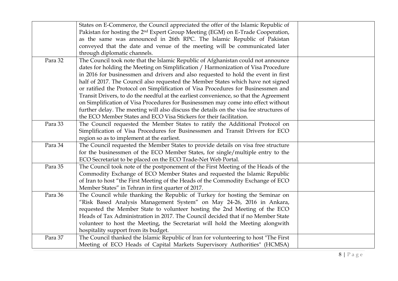|         | States on E-Commerce, the Council appreciated the offer of the Islamic Republic of          |  |
|---------|---------------------------------------------------------------------------------------------|--|
|         | Pakistan for hosting the 2 <sup>nd</sup> Expert Group Meeting (EGM) on E-Trade Cooperation, |  |
|         | as the same was announced in 26th RPC. The Islamic Republic of Pakistan                     |  |
|         | conveyed that the date and venue of the meeting will be communicated later                  |  |
|         | through diplomatic channels.                                                                |  |
| Para 32 | The Council took note that the Islamic Republic of Afghanistan could not announce           |  |
|         | dates for holding the Meeting on Simplification / Harmonization of Visa Procedure           |  |
|         | in 2016 for businessmen and drivers and also requested to hold the event in first           |  |
|         | half of 2017. The Council also requested the Member States which have not signed            |  |
|         | or ratified the Protocol on Simplification of Visa Procedures for Businessmen and           |  |
|         | Transit Drivers, to do the needful at the earliest convenience, so that the Agreement       |  |
|         | on Simplification of Visa Procedures for Businessmen may come into effect without           |  |
|         | further delay. The meeting will also discuss the details on the visa fee structures of      |  |
|         | the ECO Member States and ECO Visa Stickers for their facilitation.                         |  |
| Para 33 | The Council requested the Member States to ratify the Additional Protocol on                |  |
|         | Simplification of Visa Procedures for Businessmen and Transit Drivers for ECO               |  |
|         | region so as to implement at the earliest.                                                  |  |
| Para 34 | The Council requested the Member States to provide details on visa free structure           |  |
|         | for the businessmen of the ECO Member States, for single/multiple entry to the              |  |
|         | ECO Secretariat to be placed on the ECO Trade-Net Web Portal.                               |  |
| Para 35 | The Council took note of the postponement of the First Meeting of the Heads of the          |  |
|         | Commodity Exchange of ECO Member States and requested the Islamic Republic                  |  |
|         | of Iran to host "the First Meeting of the Heads of the Commodity Exchange of ECO            |  |
|         | Member States" in Tehran in first quarter of 2017.                                          |  |
| Para 36 | The Council while thanking the Republic of Turkey for hosting the Seminar on                |  |
|         | "Risk Based Analysis Management System" on May 24-26, 2016 in Ankara,                       |  |
|         | requested the Member State to volunteer hosting the 2nd Meeting of the ECO                  |  |
|         | Heads of Tax Administration in 2017. The Council decided that if no Member State            |  |
|         | volunteer to host the Meeting, the Secretariat will hold the Meeting alongwith              |  |
|         | hospitality support from its budget.                                                        |  |
| Para 37 | The Council thanked the Islamic Republic of Iran for volunteering to host "The First        |  |
|         | Meeting of ECO Heads of Capital Markets Supervisory Authorities" (HCMSA)                    |  |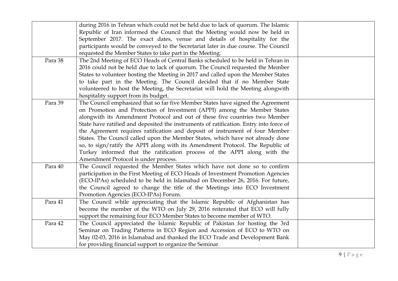|         | during 2016 in Tehran which could not be held due to lack of quorum. The Islamic       |  |
|---------|----------------------------------------------------------------------------------------|--|
|         | Republic of Iran informed the Council that the Meeting would now be held in            |  |
|         | September 2017. The exact dates, venue and details of hospitality for the              |  |
|         | participants would be conveyed to the Secretariat later in due course. The Council     |  |
|         | requested the Member States to take part in the Meeting.                               |  |
| Para 38 | The 2nd Meeting of ECO Heads of Central Banks scheduled to be held in Tehran in        |  |
|         | 2016 could not be held due to lack of quorum. The Council requested the Member         |  |
|         | States to volunteer hosting the Meeting in 2017 and called upon the Member States      |  |
|         | to take part in the Meeting. The Council decided that if no Member State               |  |
|         | volunteered to host the Meeting, the Secretariat will hold the Meeting alongwith       |  |
|         | hospitality support from its budget.                                                   |  |
| Para 39 | The Council emphasized that so far five Member States have signed the Agreement        |  |
|         | on Promotion and Protection of Investment (APPI) among the Member States               |  |
|         | alongwith its Amendment Protocol and out of these five countries two Member            |  |
|         | State have ratified and deposited the instruments of ratification. Entry into force of |  |
|         | the Agreement requires ratification and deposit of instrument of four Member           |  |
|         | States. The Council called upon the Member States, which have not already done         |  |
|         | so, to sign/ratify the APPI along with its Amendment Protocol. The Republic of         |  |
|         | Turkey informed that the ratification process of the APPI along with the               |  |
|         | Amendment Protocol is under process.                                                   |  |
| Para 40 | The Council requested the Member States which have not done so to confirm              |  |
|         | participation in the First Meeting of ECO Heads of Investment Promotion Agencies       |  |
|         | (ECO-IPAs) scheduled to be held in Islamabad on December 26, 2016. For future,         |  |
|         | the Council agreed to change the title of the Meetings into ECO Investment             |  |
|         | Promotion Agencies (ECO-IPAs) Forum.                                                   |  |
| Para 41 | The Council while appreciating that the Islamic Republic of Afghanistan has            |  |
|         | become the member of the WTO on July 29, 2016 reiterated that ECO will fully           |  |
|         | support the remaining four ECO Member States to become member of WTO.                  |  |
| Para 42 | The Council appreciated the Islamic Republic of Pakistan for hosting the 3rd           |  |
|         | Seminar on Trading Patterns in ECO Region and Accession of ECO to WTO on               |  |
|         | May 02-03, 2016 in Islamabad and thanked the ECO Trade and Development Bank            |  |
|         | for providing financial support to organize the Seminar.                               |  |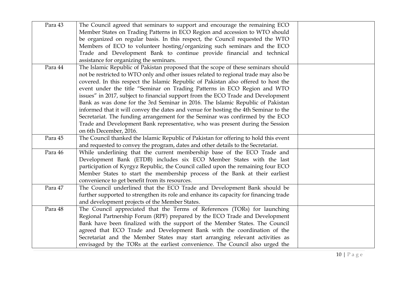| Para 43 | The Council agreed that seminars to support and encourage the remaining ECO<br>Member States on Trading Patterns in ECO Region and accession to WTO should |  |
|---------|------------------------------------------------------------------------------------------------------------------------------------------------------------|--|
|         | be organized on regular basis. In this respect, the Council requested the WTO                                                                              |  |
|         | Members of ECO to volunteer hosting/organizing such seminars and the ECO                                                                                   |  |
|         | Trade and Development Bank to continue provide financial and technical                                                                                     |  |
|         | assistance for organizing the seminars.                                                                                                                    |  |
| Para 44 | The Islamic Republic of Pakistan proposed that the scope of these seminars should                                                                          |  |
|         | not be restricted to WTO only and other issues related to regional trade may also be                                                                       |  |
|         | covered. In this respect the Islamic Republic of Pakistan also offered to host the                                                                         |  |
|         | event under the title "Seminar on Trading Patterns in ECO Region and WTO                                                                                   |  |
|         | issues" in 2017, subject to financial support from the ECO Trade and Development                                                                           |  |
|         | Bank as was done for the 3rd Seminar in 2016. The Islamic Republic of Pakistan                                                                             |  |
|         | informed that it will convey the dates and venue for hosting the 4th Seminar to the                                                                        |  |
|         | Secretariat. The funding arrangement for the Seminar was confirmed by the ECO                                                                              |  |
|         | Trade and Development Bank representative, who was present during the Session                                                                              |  |
|         | on 6th December, 2016.                                                                                                                                     |  |
| Para 45 | The Council thanked the Islamic Republic of Pakistan for offering to hold this event                                                                       |  |
|         | and requested to convey the program, dates and other details to the Secretariat.                                                                           |  |
| Para 46 | While underlining that the current membership base of the ECO Trade and                                                                                    |  |
|         | Development Bank (ETDB) includes six ECO Member States with the last                                                                                       |  |
|         | participation of Kyrgyz Republic, the Council called upon the remaining four ECO                                                                           |  |
|         | Member States to start the membership process of the Bank at their earliest                                                                                |  |
|         | convenience to get benefit from its resources.                                                                                                             |  |
| Para 47 | The Council underlined that the ECO Trade and Development Bank should be                                                                                   |  |
|         | further supported to strengthen its role and enhance its capacity for financing trade                                                                      |  |
|         | and development projects of the Member States.                                                                                                             |  |
| Para 48 | The Council appreciated that the Terms of References (TORs) for launching                                                                                  |  |
|         | Regional Partnership Forum (RPF) prepared by the ECO Trade and Development                                                                                 |  |
|         | Bank have been finalized with the support of the Member States. The Council                                                                                |  |
|         | agreed that ECO Trade and Development Bank with the coordination of the                                                                                    |  |
|         | Secretariat and the Member States may start arranging relevant activities as                                                                               |  |
|         | envisaged by the TORs at the earliest convenience. The Council also urged the                                                                              |  |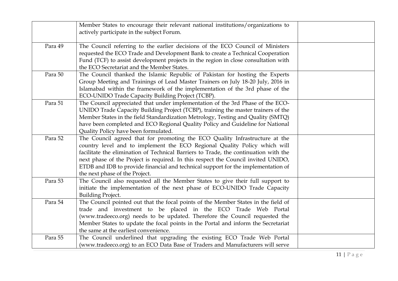|         | Member States to encourage their relevant national institutions/organizations to<br>actively participate in the subject Forum.                                                                                                                                                                                                                                                                                                                               |  |
|---------|--------------------------------------------------------------------------------------------------------------------------------------------------------------------------------------------------------------------------------------------------------------------------------------------------------------------------------------------------------------------------------------------------------------------------------------------------------------|--|
| Para 49 | The Council referring to the earlier decisions of the ECO Council of Ministers<br>requested the ECO Trade and Development Bank to create a Technical Cooperation<br>Fund (TCF) to assist development projects in the region in close consultation with<br>the ECO Secretariat and the Member States.                                                                                                                                                         |  |
| Para 50 | The Council thanked the Islamic Republic of Pakistan for hosting the Experts<br>Group Meeting and Trainings of Lead Master Trainers on July 18-20 July, 2016 in<br>Islamabad within the framework of the implementation of the 3rd phase of the<br>ECO-UNIDO Trade Capacity Building Project (TCBP).                                                                                                                                                         |  |
| Para 51 | The Council appreciated that under implementation of the 3rd Phase of the ECO-<br>UNIDO Trade Capacity Building Project (TCBP), training the master trainers of the<br>Member States in the field Standardization Metrology, Testing and Quality (SMTQ)<br>have been completed and ECO Regional Quality Policy and Guideline for National<br>Quality Policy have been formulated.                                                                            |  |
| Para 52 | The Council agreed that for promoting the ECO Quality Infrastructure at the<br>country level and to implement the ECO Regional Quality Policy which will<br>facilitate the elimination of Technical Barriers to Trade, the continuation with the<br>next phase of the Project is required. In this respect the Council invited UNIDO,<br>ETDB and IDB to provide financial and technical support for the implementation of<br>the next phase of the Project. |  |
| Para 53 | The Council also requested all the Member States to give their full support to<br>initiate the implementation of the next phase of ECO-UNIDO Trade Capacity<br><b>Building Project.</b>                                                                                                                                                                                                                                                                      |  |
| Para 54 | The Council pointed out that the focal points of the Member States in the field of<br>trade and investment to be placed in the ECO Trade Web Portal<br>(www.tradeeco.org) needs to be updated. Therefore the Council requested the<br>Member States to update the focal points in the Portal and inform the Secretariat<br>the same at the earliest convenience.                                                                                             |  |
| Para 55 | The Council underlined that upgrading the existing ECO Trade Web Portal<br>(www.tradeeco.org) to an ECO Data Base of Traders and Manufacturers will serve                                                                                                                                                                                                                                                                                                    |  |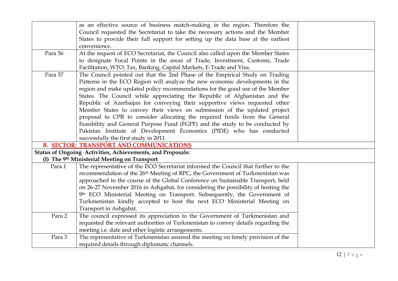|         | as an effective source of business match-making in the region. Therefore the              |  |
|---------|-------------------------------------------------------------------------------------------|--|
|         | Council requested the Secretariat to take the necessary actions and the Member            |  |
|         | States to provide their full support for setting up the data base at the earliest         |  |
|         | convenience.                                                                              |  |
| Para 56 | At the request of ECO Secretariat, the Council also called upon the Member States         |  |
|         | to designate Focal Points in the areas of Trade, Investment, Customs, Trade               |  |
|         | Facilitation, WTO, Tax, Banking, Capital Markets, E-Trade and Visa.                       |  |
| Para 57 | The Council pointed out that the 2nd Phase of the Empirical Study on Trading              |  |
|         | Patterns in the ECO Region will analyze the new economic developments in the              |  |
|         | region and make updated policy recommendations for the good use of the Member             |  |
|         | States. The Council while appreciating the Republic of Afghanistan and the                |  |
|         | Republic of Azerbaijan for conveying their supportive views requested other               |  |
|         | Member States to convey their views on submission of the updated project                  |  |
|         | proposal to CPR to consider allocating the required funds from the General                |  |
|         | Feasibility and General Purpose Fund (FGPF) and the study to be conducted by              |  |
|         | Pakistan Institute of Development Economics (PIDE) who has conducted                      |  |
|         | successfully the first study in 2011.                                                     |  |
|         | <b>B. SECTOR: TRANSPORT AND COMMUNICATIONS</b>                                            |  |
|         | Status of Ongoing Activities, Achievements, and Proposals:                                |  |
|         | (I) The 9th Ministerial Meeting on Transport                                              |  |
| Para 1  | The representative of the ECO Secretariat informed the Council that further to the        |  |
|         | recommendation of the 26 <sup>th</sup> Meeting of RPC, the Government of Turkmenistan was |  |
|         | approached in the course of the Global Conference on Sustainable Transport, held          |  |
|         | on 26-27 November 2016 in Ashgabat, for considering the possibility of hosting the        |  |
|         | 9th ECO Ministerial Meeting on Transport. Subsequently, the Government of                 |  |
|         | Turkmenistan kindly accepted to host the next ECO Ministerial Meeting on                  |  |
|         | Transport in Ashgabat.                                                                    |  |
| Para 2  | The council expressed its appreciation to the Government of Turkmenistan and              |  |
|         | requested the relevant authorities of Turkmenistan to convey details regarding the        |  |
|         | meeting i.e. date and other logistic arrangements.                                        |  |
| Para 3  | The representative of Turkmenistan assured the meeting on timely provision of the         |  |
|         | required details through diplomatic channels.                                             |  |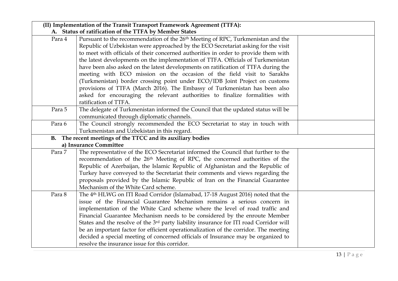|        | (II) Implementation of the Transit Transport Framework Agreement (TTFA):                                                                                                                                                                                                                                                                                                                                                                                                                                                                                                                                                                                                                                                                                                                                                           |  |
|--------|------------------------------------------------------------------------------------------------------------------------------------------------------------------------------------------------------------------------------------------------------------------------------------------------------------------------------------------------------------------------------------------------------------------------------------------------------------------------------------------------------------------------------------------------------------------------------------------------------------------------------------------------------------------------------------------------------------------------------------------------------------------------------------------------------------------------------------|--|
| Para 4 | A. Status of ratification of the TTFA by Member States<br>Pursuant to the recommendation of the 26 <sup>th</sup> Meeting of RPC, Turkmenistan and the<br>Republic of Uzbekistan were approached by the ECO Secretariat asking for the visit<br>to meet with officials of their concerned authorities in order to provide them with<br>the latest developments on the implementation of TTFA. Officials of Turkmenistan<br>have been also asked on the latest developments on ratification of TTFA during the<br>meeting with ECO mission on the occasion of the field visit to Sarakhs<br>(Turkmenistan) border crossing point under ECO/IDB Joint Project on customs<br>provisions of TTFA (March 2016). The Embassy of Turkmenistan has been also<br>asked for encouraging the relevant authorities to finalize formalities with |  |
| Para 5 | ratification of TTFA.<br>The delegate of Turkmenistan informed the Council that the updated status will be<br>communicated through diplomatic channels.                                                                                                                                                                                                                                                                                                                                                                                                                                                                                                                                                                                                                                                                            |  |
| Para 6 | The Council strongly recommended the ECO Secretariat to stay in touch with<br>Turkmenistan and Uzbekistan in this regard.                                                                                                                                                                                                                                                                                                                                                                                                                                                                                                                                                                                                                                                                                                          |  |
|        | B. The recent meetings of the TTCC and its auxiliary bodies<br>a) Insurance Committee                                                                                                                                                                                                                                                                                                                                                                                                                                                                                                                                                                                                                                                                                                                                              |  |
| Para 7 | The representative of the ECO Secretariat informed the Council that further to the<br>recommendation of the 26th Meeting of RPC, the concerned authorities of the<br>Republic of Azerbaijan, the Islamic Republic of Afghanistan and the Republic of<br>Turkey have conveyed to the Secretariat their comments and views regarding the<br>proposals provided by the Islamic Republic of Iran on the Financial Guarantee<br>Mechanism of the White Card scheme.                                                                                                                                                                                                                                                                                                                                                                     |  |
| Para 8 | The 4 <sup>th</sup> HLWG on ITI Road Corridor (Islamabad, 17-18 August 2016) noted that the<br>issue of the Financial Guarantee Mechanism remains a serious concern in<br>implementation of the White Card scheme where the level of road traffic and<br>Financial Guarantee Mechanism needs to be considered by the enroute Member<br>States and the resolve of the 3 <sup>rd</sup> party liability insurance for ITI road Corridor will<br>be an important factor for efficient operationalization of the corridor. The meeting<br>decided a special meeting of concerned officials of Insurance may be organized to<br>resolve the insurance issue for this corridor.                                                                                                                                                           |  |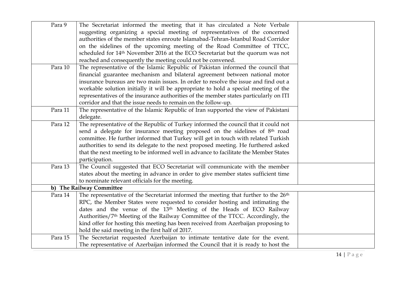| Para 9  | The Secretariat informed the meeting that it has circulated a Note Verbale                      |  |
|---------|-------------------------------------------------------------------------------------------------|--|
|         | suggesting organizing a special meeting of representatives of the concerned                     |  |
|         | authorities of the member states enroute Islamabad-Tehran-Istanbul Road Corridor                |  |
|         | on the sidelines of the upcoming meeting of the Road Committee of TTCC,                         |  |
|         | scheduled for 14 <sup>th</sup> November 2016 at the ECO Secretariat but the quorum was not      |  |
|         | reached and consequently the meeting could not be convened.                                     |  |
| Para 10 | The representative of the Islamic Republic of Pakistan informed the council that                |  |
|         | financial guarantee mechanism and bilateral agreement between national motor                    |  |
|         | insurance bureaus are two main issues. In order to resolve the issue and find out a             |  |
|         | workable solution initially it will be appropriate to hold a special meeting of the             |  |
|         | representatives of the insurance authorities of the member states particularly on ITI           |  |
|         | corridor and that the issue needs to remain on the follow-up.                                   |  |
| Para 11 | The representative of the Islamic Republic of Iran supported the view of Pakistani              |  |
|         | delegate.                                                                                       |  |
| Para 12 | The representative of the Republic of Turkey informed the council that it could not             |  |
|         | send a delegate for insurance meeting proposed on the sidelines of 8 <sup>th</sup> road         |  |
|         | committee. He further informed that Turkey will get in touch with related Turkish               |  |
|         | authorities to send its delegate to the next proposed meeting. He furthered asked               |  |
|         | that the next meeting to be informed well in advance to facilitate the Member States            |  |
|         | participation.                                                                                  |  |
| Para 13 | The Council suggested that ECO Secretariat will communicate with the member                     |  |
|         | states about the meeting in advance in order to give member states sufficient time              |  |
|         | to nominate relevant officials for the meeting.                                                 |  |
|         | b) The Railway Committee                                                                        |  |
| Para 14 | The representative of the Secretariat informed the meeting that further to the 26 <sup>th</sup> |  |
|         | RPC, the Member States were requested to consider hosting and intimating the                    |  |
|         | dates and the venue of the 13 <sup>th</sup> Meeting of the Heads of ECO Railway                 |  |
|         | Authorities/7 <sup>th</sup> Meeting of the Railway Committee of the TTCC. Accordingly, the      |  |
|         | kind offer for hosting this meeting has been received from Azerbaijan proposing to              |  |
|         | hold the said meeting in the first half of 2017.                                                |  |
| Para 15 | The Secretariat requested Azerbaijan to intimate tentative date for the event.                  |  |
|         | The representative of Azerbaijan informed the Council that it is ready to host the              |  |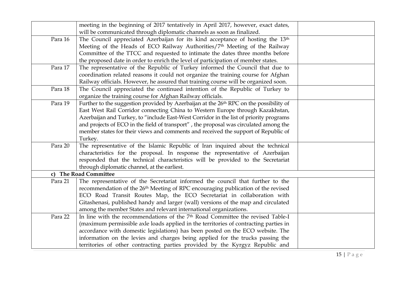|         | meeting in the beginning of 2017 tentatively in April 2017, however, exact dates,            |  |
|---------|----------------------------------------------------------------------------------------------|--|
|         | will be communicated through diplomatic channels as soon as finalized.                       |  |
| Para 16 | The Council appreciated Azerbaijan for its kind acceptance of hosting the 13th               |  |
|         | Meeting of the Heads of ECO Railway Authorities/7 <sup>th</sup> Meeting of the Railway       |  |
|         | Committee of the TTCC and requested to intimate the dates three months before                |  |
|         | the proposed date in order to enrich the level of participation of member states.            |  |
| Para 17 | The representative of the Republic of Turkey informed the Council that due to                |  |
|         | coordination related reasons it could not organize the training course for Afghan            |  |
|         | Railway officials. However, he assured that training course will be organized soon.          |  |
| Para 18 | The Council appreciated the continued intention of the Republic of Turkey to                 |  |
|         | organize the training course for Afghan Railway officials.                                   |  |
| Para 19 | Further to the suggestion provided by Azerbaijan at the 26th RPC on the possibility of       |  |
|         | East West Rail Corridor connecting China to Western Europe through Kazakhstan,               |  |
|         | Azerbaijan and Turkey, to "include East-West Corridor in the list of priority programs       |  |
|         | and projects of ECO in the field of transport", the proposal was circulated among the        |  |
|         | member states for their views and comments and received the support of Republic of           |  |
|         | Turkey.                                                                                      |  |
| Para 20 | The representative of the Islamic Republic of Iran inquired about the technical              |  |
|         | characteristics for the proposal. In response the representative of Azerbaijan               |  |
|         | responded that the technical characteristics will be provided to the Secretariat             |  |
|         | through diplomatic channel, at the earliest.                                                 |  |
|         | c) The Road Committee                                                                        |  |
| Para 21 | The representative of the Secretariat informed the council that further to the               |  |
|         | recommendation of the 26 <sup>th</sup> Meeting of RPC encouraging publication of the revised |  |
|         | ECO Road Transit Routes Map, the ECO Secretariat in collaboration with                       |  |
|         | Gitashenasi, published handy and larger (wall) versions of the map and circulated            |  |
|         | among the member States and relevant international organizations.                            |  |
| Para 22 | In line with the recommendations of the 7 <sup>th</sup> Road Committee the revised Table-I   |  |
|         | (maximum permissible axle loads applied in the territories of contracting parties in         |  |
|         | accordance with domestic legislations) has been posted on the ECO website. The               |  |
|         | information on the levies and charges being applied for the trucks passing the               |  |
|         | territories of other contracting parties provided by the Kyrgyz Republic and                 |  |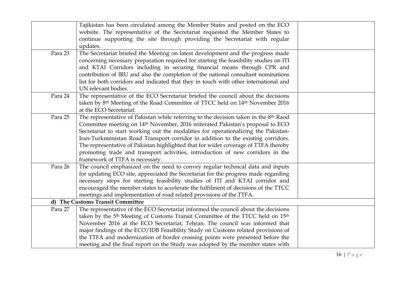|         | Tajikistan has been circulated among the Member States and posted on the ECO                           |  |
|---------|--------------------------------------------------------------------------------------------------------|--|
|         | website. The representative of the Secretariat requested the Member States to                          |  |
|         | continue supporting the site through providing the Secretariat with regular                            |  |
|         | updates.                                                                                               |  |
| Para 23 | The Secretariat briefed the Meeting on latest development and the progress made                        |  |
|         | concerning necessary preparation required for starting the feasibility studies on ITI                  |  |
|         | and KTAI Corridors including in securing financial means through CPR and                               |  |
|         | contribution of IRU and also the completion of the national consultant nominations                     |  |
|         | list for both corridors and indicated that they in touch with other international and                  |  |
|         | UN relevant bodies.                                                                                    |  |
| Para 24 | The representative of the ECO Secretariat briefed the council about the decisions                      |  |
|         | taken by 8 <sup>th</sup> Meeting of the Road Committee of TTCC held on 14 <sup>th</sup> November 2016  |  |
|         | at the ECO Secretariat.                                                                                |  |
| Para 25 | The representative of Pakistan while referring to the decision taken in the 8th Raod                   |  |
|         | Committee meeting on 14 <sup>th</sup> November, 2016 reiterated Pakistan's proposal to ECO             |  |
|         | Secretariat to start working out the modalities for operationalizing the Pakistan-                     |  |
|         | Iran-Turkmenistan Road Transport corridor in addition to the existing corridors.                       |  |
|         | The representative of Pakistan highlighted that for wider coverage of TTFA thereby                     |  |
|         | promoting trade and transport activities, introduction of new corridors in the                         |  |
|         | framework of TTFA is necessary.                                                                        |  |
| Para 26 | The council emphasized on the need to convey regular technical data and inputs                         |  |
|         | for updating ECO site, appreciated the Secretariat for the progress made regarding                     |  |
|         | necessary steps for starting feasibility studies of ITI and KTAI corridor and                          |  |
|         | encouraged the member states to accelerate the fulfilment of decisions of the TTCC                     |  |
|         | meetings and implementation of road related provisions of the TTFA.                                    |  |
|         | d) The Customs Transit Committee                                                                       |  |
| Para 27 | The representative of the ECO Secretariat informed the council about the decisions                     |  |
|         | taken by the 5 <sup>th</sup> Meeting of Customs Transit Committee of the TTCC held on 15 <sup>th</sup> |  |
|         | November 2016 at the ECO Secretariat, Tehran. The council was informed that                            |  |
|         | major findings of the ECO/IDB Feasibility Study on Customs related provisions of                       |  |
|         | the TTFA and modernization of border crossing points were presented before the                         |  |
|         | meeting and the final report on the Study was adopted by the member states with                        |  |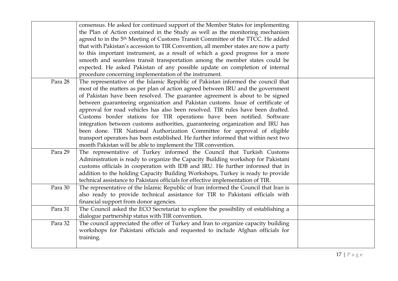|         | consensus. He asked for continued support of the Member States for implementing             |  |
|---------|---------------------------------------------------------------------------------------------|--|
|         | the Plan of Action contained in the Study as well as the monitoring mechanism               |  |
|         | agreed to in the 5 <sup>th</sup> Meeting of Customs Transit Committee of the TTCC. He added |  |
|         | that with Pakistan's accession to TIR Convention, all member states are now a party         |  |
|         | to this important instrument, as a result of which a good progress for a more               |  |
|         | smooth and seamless transit transportation among the member states could be                 |  |
|         | expected. He asked Pakistan of any possible update on completion of internal                |  |
|         | procedure concerning implementation of the instrument.                                      |  |
| Para 28 | The representative of the Islamic Republic of Pakistan informed the council that            |  |
|         | most of the matters as per plan of action agreed between IRU and the government             |  |
|         | of Pakistan have been resolved. The guarantee agreement is about to be signed               |  |
|         | between guaranteeing organization and Pakistan customs. Issue of certificate of             |  |
|         | approval for road vehicles has also been resolved. TIR rules have been drafted.             |  |
|         | Customs border stations for TIR operations have been notified. Software                     |  |
|         | integration between customs authorities, guaranteeing organization and IRU has              |  |
|         | been done. TIR National Authorization Committee for approval of eligible                    |  |
|         | transport operators has been established. He further informed that within next two          |  |
|         | month Pakistan will be able to implement the TIR convention.                                |  |
| Para 29 | The representative of Turkey informed the Council that Turkish Customs                      |  |
|         | Administration is ready to organize the Capacity Building workshop for Pakistani            |  |
|         | customs officials in cooperation with IDB and IRU. He further informed that in              |  |
|         | addition to the holding Capacity Building Workshops, Turkey is ready to provide             |  |
|         | technical assistance to Pakistani officials for effective implementation of TIR.            |  |
| Para 30 | The representative of the Islamic Republic of Iran informed the Council that Iran is        |  |
|         | also ready to provide technical assistance for TIR to Pakistani officials with              |  |
|         | financial support from donor agencies.                                                      |  |
| Para 31 | The Council asked the ECO Secretariat to explore the possibility of establishing a          |  |
|         | dialogue partnership status with TIR convention.                                            |  |
| Para 32 | The council appreciated the offer of Turkey and Iran to organize capacity building          |  |
|         | workshops for Pakistani officials and requested to include Afghan officials for             |  |
|         | training.                                                                                   |  |
|         |                                                                                             |  |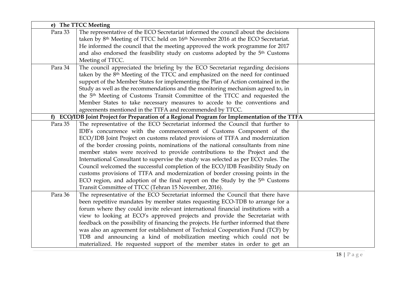|         | e) The TTCC Meeting                                                                                     |
|---------|---------------------------------------------------------------------------------------------------------|
| Para 33 | The representative of the ECO Secretariat informed the council about the decisions                      |
|         | taken by 8 <sup>th</sup> Meeting of TTCC held on 16 <sup>th</sup> November 2016 at the ECO Secretariat. |
|         | He informed the council that the meeting approved the work programme for 2017                           |
|         | and also endorsed the feasibility study on customs adopted by the 5 <sup>th</sup> Customs               |
|         | Meeting of TTCC.                                                                                        |
| Para 34 | The council appreciated the briefing by the ECO Secretariat regarding decisions                         |
|         | taken by the 8 <sup>th</sup> Meeting of the TTCC and emphasized on the need for continued               |
|         | support of the Member States for implementing the Plan of Action contained in the                       |
|         | Study as well as the recommendations and the monitoring mechanism agreed to, in                         |
|         | the 5 <sup>th</sup> Meeting of Customs Transit Committee of the TTCC and requested the                  |
|         | Member States to take necessary measures to accede to the conventions and                               |
|         | agreements mentioned in the TTFA and recommended by TTCC.                                               |
|         | f) ECO/IDB Joint Project for Preparation of a Regional Program for Implementation of the TTFA           |
| Para 35 | The representative of the ECO Secretariat informed the Council that further to                          |
|         | IDB's concurrence with the commencement of Customs Component of the                                     |
|         | ECO/IDB Joint Project on customs related provisions of TTFA and modernization                           |
|         | of the border crossing points, nominations of the national consultants from nine                        |
|         | member states were received to provide contributions to the Project and the                             |
|         | International Consultant to supervise the study was selected as per ECO rules. The                      |
|         | Council welcomed the successful completion of the ECO/IDB Feasibility Study on                          |
|         | customs provisions of TTFA and modernization of border crossing points in the                           |
|         | ECO region, and adoption of the final report on the Study by the 5 <sup>th</sup> Customs                |
|         | Transit Committee of TTCC (Tehran 15 November, 2016).                                                   |
| Para 36 | The representative of the ECO Secretariat informed the Council that there have                          |
|         | been repetitive mandates by member states requesting ECO-TDB to arrange for a                           |
|         | forum where they could invite relevant international financial institutions with a                      |
|         | view to looking at ECO's approved projects and provide the Secretariat with                             |
|         | feedback on the possibility of financing the projects. He further informed that there                   |
|         | was also an agreement for establishment of Technical Cooperation Fund (TCF) by                          |
|         | TDB and announcing a kind of mobilization meeting which could not be                                    |
|         | materialized. He requested support of the member states in order to get an                              |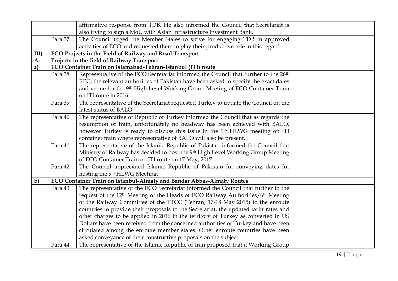|              |         | affirmative response from TDB. He also informed the Council that Secretariat is                         |
|--------------|---------|---------------------------------------------------------------------------------------------------------|
|              |         | also trying to sign a MoU with Asian Infrastructure Investment Bank.                                    |
|              | Para 37 | The Council urged the Member States to strive for engaging TDB in approved                              |
|              |         | activities of ECO and requested them to play their productive role in this regard.                      |
| $III$ )      |         | ECO Projects in the Field of Railway and Road Transport                                                 |
| A.           |         | Projects in the field of Railway Transport                                                              |
| a)           |         | ECO Container Train on Islamabad-Tehran-Istanbul (ITI) route                                            |
|              | Para 38 | Representative of the ECO Secretariat informed the Council that further to the 26 <sup>th</sup>         |
|              |         | RPC, the relevant authorities of Pakistan have been asked to specify the exact dates                    |
|              |         | and venue for the 9th High Level Working Group Meeting of ECO Container Train                           |
|              |         | on ITI route in 2016.                                                                                   |
|              | Para 39 | The representative of the Secretariat requested Turkey to update the Council on the                     |
|              |         | latest status of BALO.                                                                                  |
|              | Para 40 | The representative of Republic of Turkey informed the Council that as regards the                       |
|              |         | resumption of train, unfortunately no headway has been achieved with BALO,                              |
|              |         | however Turkey is ready to discuss this issue in the 9th HLWG meeting on ITI                            |
|              |         | container train where representative of BALO will also be present.                                      |
|              | Para 41 | The representative of the Islamic Republic of Pakistan informed the Council that                        |
|              |         | Ministry of Railway has decided to host the 9th High Level Working Group Meeting                        |
|              |         | of ECO Container Train on ITI route on 17 May, 2017.                                                    |
|              | Para 42 | The Council appreciated Islamic Republic of Pakistan for conveying dates for                            |
|              |         | hosting the 9th HLWG Meeting.                                                                           |
| $\mathbf{b}$ |         | ECO Container Train on Istanbul-Almaty and Bandar Abbas-Almaty Routes                                   |
|              | Para 43 | The representative of the ECO Secretariat informed the Council that further to the                      |
|              |         | request of the 12 <sup>th</sup> Meeting of the Heads of ECO Railway Authorities/6 <sup>th</sup> Meeting |
|              |         | of the Railway Committee of the TTCC (Tehran, 17-18 May 2015) to the enroute                            |
|              |         | countries to provide their proposals to the Secretariat, the updated tariff rates and                   |
|              |         | other charges to be applied in 2016 in the territory of Turkey as converted in US                       |
|              |         | Dollars have been received from the concerned authorities of Turkey and have been                       |
|              |         | circulated among the enroute member states. Other enroute countries have been                           |
|              |         | asked conveyance of their constructive proposals on the subject.                                        |
|              | Para 44 | The representative of the Islamic Republic of Iran proposed that a Working Group                        |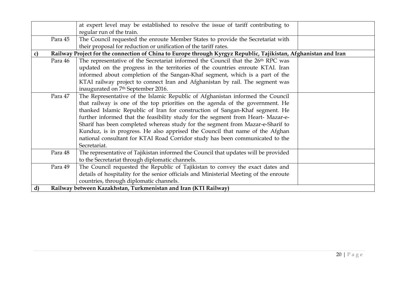|    |         | at expert level may be established to resolve the issue of tariff contributing to                               |
|----|---------|-----------------------------------------------------------------------------------------------------------------|
|    |         | regular run of the train.                                                                                       |
|    | Para 45 | The Council requested the enroute Member States to provide the Secretariat with                                 |
|    |         | their proposal for reduction or unification of the tariff rates.                                                |
| C) |         | Railway Project for the connection of China to Europe through Kyrgyz Republic, Tajikistan, Afghanistan and Iran |
|    | Para 46 | The representative of the Secretariat informed the Council that the 26 <sup>th</sup> RPC was                    |
|    |         | updated on the progress in the territories of the countries enroute KTAI. Iran                                  |
|    |         | informed about completion of the Sangan-Khaf segment, which is a part of the                                    |
|    |         | KTAI railway project to connect Iran and Afghanistan by rail. The segment was                                   |
|    |         | inaugurated on 7 <sup>th</sup> September 2016.                                                                  |
|    | Para 47 | The Representative of the Islamic Republic of Afghanistan informed the Council                                  |
|    |         | that railway is one of the top priorities on the agenda of the government. He                                   |
|    |         | thanked Islamic Republic of Iran for construction of Sangan-Khaf segment. He                                    |
|    |         | further informed that the feasibility study for the segment from Heart-Mazar-e-                                 |
|    |         | Sharif has been completed whereas study for the segment from Mazar-e-Sharif to                                  |
|    |         | Kunduz, is in progress. He also apprised the Council that name of the Afghan                                    |
|    |         | national consultant for KTAI Road Corridor study has been communicated to the                                   |
|    |         | Secretariat.                                                                                                    |
|    | Para 48 | The representative of Tajikistan informed the Council that updates will be provided                             |
|    |         | to the Secretariat through diplomatic channels.                                                                 |
|    | Para 49 | The Council requested the Republic of Tajikistan to convey the exact dates and                                  |
|    |         | details of hospitality for the senior officials and Ministerial Meeting of the enroute                          |
|    |         | countries, through diplomatic channels.                                                                         |
| d) |         | Railway between Kazakhstan, Turkmenistan and Iran (KTI Railway)                                                 |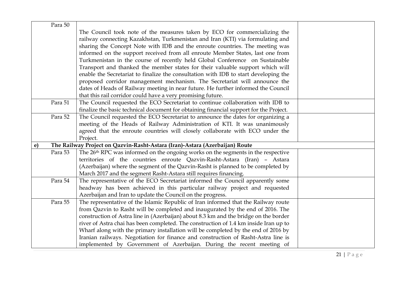| Para 50 |                                                                                              |  |
|---------|----------------------------------------------------------------------------------------------|--|
|         | The Council took note of the measures taken by ECO for commercializing the                   |  |
|         | railway connecting Kazakhstan, Turkmenistan and Iran (KTI) via formulating and               |  |
|         | sharing the Concept Note with IDB and the enroute countries. The meeting was                 |  |
|         | informed on the support received from all enroute Member States, last one from               |  |
|         | Turkmenistan in the course of recently held Global Conference on Sustainable                 |  |
|         | Transport and thanked the member states for their valuable support which will                |  |
|         | enable the Secretariat to finalize the consultation with IDB to start developing the         |  |
|         | proposed corridor management mechanism. The Secretariat will announce the                    |  |
|         | dates of Heads of Railway meeting in near future. He further informed the Council            |  |
|         | that this rail corridor could have a very promising future.                                  |  |
| Para 51 | The Council requested the ECO Secretariat to continue collaboration with IDB to              |  |
|         | finalize the basic technical document for obtaining financial support for the Project.       |  |
| Para 52 | The Council requested the ECO Secretariat to announce the dates for organizing a             |  |
|         | meeting of the Heads of Railway Administration of KTI. It was unanimously                    |  |
|         | agreed that the enroute countries will closely collaborate with ECO under the                |  |
|         | Project.                                                                                     |  |
| e)      | The Railway Project on Qazvin-Rasht-Astara (Iran)-Astara (Azerbaijan) Route                  |  |
| Para 53 | The 26 <sup>th</sup> RPC was informed on the ongoing works on the segments in the respective |  |
|         | territories of the countries enroute Qazvin-Rasht-Astara (Iran) - Astara                     |  |
|         | (Azerbaijan) where the segment of the Qazvin-Rasht is planned to be completed by             |  |
|         | March 2017 and the segment Rasht-Astara still requires financing.                            |  |
| Para 54 | The representative of the ECO Secretariat informed the Council apparently some               |  |
|         | headway has been achieved in this particular railway project and requested                   |  |
|         | Azerbaijan and Iran to update the Council on the progress.                                   |  |
| Para 55 | The representative of the Islamic Republic of Iran informed that the Railway route           |  |
|         | from Qazvin to Rasht will be completed and inaugurated by the end of 2016. The               |  |
|         | construction of Astra line in (Azerbaijan) about 8.3 km and the bridge on the border         |  |
|         | river of Astra chai has been completed. The construction of 1.4 km inside Iran up to         |  |
|         | Wharf along with the primary installation will be completed by the end of 2016 by            |  |
|         | Iranian railways. Negotiation for finance and construction of Rasht-Astra line is            |  |
|         | implemented by Government of Azerbaijan. During the recent meeting of                        |  |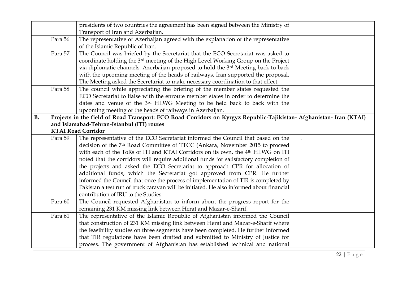|           |         | presidents of two countries the agreement has been signed between the Ministry of<br>Transport of Iran and Azerbaijan.                                                                                                                                                                                                                                                                                                                                                                                                                                                                                                                                                                                                                                      |
|-----------|---------|-------------------------------------------------------------------------------------------------------------------------------------------------------------------------------------------------------------------------------------------------------------------------------------------------------------------------------------------------------------------------------------------------------------------------------------------------------------------------------------------------------------------------------------------------------------------------------------------------------------------------------------------------------------------------------------------------------------------------------------------------------------|
|           | Para 56 | The representative of Azerbaijan agreed with the explanation of the representative<br>of the Islamic Republic of Iran.                                                                                                                                                                                                                                                                                                                                                                                                                                                                                                                                                                                                                                      |
|           | Para 57 | The Council was briefed by the Secretariat that the ECO Secretariat was asked to<br>coordinate holding the 3rd meeting of the High Level Working Group on the Project<br>via diplomatic channels. Azerbaijan proposed to hold the 3rd Meeting back to back<br>with the upcoming meeting of the heads of railways. Iran supported the proposal.<br>The Meeting asked the Secretariat to make necessary coordination to that effect.                                                                                                                                                                                                                                                                                                                          |
|           | Para 58 | The council while appreciating the briefing of the member states requested the<br>ECO Secretariat to liaise with the enroute member states in order to determine the<br>dates and venue of the 3rd HLWG Meeting to be held back to back with the<br>upcoming meeting of the heads of railways in Azerbaijan.                                                                                                                                                                                                                                                                                                                                                                                                                                                |
| <b>B.</b> |         | Projects in the field of Road Transport: ECO Road Corridors on Kyrgyz Republic-Tajikistan- Afghanistan- Iran (KTAI)<br>and Islamabad-Tehran-Istanbul (ITI) routes<br><b>KTAI Road Corridor</b>                                                                                                                                                                                                                                                                                                                                                                                                                                                                                                                                                              |
|           | Para 59 | The representative of the ECO Secretariat informed the Council that based on the<br>decision of the 7 <sup>th</sup> Road Committee of TTCC (Ankara, November 2015 to proceed<br>with each of the ToRs of ITI and KTAI Corridors on its own, the 4 <sup>th</sup> HLWG on ITI<br>noted that the corridors will require additional funds for satisfactory completion of<br>the projects and asked the ECO Secretariat to approach CPR for allocation of<br>additional funds, which the Secretariat got approved from CPR. He further<br>informed the Council that once the process of implementation of TIR is completed by<br>Pakistan a test run of truck caravan will be initiated. He also informed about financial<br>contribution of IRU to the Studies. |
|           | Para 60 | The Council requested Afghanistan to inform about the progress report for the<br>remaining 231 KM missing link between Herat and Mazar-e-Sharif.                                                                                                                                                                                                                                                                                                                                                                                                                                                                                                                                                                                                            |
|           | Para 61 | The representative of the Islamic Republic of Afghanistan informed the Council<br>that construction of 231 KM missing link between Herat and Mazar-e-Sharif where<br>the feasibility studies on three segments have been completed. He further informed<br>that TIR regulations have been drafted and submitted to Ministry of Justice for<br>process. The government of Afghanistan has established technical and national                                                                                                                                                                                                                                                                                                                                 |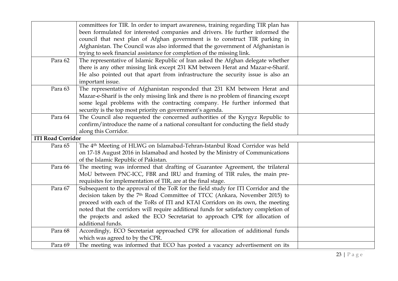|                          | committees for TIR. In order to impart awareness, training regarding TIR plan has<br>been formulated for interested companies and drivers. He further informed the<br>council that next plan of Afghan government is to construct TIR parking in<br>Afghanistan. The Council was also informed that the government of Afghanistan is<br>trying to seek financial assistance for completion of the missing link.                                                |  |
|--------------------------|----------------------------------------------------------------------------------------------------------------------------------------------------------------------------------------------------------------------------------------------------------------------------------------------------------------------------------------------------------------------------------------------------------------------------------------------------------------|--|
| Para 62                  | The representative of Islamic Republic of Iran asked the Afghan delegate whether<br>there is any other missing link except 231 KM between Herat and Mazar-e-Sharif.<br>He also pointed out that apart from infrastructure the security issue is also an<br>important issue.                                                                                                                                                                                    |  |
| Para 63                  | The representative of Afghanistan responded that 231 KM between Herat and<br>Mazar-e-Sharif is the only missing link and there is no problem of financing except<br>some legal problems with the contracting company. He further informed that<br>security is the top most priority on government's agenda.                                                                                                                                                    |  |
| Para 64                  | The Council also requested the concerned authorities of the Kyrgyz Republic to<br>confirm/introduce the name of a national consultant for conducting the field study<br>along this Corridor.                                                                                                                                                                                                                                                                   |  |
| <b>ITI Road Corridor</b> |                                                                                                                                                                                                                                                                                                                                                                                                                                                                |  |
| Para 65                  | The 4 <sup>th</sup> Meeting of HLWG on Islamabad-Tehran-Istanbul Road Corridor was held<br>on 17-18 August 2016 in Islamabad and hosted by the Ministry of Communications<br>of the Islamic Republic of Pakistan.                                                                                                                                                                                                                                              |  |
| Para 66                  | The meeting was informed that drafting of Guarantee Agreement, the trilateral<br>MoU between PNC-ICC, FBR and IRU and framing of TIR rules, the main pre-<br>requisites for implementation of TIR, are at the final stage.                                                                                                                                                                                                                                     |  |
| Para 67                  | Subsequent to the approval of the ToR for the field study for ITI Corridor and the<br>decision taken by the 7 <sup>th</sup> Road Committee of TTCC (Ankara, November 2015) to<br>proceed with each of the ToRs of ITI and KTAI Corridors on its own, the meeting<br>noted that the corridors will require additional funds for satisfactory completion of<br>the projects and asked the ECO Secretariat to approach CPR for allocation of<br>additional funds. |  |
| Para 68                  | Accordingly, ECO Secretariat approached CPR for allocation of additional funds<br>which was agreed to by the CPR.                                                                                                                                                                                                                                                                                                                                              |  |
| Para 69                  | The meeting was informed that ECO has posted a vacancy advertisement on its                                                                                                                                                                                                                                                                                                                                                                                    |  |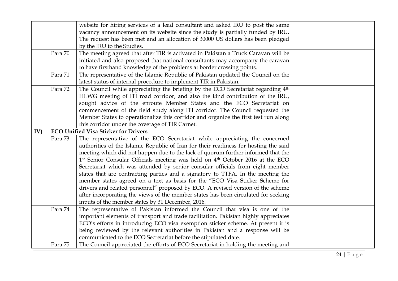|     |         | website for hiring services of a lead consultant and asked IRU to post the same           |  |
|-----|---------|-------------------------------------------------------------------------------------------|--|
|     |         | vacancy announcement on its website since the study is partially funded by IRU.           |  |
|     |         | The request has been met and an allocation of 30000 US dollars has been pledged           |  |
|     |         | by the IRU to the Studies.                                                                |  |
|     | Para 70 | The meeting agreed that after TIR is activated in Pakistan a Truck Caravan will be        |  |
|     |         | initiated and also proposed that national consultants may accompany the caravan           |  |
|     |         | to have firsthand knowledge of the problems at border crossing points.                    |  |
|     | Para 71 | The representative of the Islamic Republic of Pakistan updated the Council on the         |  |
|     |         | latest status of internal procedure to implement TIR in Pakistan.                         |  |
|     | Para 72 | The Council while appreciating the briefing by the ECO Secretariat regarding 4th          |  |
|     |         | HLWG meeting of ITI road corridor, and also the kind contribution of the IRU,             |  |
|     |         | sought advice of the enroute Member States and the ECO Secretariat on                     |  |
|     |         | commencement of the field study along ITI corridor. The Council requested the             |  |
|     |         | Member States to operationalize this corridor and organize the first test run along       |  |
|     |         | this corridor under the coverage of TIR Carnet.                                           |  |
| IV) |         | <b>ECO Unified Visa Sticker for Drivers</b>                                               |  |
|     | Para 73 | The representative of the ECO Secretariat while appreciating the concerned                |  |
|     |         | authorities of the Islamic Republic of Iran for their readiness for hosting the said      |  |
|     |         | meeting which did not happen due to the lack of quorum further informed that the          |  |
|     |         | 1st Senior Consular Officials meeting was held on 4 <sup>th</sup> October 2016 at the ECO |  |
|     |         | Secretariat which was attended by senior consular officials from eight member             |  |
|     |         | states that are contracting parties and a signatory to TTFA. In the meeting the           |  |
|     |         | member states agreed on a text as basis for the "ECO Visa Sticker Scheme for              |  |
|     |         | drivers and related personnel" proposed by ECO. A revised version of the scheme           |  |
|     |         | after incorporating the views of the member states has been circulated for seeking        |  |
|     |         | inputs of the member states by 31 December, 2016.                                         |  |
|     | Para 74 | The representative of Pakistan informed the Council that visa is one of the               |  |
|     |         | important elements of transport and trade facilitation. Pakistan highly appreciates       |  |
|     |         | ECO's efforts in introducing ECO visa exemption sticker scheme. At present it is          |  |
|     |         | being reviewed by the relevant authorities in Pakistan and a response will be             |  |
|     |         | communicated to the ECO Secretariat before the stipulated date.                           |  |
|     | Para 75 | The Council appreciated the efforts of ECO Secretariat in holding the meeting and         |  |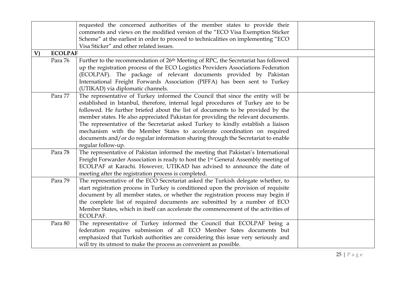|              |                | requested the concerned authorities of the member states to provide their<br>comments and views on the modified version of the "ECO Visa Exemption Sticker<br>Scheme" at the earliest in order to proceed to technicalities on implementing "ECO<br>Visa Sticker" and other related issues.                                                                                                                                                                                                                                                                                                                           |  |
|--------------|----------------|-----------------------------------------------------------------------------------------------------------------------------------------------------------------------------------------------------------------------------------------------------------------------------------------------------------------------------------------------------------------------------------------------------------------------------------------------------------------------------------------------------------------------------------------------------------------------------------------------------------------------|--|
| $\mathbf{V}$ | <b>ECOLPAF</b> |                                                                                                                                                                                                                                                                                                                                                                                                                                                                                                                                                                                                                       |  |
|              | Para 76        | Further to the recommendation of 26 <sup>th</sup> Meeting of RPC, the Secretariat has followed<br>up the registration process of the ECO Logistics Providers Associations Federation<br>(ECOLPAF). The package of relevant documents provided by Pakistan<br>International Freight Forwards Association (PIFFA) has been sent to Turkey<br>(UTIKAD) via diplomatic channels.                                                                                                                                                                                                                                          |  |
|              | Para 77        | The representative of Turkey informed the Council that since the entity will be<br>established in Istanbul, therefore, internal legal procedures of Turkey are to be<br>followed. He further briefed about the list of documents to be provided by the<br>member states. He also appreciated Pakistan for providing the relevant documents.<br>The representative of the Secretariat asked Turkey to kindly establish a liaison<br>mechanism with the Member States to accelerate coordination on required<br>documents and/or do regular information sharing through the Secretariat to enable<br>regular follow-up. |  |
|              | Para 78        | The representative of Pakistan informed the meeting that Pakistan's International<br>Freight Forwarder Association is ready to host the 1st General Assembly meeting of<br>ECOLPAF at Karachi. However, UTIKAD has advised to announce the date of<br>meeting after the registration process is completed.                                                                                                                                                                                                                                                                                                            |  |
|              | Para 79        | The representative of the ECO Secretariat asked the Turkish delegate whether, to<br>start registration process in Turkey is conditioned upon the provision of requisite<br>document by all member states, or whether the registration process may begin if<br>the complete list of required documents are submitted by a number of ECO<br>Member States, which in itself can accelerate the commencement of the activities of<br>ECOLPAF.                                                                                                                                                                             |  |
|              | Para 80        | The representative of Turkey informed the Council that ECOLPAF being a<br>federation requires submission of all ECO Member Sates documents but<br>emphasized that Turkish authorities are considering this issue very seriously and<br>will try its utmost to make the process as convenient as possible.                                                                                                                                                                                                                                                                                                             |  |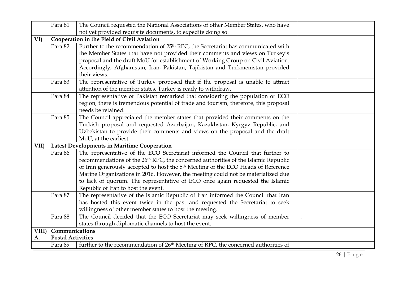|      | Para 81                  | The Council requested the National Associations of other Member States, who have               |
|------|--------------------------|------------------------------------------------------------------------------------------------|
|      |                          | not yet provided requisite documents, to expedite doing so.                                    |
| VI)  |                          | Cooperation in the Field of Civil Aviation                                                     |
|      | Para 82                  | Further to the recommendation of 25 <sup>th</sup> RPC, the Secretariat has communicated with   |
|      |                          | the Member States that have not provided their comments and views on Turkey's                  |
|      |                          | proposal and the draft MoU for establishment of Working Group on Civil Aviation.               |
|      |                          | Accordingly, Afghanistan, Iran, Pakistan, Tajikistan and Turkmenistan provided                 |
|      |                          | their views.                                                                                   |
|      | Para 83                  | The representative of Turkey proposed that if the proposal is unable to attract                |
|      |                          | attention of the member states, Turkey is ready to withdraw.                                   |
|      | Para 84                  | The representative of Pakistan remarked that considering the population of ECO                 |
|      |                          | region, there is tremendous potential of trade and tourism, therefore, this proposal           |
|      |                          | needs be retained.                                                                             |
|      | Para 85                  | The Council appreciated the member states that provided their comments on the                  |
|      |                          | Turkish proposal and requested Azerbaijan, Kazakhstan, Kyrgyz Republic, and                    |
|      |                          | Uzbekistan to provide their comments and views on the proposal and the draft                   |
|      |                          | MoU, at the earliest.                                                                          |
| VII) |                          | Latest Developments in Maritime Cooperation                                                    |
|      | Para 86                  | The representative of the ECO Secretariat informed the Council that further to                 |
|      |                          | recommendations of the 26 <sup>th</sup> RPC, the concerned authorities of the Islamic Republic |
|      |                          | of Iran generously accepted to host the 5 <sup>th</sup> Meeting of the ECO Heads of Reference  |
|      |                          | Marine Organizations in 2016. However, the meeting could not be materialized due               |
|      |                          | to lack of quorum. The representative of ECO once again requested the Islamic                  |
|      |                          | Republic of Iran to host the event.                                                            |
|      | Para 87                  | The representative of the Islamic Republic of Iran informed the Council that Iran              |
|      |                          | has hosted this event twice in the past and requested the Secretariat to seek                  |
|      |                          | willingness of other member states to host the meeting.                                        |
|      | Para 88                  | The Council decided that the ECO Secretariat may seek willingness of member                    |
|      |                          | states through diplomatic channels to host the event.                                          |
|      | VIII) Communications     |                                                                                                |
| A.   | <b>Postal Activities</b> |                                                                                                |
|      | Para 89                  | further to the recommendation of 26 <sup>th</sup> Meeting of RPC, the concerned authorities of |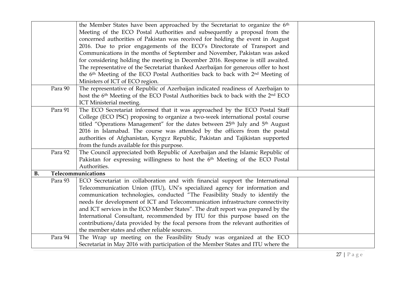|           |         | the Member States have been approached by the Secretariat to organize the 6th                            |  |
|-----------|---------|----------------------------------------------------------------------------------------------------------|--|
|           |         | Meeting of the ECO Postal Authorities and subsequently a proposal from the                               |  |
|           |         | concerned authorities of Pakistan was received for holding the event in August                           |  |
|           |         | 2016. Due to prior engagements of the ECO's Directorate of Transport and                                 |  |
|           |         | Communications in the months of September and November, Pakistan was asked                               |  |
|           |         | for considering holding the meeting in December 2016. Response is still awaited.                         |  |
|           |         | The representative of the Secretariat thanked Azerbaijan for generous offer to host                      |  |
|           |         | the 6 <sup>th</sup> Meeting of the ECO Postal Authorities back to back with 2 <sup>nd</sup> Meeting of   |  |
|           |         | Ministers of ICT of ECO region.                                                                          |  |
|           | Para 90 | The representative of Republic of Azerbaijan indicated readiness of Azerbaijan to                        |  |
|           |         | host the 6 <sup>th</sup> Meeting of the ECO Postal Authorities back to back with the 2 <sup>nd</sup> ECO |  |
|           |         | ICT Ministerial meeting.                                                                                 |  |
|           | Para 91 | The ECO Secretariat informed that it was approached by the ECO Postal Staff                              |  |
|           |         | College (ECO PSC) proposing to organize a two-week international postal course                           |  |
|           |         | titled "Operations Management" for the dates between 25th July and 5th August                            |  |
|           |         | 2016 in Islamabad. The course was attended by the officers from the postal                               |  |
|           |         | authorities of Afghanistan, Kyrgyz Republic, Pakistan and Tajikistan supported                           |  |
|           |         | from the funds available for this purpose.                                                               |  |
|           | Para 92 | The Council appreciated both Republic of Azerbaijan and the Islamic Republic of                          |  |
|           |         | Pakistan for expressing willingness to host the 6 <sup>th</sup> Meeting of the ECO Postal                |  |
|           |         | Authorities.                                                                                             |  |
| <b>B.</b> |         | Telecommunications                                                                                       |  |
|           | Para 93 | ECO Secretariat in collaboration and with financial support the International                            |  |
|           |         | Telecommunication Union (ITU), UN's specialized agency for information and                               |  |
|           |         | communication technologies, conducted "The Feasibility Study to identify the                             |  |
|           |         | needs for development of ICT and Telecommunication infrastructure connectivity                           |  |
|           |         | and ICT services in the ECO Member States". The draft report was prepared by the                         |  |
|           |         | International Consultant, recommended by ITU for this purpose based on the                               |  |
|           |         | contributions/data provided by the focal persons from the relevant authorities of                        |  |
|           |         | the member states and other reliable sources.                                                            |  |
|           | Para 94 | The Wrap up meeting on the Feasibility Study was organized at the ECO                                    |  |
|           |         | Secretariat in May 2016 with participation of the Member States and ITU where the                        |  |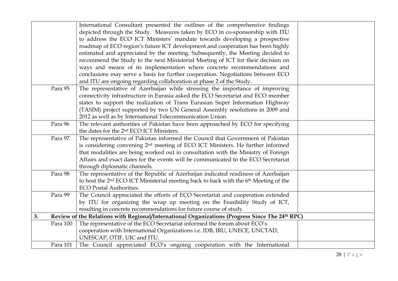|    |          | International Consultant presented the outlines of the comprehensive findings                                |
|----|----------|--------------------------------------------------------------------------------------------------------------|
|    |          | depicted through the Study. Measures taken by ECO in co-sponsorship with ITU                                 |
|    |          | to address the ECO ICT Ministers' mandate towards developing a prospective                                   |
|    |          | roadmap of ECO region's future ICT development and cooperation has been highly                               |
|    |          | estimated and appreciated by the meeting. Subsequently, the Meeting decided to                               |
|    |          | recommend the Study to the next Ministerial Meeting of ICT for their decision on                             |
|    |          | ways and means of its implementation where concrete recommendations and                                      |
|    |          | conclusions may serve a basis for further cooperation. Negotiations between ECO                              |
|    |          | and ITU are ongoing regarding collaboration at phase 2 of the Study.                                         |
|    | Para 95  | The representative of Azerbaijan while stressing the importance of improving                                 |
|    |          | connectivity infrastructure in Eurasia asked the ECO Secretariat and ECO member                              |
|    |          | states to support the realization of Trans Eurasian Super Information Highway                                |
|    |          | (TASIM) project supported by two UN General Assembly resolutions in 2009 and                                 |
|    |          | 2012 as well as by International Telecommunication Union.                                                    |
|    | Para 96  | The relevant authorities of Pakistan have been approached by ECO for specifying                              |
|    |          | the dates for the 2 <sup>nd</sup> ECO ICT Ministers.                                                         |
|    | Para 97  | The representative of Pakistan informed the Council that Government of Pakistan                              |
|    |          | is considering convening 2 <sup>nd</sup> meeting of ECO ICT Ministers. He further informed                   |
|    |          | that modalities are being worked out in consultation with the Ministry of Foreign                            |
|    |          | Affairs and exact dates for the events will be communicated to the ECO Secretariat                           |
|    |          | through diplomatic channels.                                                                                 |
|    | Para 98  | The representative of the Republic of Azerbaijan indicated readiness of Azerbaijan                           |
|    |          | to host the 2 <sup>nd</sup> ECO ICT Ministerial meeting back to back with the 6 <sup>th</sup> Meeting of the |
|    |          | <b>ECO Postal Authorities.</b>                                                                               |
|    | Para 99  | The Council appreciated the efforts of ECO Secretariat and cooperation extended                              |
|    |          | by ITU for organizing the wrap up meeting on the Feasibility Study of ICT,                                   |
|    |          | resulting in concrete recommendations for future course of study.                                            |
| 3. |          | Review of the Relations with Regional/International Organizations (Progress Since The 24th RPC)              |
|    | Para 100 | The representative of the ECO Secretariat informed the forum about ECO's                                     |
|    |          | cooperation with International Organizations i.e. IDB, IRU, UNECE, UNCTAD,                                   |
|    |          | UNESCAP, OTIF, UIC and ITU.                                                                                  |
|    | Para 101 | The Council appreciated ECO's ongoing cooperation with the International                                     |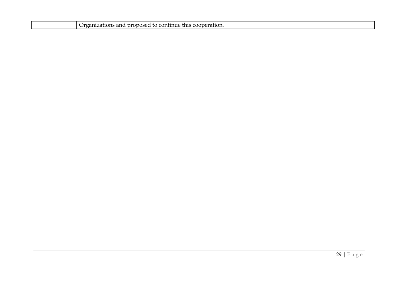|  | ١r<br>ration.<br>756<br>. .<br>OT<br>. 11e 1<br>71. YE VE<br>.<br>. |  |
|--|---------------------------------------------------------------------|--|
|  |                                                                     |  |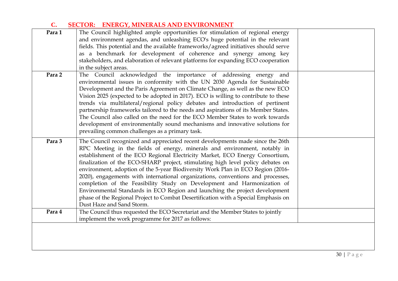## **C. SECTOR: ENERGY, MINERALS AND ENVIRONMENT**

|        | and environment agendas, and unleashing ECO's huge potential in the relevant        |  |
|--------|-------------------------------------------------------------------------------------|--|
|        |                                                                                     |  |
|        | fields. This potential and the available frameworks/agreed initiatives should serve |  |
|        | as a benchmark for development of coherence and synergy among key                   |  |
|        | stakeholders, and elaboration of relevant platforms for expanding ECO cooperation   |  |
|        | in the subject areas.                                                               |  |
| Para 2 | The Council acknowledged the importance of addressing energy<br>and                 |  |
|        | environmental issues in conformity with the UN 2030 Agenda for Sustainable          |  |
|        | Development and the Paris Agreement on Climate Change, as well as the new ECO       |  |
|        | Vision 2025 (expected to be adopted in 2017). ECO is willing to contribute to these |  |
|        | trends via multilateral/regional policy debates and introduction of pertinent       |  |
|        | partnership frameworks tailored to the needs and aspirations of its Member States.  |  |
|        | The Council also called on the need for the ECO Member States to work towards       |  |
|        | development of environmentally sound mechanisms and innovative solutions for        |  |
|        | prevailing common challenges as a primary task.                                     |  |
| Para 3 | The Council recognized and appreciated recent developments made since the 26th      |  |
|        | RPC Meeting in the fields of energy, minerals and environment, notably in           |  |
|        | establishment of the ECO Regional Electricity Market, ECO Energy Consortium,        |  |
|        | finalization of the ECO-SHARP project, stimulating high level policy debates on     |  |
|        | environment, adoption of the 5-year Biodiversity Work Plan in ECO Region (2016-     |  |
|        | 2020), engagements with international organizations, conventions and processes,     |  |
|        | completion of the Feasibility Study on Development and Harmonization of             |  |
|        | Environmental Standards in ECO Region and launching the project development         |  |
|        | phase of the Regional Project to Combat Desertification with a Special Emphasis on  |  |
|        | Dust Haze and Sand Storm.                                                           |  |
| Para 4 | The Council thus requested the ECO Secretariat and the Member States to jointly     |  |
|        | implement the work programme for 2017 as follows:                                   |  |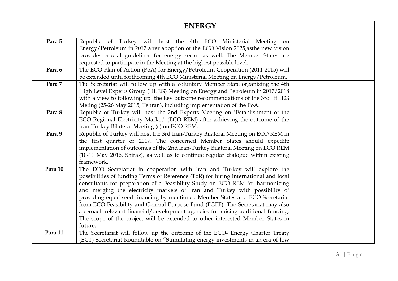| <b>ENERGY</b> |                                                                                                                                                                                                                                                                                                                                                                                                                                                                                                                                                                                                                                                                                     |  |
|---------------|-------------------------------------------------------------------------------------------------------------------------------------------------------------------------------------------------------------------------------------------------------------------------------------------------------------------------------------------------------------------------------------------------------------------------------------------------------------------------------------------------------------------------------------------------------------------------------------------------------------------------------------------------------------------------------------|--|
| Para 5        | Republic of Turkey will host the 4th ECO Ministerial Meeting on<br>Energy/Petroleum in 2017 after adoption of the ECO Vision 2025, as the new vision<br>provides crucial guidelines for energy sector as well. The Member States are<br>requested to participate in the Meeting at the highest possible level.                                                                                                                                                                                                                                                                                                                                                                      |  |
| Para 6        | The ECO Plan of Action (PoA) for Energy/Petroleum Cooperation (2011-2015) will<br>be extended until forthcoming 4th ECO Ministerial Meeting on Energy/Petroleum.                                                                                                                                                                                                                                                                                                                                                                                                                                                                                                                    |  |
| Para 7        | The Secretariat will follow up with a voluntary Member State organizing the 4th<br>High Level Experts Group (HLEG) Meeting on Energy and Petroleum in 2017/2018<br>with a view to following up the key outcome recommendations of the 3rd HLEG<br>Meting (25-26 May 2015, Tehran), including implementation of the PoA.                                                                                                                                                                                                                                                                                                                                                             |  |
| Para 8        | Republic of Turkey will host the 2nd Experts Meeting on "Establishment of the<br>ECO Regional Electricity Market" (ECO REM) after achieving the outcome of the<br>Iran-Turkey Bilateral Meeting (s) on ECO REM.                                                                                                                                                                                                                                                                                                                                                                                                                                                                     |  |
| Para 9        | Republic of Turkey will host the 3rd Iran-Turkey Bilateral Meeting on ECO REM in<br>the first quarter of 2017. The concerned Member States should expedite<br>implementation of outcomes of the 2nd Iran-Turkey Bilateral Meeting on ECO REM<br>(10-11 May 2016, Shiraz), as well as to continue regular dialogue within existing<br>framework.                                                                                                                                                                                                                                                                                                                                     |  |
| Para 10       | The ECO Secretariat in cooperation with Iran and Turkey will explore the<br>possibilities of funding Terms of Reference (ToR) for hiring international and local<br>consultants for preparation of a Feasibility Study on ECO REM for harmonizing<br>and merging the electricity markets of Iran and Turkey with possibility of<br>providing equal seed financing by mentioned Member States and ECO Secretariat<br>from ECO Feasibility and General Purpose Fund (FGPF). The Secretariat may also<br>approach relevant financial/development agencies for raising additional funding.<br>The scope of the project will be extended to other interested Member States in<br>future. |  |
| Para 11       | The Secretariat will follow up the outcome of the ECO- Energy Charter Treaty<br>(ECT) Secretariat Roundtable on "Stimulating energy investments in an era of low                                                                                                                                                                                                                                                                                                                                                                                                                                                                                                                    |  |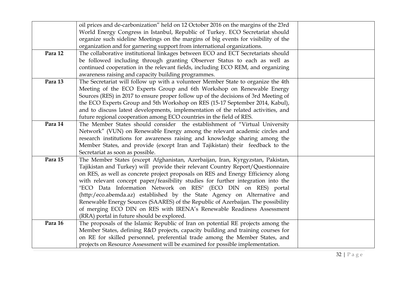|         | oil prices and de-carbonization" held on 12 October 2016 on the margins of the 23rd |  |
|---------|-------------------------------------------------------------------------------------|--|
|         | World Energy Congress in Istanbul, Republic of Turkey. ECO Secretariat should       |  |
|         | organize such sideline Meetings on the margins of big events for visibility of the  |  |
|         | organization and for garnering support from international organizations.            |  |
| Para 12 | The collaborative institutional linkages between ECO and ECT Secretariats should    |  |
|         | be followed including through granting Observer Status to each as well as           |  |
|         | continued cooperation in the relevant fields, including ECO REM, and organizing     |  |
|         | awareness raising and capacity building programmes.                                 |  |
| Para 13 | The Secretariat will follow up with a volunteer Member State to organize the 4th    |  |
|         | Meeting of the ECO Experts Group and 6th Workshop on Renewable Energy               |  |
|         | Sources (RES) in 2017 to ensure proper follow up of the decisions of 3rd Meeting of |  |
|         | the ECO Experts Group and 5th Workshop on RES (15-17 September 2014, Kabul),        |  |
|         | and to discuss latest developments, implementation of the related activities, and   |  |
|         | future regional cooperation among ECO countries in the field of RES.                |  |
| Para 14 | The Member States should consider the establishment of "Virtual University          |  |
|         | Network" (VUN) on Renewable Energy among the relevant academic circles and          |  |
|         | research institutions for awareness raising and knowledge sharing among the         |  |
|         | Member States, and provide (except Iran and Tajikistan) their feedback to the       |  |
|         | Secretariat as soon as possible.                                                    |  |
| Para 15 | The Member States (except Afghanistan, Azerbaijan, Iran, Kyrgyzstan, Pakistan,      |  |
|         | Tajikistan and Turkey) will provide their relevant Country Report/Questionnaire     |  |
|         | on RES, as well as concrete project proposals on RES and Energy Efficiency along    |  |
|         | with relevant concept paper/feasibility studies for further integration into the    |  |
|         | "ECO Data Information Network on RES" (ECO DIN on RES) portal                       |  |
|         | (http:/eco.abemda.az) established by the State Agency on Alternative and            |  |
|         | Renewable Energy Sources (SAARES) of the Republic of Azerbaijan. The possibility    |  |
|         | of merging ECO DIN on RES with IRENA's Renewable Readiness Assessment               |  |
|         | (RRA) portal in future should be explored.                                          |  |
| Para 16 | The proposals of the Islamic Republic of Iran on potential RE projects among the    |  |
|         | Member States, defining R&D projects, capacity building and training courses for    |  |
|         | on RE for skilled personnel, preferential trade among the Member States, and        |  |
|         | projects on Resource Assessment will be examined for possible implementation.       |  |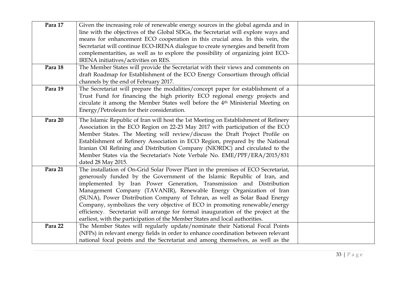| Para 17 | Given the increasing role of renewable energy sources in the global agenda and in<br>line with the objectives of the Global SDGs, the Secretariat will explore ways and<br>means for enhancement ECO cooperation in this crucial area. In this vein, the<br>Secretariat will continue ECO-IRENA dialogue to create synergies and benefit from<br>complementarities, as well as to explore the possibility of organizing joint ECO-<br>IRENA initiatives/activities on RES.                                                                                                                                                                     |  |
|---------|------------------------------------------------------------------------------------------------------------------------------------------------------------------------------------------------------------------------------------------------------------------------------------------------------------------------------------------------------------------------------------------------------------------------------------------------------------------------------------------------------------------------------------------------------------------------------------------------------------------------------------------------|--|
| Para 18 | The Member States will provide the Secretariat with their views and comments on<br>draft Roadmap for Establishment of the ECO Energy Consortium through official<br>channels by the end of February 2017.                                                                                                                                                                                                                                                                                                                                                                                                                                      |  |
| Para 19 | The Secretariat will prepare the modalities/concept paper for establishment of a<br>Trust Fund for financing the high priority ECO regional energy projects and<br>circulate it among the Member States well before the 4 <sup>th</sup> Ministerial Meeting on<br>Energy/Petroleum for their consideration.                                                                                                                                                                                                                                                                                                                                    |  |
| Para 20 | The Islamic Republic of Iran will host the 1st Meeting on Establishment of Refinery<br>Association in the ECO Region on 22-23 May 2017 with participation of the ECO<br>Member States. The Meeting will review/discuss the Draft Project Profile on<br>Establishment of Refinery Association in ECO Region, prepared by the National<br>Iranian Oil Refining and Distribution Company (NIORDC) and circulated to the<br>Member States via the Secretariat's Note Verbale No. EME/PPF/ERA/2015/831<br>dated 28 May 2015.                                                                                                                        |  |
| Para 21 | The installation of On-Grid Solar Power Plant in the premises of ECO Secretariat,<br>generously funded by the Government of the Islamic Republic of Iran, and<br>implemented by Iran Power Generation, Transmission and Distribution<br>Management Company (TAVANIR), Renewable Energy Organization of Iran<br>(SUNA), Power Distribution Company of Tehran, as well as Solar Baad Energy<br>Company, symbolizes the very objective of ECO in promoting renewable/energy<br>efficiency. Secretariat will arrange for formal inauguration of the project at the<br>earliest, with the participation of the Member States and local authorities. |  |
| Para 22 | The Member States will regularly update/nominate their National Focal Points<br>(NFPs) in relevant energy fields in order to enhance coordination between relevant<br>national focal points and the Secretariat and among themselves, as well as the                                                                                                                                                                                                                                                                                                                                                                                           |  |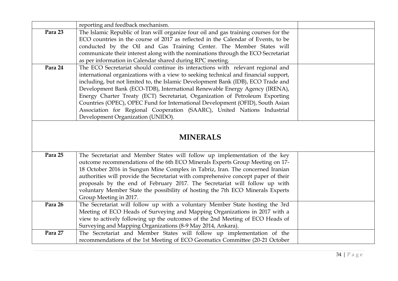|         | reporting and feedback mechanism.                                                                                                                      |  |
|---------|--------------------------------------------------------------------------------------------------------------------------------------------------------|--|
| Para 23 | The Islamic Republic of Iran will organize four oil and gas training courses for the                                                                   |  |
|         | ECO countries in the course of 2017 as reflected in the Calendar of Events, to be                                                                      |  |
|         | conducted by the Oil and Gas Training Center. The Member States will                                                                                   |  |
|         | communicate their interest along with the nominations through the ECO Secretariat                                                                      |  |
|         | as per information in Calendar shared during RPC meeting.                                                                                              |  |
| Para 24 | The ECO Secretariat should continue its interactions with relevant regional and                                                                        |  |
|         | international organizations with a view to seeking technical and financial support,                                                                    |  |
|         | including, but not limited to, the Islamic Development Bank (IDB), ECO Trade and                                                                       |  |
|         | Development Bank (ECO-TDB), International Renewable Energy Agency (IRENA),                                                                             |  |
|         | Energy Charter Treaty (ECT) Secretariat, Organization of Petroleum Exporting                                                                           |  |
|         | Countries (OPEC), OPEC Fund for International Development (OFID), South Asian                                                                          |  |
|         | Association for Regional Cooperation (SAARC), United Nations Industrial<br>Development Organization (UNIDO).                                           |  |
|         |                                                                                                                                                        |  |
| Para 25 | The Secretariat and Member States will follow up implementation of the key                                                                             |  |
|         | outcome recommendations of the 6th ECO Minerals Experts Group Meeting on 17-                                                                           |  |
|         | 18 October 2016 in Sungun Mine Complex in Tabriz, Iran. The concerned Iranian                                                                          |  |
|         | authorities will provide the Secretariat with comprehensive concept paper of their                                                                     |  |
|         | proposals by the end of February 2017. The Secretariat will follow up with                                                                             |  |
|         | voluntary Member State the possibility of hosting the 7th ECO Minerals Experts                                                                         |  |
|         | Group Meeting in 2017.                                                                                                                                 |  |
| Para 26 | The Secretariat will follow up with a voluntary Member State hosting the 3rd                                                                           |  |
|         | Meeting of ECO Heads of Surveying and Mapping Organizations in 2017 with a                                                                             |  |
|         | view to actively following up the outcomes of the 2nd Meeting of ECO Heads of                                                                          |  |
|         | Surveying and Mapping Organizations (8-9 May 2014, Ankara).                                                                                            |  |
| Para 27 |                                                                                                                                                        |  |
|         | The Secretariat and Member States will follow up implementation of the<br>recommendations of the 1st Meeting of ECO Geomatics Committee (20-21 October |  |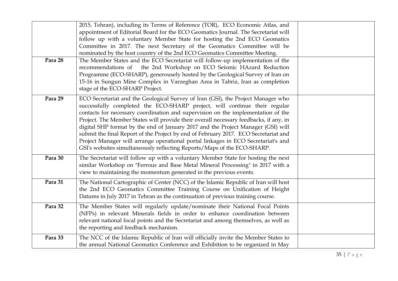| Para 28 | 2015, Tehran), including its Terms of Reference (TOR), ECO Economic Atlas, and<br>appointment of Editorial Board for the ECO Geomatics Journal. The Secretariat will<br>follow up with a voluntary Member State for hosting the 2nd ECO Geomatics<br>Committee in 2017. The next Secretary of the Geomatics Committee will be<br>nominated by the host country of the 2nd ECO Geomatics Committee Meeting.<br>The Member States and the ECO Secretariat will follow-up implementation of the<br>recommendations of the 2nd Workshop on ECO Seismic HAzard Reduction<br>Programme (ECO-SHARP), generousely hosted by the Geological Survey of Iran on<br>15-16 in Sungun Mine Complex in Varzeghan Area in Tabriz, Iran as completion<br>stage of the ECO-SHARP Project. |  |
|---------|-------------------------------------------------------------------------------------------------------------------------------------------------------------------------------------------------------------------------------------------------------------------------------------------------------------------------------------------------------------------------------------------------------------------------------------------------------------------------------------------------------------------------------------------------------------------------------------------------------------------------------------------------------------------------------------------------------------------------------------------------------------------------|--|
| Para 29 | ECO Secretariat and the Geological Survey of Iran (GSI), the Project Manager who<br>successfully completed the ECO-SHARP project, will continue their regular<br>contacts for necessary coordination and supervision on the implementation of the<br>Project. The Member States will provide their overall necessary feedbacks, if any, in<br>digital SHP format by the end of January 2017 and the Project Manager (GSI) will<br>submit the final Report of the Project by end of February 2017. ECO Secretariat and<br>Project Manager will arrange operational portal linkages in ECO Secretariat's and<br>GSI's websites simultaneously reflecting Reports/Maps of the ECO-SHARP.                                                                                   |  |
| Para 30 | The Secretariat will follow up with a voluntary Member State for hosting the next<br>similar Workshop on "Ferrous and Base Metal Mineral Processing" in 2017 with a<br>view to maintaining the momentum generated in the previous events.                                                                                                                                                                                                                                                                                                                                                                                                                                                                                                                               |  |
| Para 31 | The National Cartographic of Center (NCC) of the Islamic Republic of Iran will host<br>the 2nd ECO Geomatics Committee Training Course on Unification of Height<br>Datums in July 2017 in Tehran as the continuation of previous training course.                                                                                                                                                                                                                                                                                                                                                                                                                                                                                                                       |  |
| Para 32 | The Member States will regularly update/nominate their National Focal Points<br>(NFPs) in relevant Minerals fields in order to enhance coordination between<br>relevant national focal points and the Secretariat and among themselves, as well as<br>the reporting and feedback mechanism.                                                                                                                                                                                                                                                                                                                                                                                                                                                                             |  |
| Para 33 | The NCC of the Islamic Republic of Iran will officially invite the Member States to<br>the annual National Geomatics Conference and Exhibition to be organized in May                                                                                                                                                                                                                                                                                                                                                                                                                                                                                                                                                                                                   |  |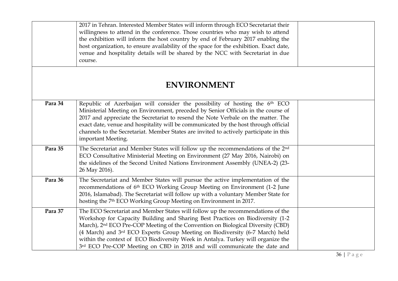|         | 2017 in Tehran. Interested Member States will inform through ECO Secretariat their<br>willingness to attend in the conference. Those countries who may wish to attend<br>the exhibition will inform the host country by end of February 2017 enabling the<br>host organization, to ensure availability of the space for the exhibition. Exact date,<br>venue and hospitality details will be shared by the NCC with Secretariat in due<br>course.                                                                |  |
|---------|------------------------------------------------------------------------------------------------------------------------------------------------------------------------------------------------------------------------------------------------------------------------------------------------------------------------------------------------------------------------------------------------------------------------------------------------------------------------------------------------------------------|--|
|         | <b>ENVIRONMENT</b>                                                                                                                                                                                                                                                                                                                                                                                                                                                                                               |  |
| Para 34 | Republic of Azerbaijan will consider the possibility of hosting the 6th ECO<br>Ministerial Meeting on Environment, preceded by Senior Officials in the course of<br>2017 and appreciate the Secretariat to resend the Note Verbale on the matter. The<br>exact date, venue and hospitality will be communicated by the host through official<br>channels to the Secretariat. Member States are invited to actively participate in this<br>important Meeting.                                                     |  |
| Para 35 | The Secretariat and Member States will follow up the recommendations of the 2 <sup>nd</sup><br>ECO Consultative Ministerial Meeting on Environment (27 May 2016, Nairobi) on<br>the sidelines of the Second United Nations Environment Assembly (UNEA-2) (23-<br>26 May 2016).                                                                                                                                                                                                                                   |  |
| Para 36 | The Secretariat and Member States will pursue the active implementation of the<br>recommendations of 6 <sup>th</sup> ECO Working Group Meeting on Environment (1-2 June<br>2016, Islamabad). The Secretariat will follow up with a voluntary Member State for<br>hosting the 7 <sup>th</sup> ECO Working Group Meeting on Environment in 2017.                                                                                                                                                                   |  |
| Para 37 | The ECO Secretariat and Member States will follow up the recommendations of the<br>Workshop for Capacity Building and Sharing Best Practices on Biodiversity (1-2<br>March), 2 <sup>nd</sup> ECO Pre-COP Meeting of the Convention on Biological Diversity (CBD)<br>(4 March) and 3rd ECO Experts Group Meeting on Biodiversity (6-7 March) held<br>within the context of ECO Biodiversity Week in Antalya. Turkey will organize the<br>3rd ECO Pre-COP Meeting on CBD in 2018 and will communicate the date and |  |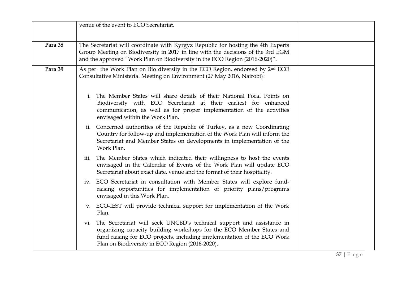|         | venue of the event to ECO Secretariat.                                                                                                                                                                                                                                             |  |
|---------|------------------------------------------------------------------------------------------------------------------------------------------------------------------------------------------------------------------------------------------------------------------------------------|--|
| Para 38 | The Secretariat will coordinate with Kyrgyz Republic for hosting the 4th Experts<br>Group Meeting on Biodiversity in 2017 in line with the decisions of the 3rd EGM<br>and the approved "Work Plan on Biodiversity in the ECO Region (2016-2020)".                                 |  |
| Para 39 | As per the Work Plan on Bio diversity in the ECO Region, endorsed by 2 <sup>nd</sup> ECO<br>Consultative Ministerial Meeting on Environment (27 May 2016, Nairobi) :                                                                                                               |  |
|         | The Member States will share details of their National Focal Points on<br>i.<br>Biodiversity with ECO Secretariat at their earliest for enhanced<br>communication, as well as for proper implementation of the activities<br>envisaged within the Work Plan.                       |  |
|         | ii. Concerned authorities of the Republic of Turkey, as a new Coordinating<br>Country for follow-up and implementation of the Work Plan will inform the<br>Secretariat and Member States on developments in implementation of the<br>Work Plan.                                    |  |
|         | The Member States which indicated their willingness to host the events<br>iii.<br>envisaged in the Calendar of Events of the Work Plan will update ECO<br>Secretariat about exact date, venue and the format of their hospitality.                                                 |  |
|         | ECO Secretariat in consultation with Member States will explore fund-<br>iv.<br>raising opportunities for implementation of priority plans/programs<br>envisaged in this Work Plan.                                                                                                |  |
|         | v. ECO-IEST will provide technical support for implementation of the Work<br>Plan.                                                                                                                                                                                                 |  |
|         | The Secretariat will seek UNCBD's technical support and assistance in<br>V1.<br>organizing capacity building workshops for the ECO Member States and<br>fund raising for ECO projects, including implementation of the ECO Work<br>Plan on Biodiversity in ECO Region (2016-2020). |  |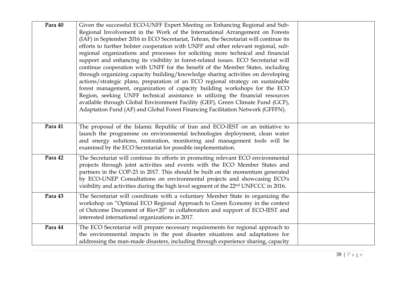| Para 40 | Given the successful ECO-UNFF Expert Meeting on Enhancing Regional and Sub-<br>Regional Involvement in the Work of the International Arrangement on Forests<br>(IAF) in September 2016 in ECO Secretariat, Tehran, the Secretariat will continue its<br>efforts to further bolster cooperation with UNFF and other relevant regional, sub-<br>regional organizations and processes for soliciting more technical and financial<br>support and enhancing its visibility in forest-related issues. ECO Secretariat will<br>continue cooperation with UNFF for the benefit of the Member States, including<br>through organizing capacity building/knowledge sharing activities on developing<br>actions/strategic plans, preparation of an ECO regional strategy on sustainable<br>forest management, organization of capacity building workshops for the ECO<br>Region, seeking UNFF technical assistance in utilizing the financial resources<br>available through Global Environment Facility (GEF), Green Climate Fund (GCF),<br>Adaptation Fund (AF) and Global Forest Financing Facilitation Network (GFFFN). |  |
|---------|-------------------------------------------------------------------------------------------------------------------------------------------------------------------------------------------------------------------------------------------------------------------------------------------------------------------------------------------------------------------------------------------------------------------------------------------------------------------------------------------------------------------------------------------------------------------------------------------------------------------------------------------------------------------------------------------------------------------------------------------------------------------------------------------------------------------------------------------------------------------------------------------------------------------------------------------------------------------------------------------------------------------------------------------------------------------------------------------------------------------|--|
| Para 41 | The proposal of the Islamic Republic of Iran and ECO-IEST on an initiative to<br>launch the programme on environmental technologies deployment, clean water<br>and energy solutions, restoration, monitoring and management tools will be<br>examined by the ECO Secretariat for possible implementation.                                                                                                                                                                                                                                                                                                                                                                                                                                                                                                                                                                                                                                                                                                                                                                                                         |  |
| Para 42 | The Secretariat will continue its efforts in promoting relevant ECO environmental<br>projects through joint activities and events with the ECO Member States and<br>partners in the COP-23 in 2017. This should be built on the momentum generated<br>by ECO-UNEP Consultations on environmental projects and showcasing ECO's<br>visibility and activities during the high level segment of the 22 <sup>nd</sup> UNFCCC in 2016.                                                                                                                                                                                                                                                                                                                                                                                                                                                                                                                                                                                                                                                                                 |  |
| Para 43 | The Secretariat will coordinate with a voluntary Member State in organizing the<br>workshop on "Optimal ECO Regional Approach to Green Economy in the context<br>of Outcome Document of Rio+20" in collaboration and support of ECO-IEST and<br>interested international organizations in 2017.                                                                                                                                                                                                                                                                                                                                                                                                                                                                                                                                                                                                                                                                                                                                                                                                                   |  |
| Para 44 | The ECO Secretariat will prepare necessary requirements for regional approach to<br>the environmental impacts in the post disaster situations and adaptations for<br>addressing the man-made disasters, including through experience sharing, capacity                                                                                                                                                                                                                                                                                                                                                                                                                                                                                                                                                                                                                                                                                                                                                                                                                                                            |  |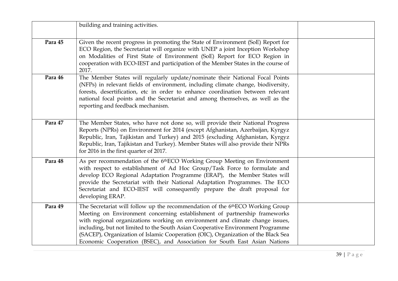|         | building and training activities.                                                                                                                                                                                                                                                                                                                                                                                                                                                                             |  |
|---------|---------------------------------------------------------------------------------------------------------------------------------------------------------------------------------------------------------------------------------------------------------------------------------------------------------------------------------------------------------------------------------------------------------------------------------------------------------------------------------------------------------------|--|
| Para 45 | Given the recent progress in promoting the State of Environment (SoE) Report for<br>ECO Region, the Secretariat will organize with UNEP a joint Inception Workshop<br>on Modalities of First State of Environment (SoE) Report for ECO Region in<br>cooperation with ECO-IEST and participation of the Member States in the course of<br>2017.                                                                                                                                                                |  |
| Para 46 | The Member States will regularly update/nominate their National Focal Points<br>(NFPs) in relevant fields of environment, including climate change, biodiversity,<br>forests, desertification, etc in order to enhance coordination between relevant<br>national focal points and the Secretariat and among themselves, as well as the<br>reporting and feedback mechanism.                                                                                                                                   |  |
| Para 47 | The Member States, who have not done so, will provide their National Progress<br>Reports (NPRs) on Environment for 2014 (except Afghanistan, Azerbaijan, Kyrgyz<br>Republic, Iran, Tajikistan and Turkey) and 2015 (excluding Afghanistan, Kyrgyz<br>Republic, Iran, Tajikistan and Turkey). Member States will also provide their NPRs<br>for 2016 in the first quarter of 2017.                                                                                                                             |  |
| Para 48 | As per recommendation of the 6 <sup>th</sup> ECO Working Group Meeting on Environment<br>with respect to establishment of Ad Hoc Group/Task Force to formulate and<br>develop ECO Regional Adaptation Programme (ERAP), the Member States will<br>provide the Secretariat with their National Adaptation Programmes. The ECO<br>Secretariat and ECO-IEST will consequently prepare the draft proposal for<br>developing ERAP.                                                                                 |  |
| Para 49 | The Secretariat will follow up the recommendation of the 6 <sup>th</sup> ECO Working Group<br>Meeting on Environment concerning establishment of partnership frameworks<br>with regional organizations working on environment and climate change issues,<br>including, but not limited to the South Asian Cooperative Environment Programme<br>(SACEP), Organization of Islamic Cooperation (OIC), Organization of the Black Sea<br>Economic Cooperation (BSEC), and Association for South East Asian Nations |  |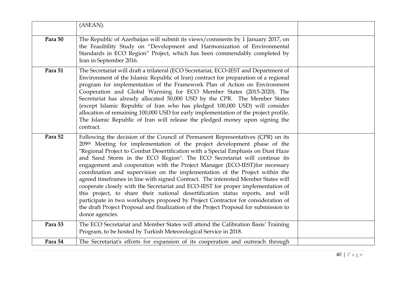|         | (ASEAN).                                                                                                                                                                                                                                                                                                                                                                                                                                                                                                                                                                                                                                                                                                                                                                                                                                                                                                                                               |  |
|---------|--------------------------------------------------------------------------------------------------------------------------------------------------------------------------------------------------------------------------------------------------------------------------------------------------------------------------------------------------------------------------------------------------------------------------------------------------------------------------------------------------------------------------------------------------------------------------------------------------------------------------------------------------------------------------------------------------------------------------------------------------------------------------------------------------------------------------------------------------------------------------------------------------------------------------------------------------------|--|
| Para 50 | The Republic of Azerbaijan will submit its views/comments by 1 January 2017, on<br>the Feasibility Study on "Development and Harmonization of Environmental<br>Standards in ECO Region" Project, which has been commendably completed by<br>Iran in September 2016.                                                                                                                                                                                                                                                                                                                                                                                                                                                                                                                                                                                                                                                                                    |  |
| Para 51 | The Secretariat will draft a trilateral (ECO Secretariat, ECO-IEST and Department of<br>Environment of the Islamic Republic of Iran) contract for preparation of a regional<br>program for implementation of the Framework Plan of Action on Environment<br>Cooperation and Global Warming for ECO Member States (2015-2020). The<br>Secretariat has already allocated 50,000 USD by the CPR. The Member States<br>(except Islamic Republic of Iran who has pledged 100,000 USD) will consider<br>allocation of remaining 100,000 USD for early implementation of the project profile.<br>The Islamic Republic of Iran will release the pledged money upon signing the<br>contract.                                                                                                                                                                                                                                                                    |  |
| Para 52 | Following the decision of the Council of Permanent Representatives (CPR) on its<br>209th Meeting for implementation of the project development phase of the<br>"Regional Project to Combat Desertification with a Special Emphasis on Dust Haze<br>and Sand Storm in the ECO Region". The ECO Secretariat will continue its<br>engagement and cooperation with the Project Manager (ECO-IEST) for necessary<br>coordination and supervision on the implementation of the Project within the<br>agreed timeframes in line with signed Contract. The interested Member States will<br>cooperate closely with the Secretariat and ECO-IEST for proper implementation of<br>this project, to share their national desertification status reports, and will<br>participate in two workshops proposed by Project Contractor for consideration of<br>the draft Project Proposal and finalization of the Project Proposal for submission to<br>donor agencies. |  |
| Para 53 | The ECO Secretariat and Member States will attend the Calibration Basis' Training<br>Program, to be hosted by Turkish Meteorological Service in 2018.                                                                                                                                                                                                                                                                                                                                                                                                                                                                                                                                                                                                                                                                                                                                                                                                  |  |
| Para 54 | The Secretariat's efforts for expansion of its cooperation and outreach through                                                                                                                                                                                                                                                                                                                                                                                                                                                                                                                                                                                                                                                                                                                                                                                                                                                                        |  |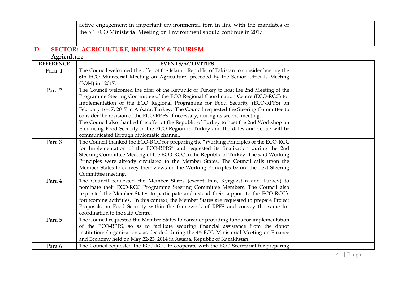|                    | active engagement in important environmental fora in line with the mandates of<br>the 5 <sup>th</sup> ECO Ministerial Meeting on Environment should continue in 2017. |  |
|--------------------|-----------------------------------------------------------------------------------------------------------------------------------------------------------------------|--|
| D.                 | <b>SECTOR: AGRICULTURE, INDUSTRY &amp; TOURISM</b>                                                                                                                    |  |
| <b>Agriculture</b> |                                                                                                                                                                       |  |
| <b>REFERENCE</b>   | <b>EVENTS/ACTIVITIES</b>                                                                                                                                              |  |
| Para 1             | The Council welcomed the offer of the Islamic Republic of Pakistan to consider hosting the                                                                            |  |
|                    | 6th ECO Ministerial Meeting on Agriculture, preceded by the Senior Officials Meeting                                                                                  |  |
|                    | (SOM) in i 2017.                                                                                                                                                      |  |
| Para 2             | The Council welcomed the offer of the Republic of Turkey to host the 2nd Meeting of the                                                                               |  |
|                    | Programme Steering Committee of the ECO Regional Coordination Centre (ECO-RCC) for                                                                                    |  |
|                    | Implementation of the ECO Regional Programme for Food Security (ECO-RPFS) on                                                                                          |  |
|                    | February 16-17, 2017 in Ankara, Turkey. The Council requested the Steering Committee to                                                                               |  |
|                    | consider the revision of the ECO-RPFS, if necessary, during its second meeting.                                                                                       |  |
|                    | The Council also thanked the offer of the Republic of Turkey to host the 2nd Workshop on                                                                              |  |
|                    | Enhancing Food Security in the ECO Region in Turkey and the dates and venue will be<br>communicated through diplomatic channel.                                       |  |
| Para 3             | The Council thanked the ECO-RCC for preparing the "Working Principles of the ECO-RCC                                                                                  |  |
|                    | for Implementation of the ECO-RPFS" and requested its finalization during the 2nd                                                                                     |  |
|                    | Steering Committee Meeting of the ECO-RCC in the Republic of Turkey. The said Working                                                                                 |  |
|                    | Principles were already circulated to the Member States. The Council calls upon the                                                                                   |  |
|                    | Member States to convey their views on the Working Principles before the next Steering                                                                                |  |
|                    | Committee meeting.                                                                                                                                                    |  |
| Para 4             | The Council requested the Member States (except Iran, Kyrgyzstan and Turkey) to                                                                                       |  |
|                    | nominate their ECO-RCC Programme Steering Committee Members. The Council also                                                                                         |  |
|                    | requested the Member States to participate and extend their support to the ECO-RCC's                                                                                  |  |
|                    | forthcoming activities. In this context, the Member States are requested to prepare Project                                                                           |  |
|                    | Proposals on Food Security within the framework of RPFS and convey the same for                                                                                       |  |
|                    | coordination to the said Centre.                                                                                                                                      |  |
| Para 5             | The Council requested the Member States to consider providing funds for implementation                                                                                |  |
|                    | of the ECO-RPFS, so as to facilitate securing financial assistance from the donor                                                                                     |  |
|                    | institutions/organizations, as decided during the 4 <sup>th</sup> ECO Ministerial Meeting on Finance                                                                  |  |
|                    | and Economy held on May 22-23, 2014 in Astana, Republic of Kazakhstan.                                                                                                |  |
| Para 6             | The Council requested the ECO-RCC to cooperate with the ECO Secretariat for preparing                                                                                 |  |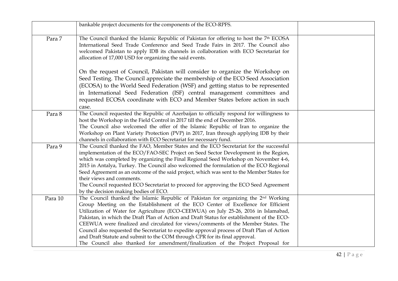|         | bankable project documents for the components of the ECO-RPFS.                                                                                                                                                                                                                                                                                                                                                                                                                                                                                                                                                                                                                                                                 |  |
|---------|--------------------------------------------------------------------------------------------------------------------------------------------------------------------------------------------------------------------------------------------------------------------------------------------------------------------------------------------------------------------------------------------------------------------------------------------------------------------------------------------------------------------------------------------------------------------------------------------------------------------------------------------------------------------------------------------------------------------------------|--|
| Para 7  | The Council thanked the Islamic Republic of Pakistan for offering to host the 7 <sup>th</sup> ECOSA<br>International Seed Trade Conference and Seed Trade Fairs in 2017. The Council also<br>welcomed Pakistan to apply IDB its channels in collaboration with ECO Secretariat for<br>allocation of 17,000 USD for organizing the said events.                                                                                                                                                                                                                                                                                                                                                                                 |  |
|         | On the request of Council, Pakistan will consider to organize the Workshop on<br>Seed Testing. The Council appreciate the membership of the ECO Seed Association<br>(ECOSA) to the World Seed Federation (WSF) and getting status to be represented<br>in International Seed Federation (ISF) central management committees and<br>requested ECOSA coordinate with ECO and Member States before action in such<br>case.                                                                                                                                                                                                                                                                                                        |  |
| Para 8  | The Council requested the Republic of Azerbaijan to officially respond for willingness to<br>host the Workshop in the Field Control in 2017 till the end of December 2016.<br>The Council also welcomed the offer of the Islamic Republic of Iran to organize the<br>Workshop on Plant Variety Protection (PVP) in 2017, Iran through applying IDB by their<br>channels in collaboration with ECO Secretariat for necessary fund.                                                                                                                                                                                                                                                                                              |  |
| Para 9  | The Council thanked the FAO, Member States and the ECO Secretariat for the successful<br>implementation of the ECO/FAO-SEC Project on Seed Sector Development in the Region,<br>which was completed by organizing the Final Regional Seed Workshop on November 4-6,<br>2015 in Antalya, Turkey. The Council also welcomed the formulation of the ECO Regional<br>Seed Agreement as an outcome of the said project, which was sent to the Member States for<br>their views and comments.<br>The Council requested ECO Secretariat to proceed for approving the ECO Seed Agreement<br>by the decision making bodies of ECO.                                                                                                      |  |
| Para 10 | The Council thanked the Islamic Republic of Pakistan for organizing the 2 <sup>nd</sup> Working<br>Group Meeting on the Establishment of the ECO Center of Excellence for Efficient<br>Utilization of Water for Agriculture (ECO-CEEWUA) on July 25-26, 2016 in Islamabad,<br>Pakistan, in which the Draft Plan of Action and Draft Status for establishment of the ECO-<br>CEEWUA were finalized and circulated for views/comments of the Member States. The<br>Council also requested the Secretariat to expedite approval process of Draft Plan of Action<br>and Draft Statute and submit to the COM through CPR for its final approval.<br>The Council also thanked for amendment/finalization of the Project Proposal for |  |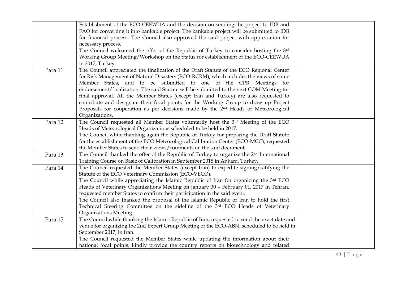|         | Establishment of the ECO-CEEWUA and the decision on sending the project to IDB and                    |  |
|---------|-------------------------------------------------------------------------------------------------------|--|
|         | FAO for converting it into bankable project. The bankable project will be submitted to IDB            |  |
|         | for financial process. The Council also approved the said project with appreciation for               |  |
|         | necessary process.                                                                                    |  |
|         | The Council welcomed the offer of the Republic of Turkey to consider hosting the 3rd                  |  |
|         | Working Group Meeting/Workshop on the Status for establishment of the ECO-CEEWUA                      |  |
|         | in 2017, Turkey.                                                                                      |  |
| Para 11 | The Council appreciated the finalization of the Draft Statute of the ECO Regional Center              |  |
|         | for Risk Management of Natural Disasters (ECO-RCRM), which includes the views of some                 |  |
|         | Member States, and to be submitted to one of the CPR Meetings for                                     |  |
|         | endorsement/finalization. The said Statute will be submitted to the next COM Meeting for              |  |
|         | final approval. All the Member States (except Iran and Turkey) are also requested to                  |  |
|         | contribute and designate their focal points for the Working Group to draw up Project                  |  |
|         | Proposals for cooperation as per decisions made by the 2 <sup>nd</sup> Heads of Meteorological        |  |
|         | Organizations.                                                                                        |  |
| Para 12 | The Council requested all Member States voluntarily host the 3rd Meeting of the ECO                   |  |
|         | Heads of Meteorological Organizations scheduled to be held in 2017.                                   |  |
|         | The Council while thanking again the Republic of Turkey for preparing the Draft Statute               |  |
|         | for the establishment of the ECO Meteorological Calibration Center (ECO-MCC), requested               |  |
|         | the Member States to send their views/comments on the said document.                                  |  |
| Para 13 | The Council thanked the offer of the Republic of Turkey to organize the 2 <sup>nd</sup> International |  |
|         | Training Course on Basic of Calibration in September 2018 in Ankara, Turkey.                          |  |
| Para 14 | The Council requested the Member States (except Iran) to expedite signing/ratifying the               |  |
|         | Statute of the ECO Veterinary Commission (ECO-VECO).                                                  |  |
|         | The Council while appreciating the Islamic Republic of Iran for organizing the 3rd ECO                |  |
|         | Heads of Veterinary Organizations Meeting on January 30 - February 01, 2017 in Tehran,                |  |
|         | requested member States to confirm their participation in the said event.                             |  |
|         | The Council also thanked the proposal of the Islamic Republic of Iran to hold the first               |  |
|         | Technical Steering Committee on the sideline of the 3rd ECO Heads of Veterinary                       |  |
|         | Organizations Meeting.                                                                                |  |
| Para 15 | The Council while thanking the Islamic Republic of Iran, requested to send the exact date and         |  |
|         | venue for organizing the 2nd Expert Group Meeting of the ECO-ABN, scheduled to be held in             |  |
|         | September 2017, in Iran.                                                                              |  |
|         | The Council requested the Member States while updating the information about their                    |  |
|         | national focal points, kindly provide the country reports on biotechnology and related                |  |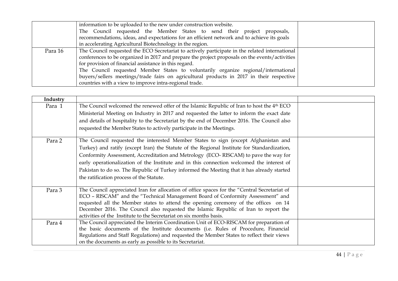|         | information to be uploaded to the new under construction website.                              |  |
|---------|------------------------------------------------------------------------------------------------|--|
|         | The Council requested the Member States to send their project proposals,                       |  |
|         | recommendations, ideas, and expectations for an efficient network and to achieve its goals     |  |
|         | in accelerating Agricultural Biotechnology in the region.                                      |  |
| Para 16 | The Council requested the ECO Secretariat to actively participate in the related international |  |
|         | conferences to be organized in 2017 and prepare the project proposals on the events/activities |  |
|         | for provision of financial assistance in this regard.                                          |  |
|         | The Council requested Member States to voluntarily organize regional/international             |  |
|         | buyers/sellers meetings/trade fairs on agricultural products in 2017 in their respective       |  |
|         | countries with a view to improve intra-regional trade.                                         |  |

| Industry |                                                                                                        |  |
|----------|--------------------------------------------------------------------------------------------------------|--|
| Para 1   | The Council welcomed the renewed offer of the Islamic Republic of Iran to host the 4 <sup>th</sup> ECO |  |
|          | Ministerial Meeting on Industry in 2017 and requested the latter to inform the exact date              |  |
|          | and details of hospitality to the Secretariat by the end of December 2016. The Council also            |  |
|          | requested the Member States to actively participate in the Meetings.                                   |  |
| Para 2   | The Council requested the interested Member States to sign (except Afghanistan and                     |  |
|          | Turkey) and ratify (except Iran) the Statute of the Regional Institute for Standardization,            |  |
|          | Conformity Assessment, Accreditation and Metrology (ECO-RISCAM) to pave the way for                    |  |
|          | early operationalization of the Institute and in this connection welcomed the interest of              |  |
|          | Pakistan to do so. The Republic of Turkey informed the Meeting that it has already started             |  |
|          | the ratification process of the Statute.                                                               |  |
| Para 3   | The Council appreciated Iran for allocation of office spaces for the "Central Secretariat of           |  |
|          | ECO - RISCAM" and the "Technical Management Board of Conformity Assessment" and                        |  |
|          | requested all the Member states to attend the opening ceremony of the offices on 14                    |  |
|          | December 2016. The Council also requested the Islamic Republic of Iran to report the                   |  |
|          | activities of the Institute to the Secretariat on six months basis.                                    |  |
| Para 4   | The Council appreciated the Interim Coordination Unit of ECO-RISCAM for preparation of                 |  |
|          | the basic documents of the Institute documents (i.e. Rules of Procedure, Financial                     |  |
|          | Regulations and Staff Regulations) and requested the Member States to reflect their views              |  |
|          | on the documents as early as possible to its Secretariat.                                              |  |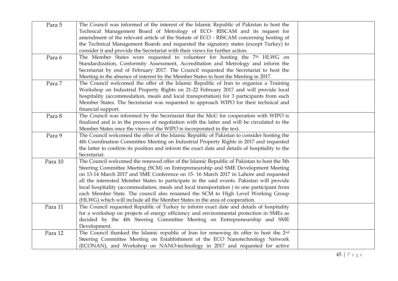| Para 5  | The Council was informed of the interest of the Islamic Republic of Pakistan to host the<br>Technical Management Board of Metrology of ECO- RISCAM and its request for<br>amendment of the relevant article of the Statute of ECO - RISCAM concerning hosting of<br>the Technical Management Boards and requested the signatory states (except Turkey) to<br>consider it and provide the Secretariat with their views for further action.                                                                                                                                                                                        |  |
|---------|----------------------------------------------------------------------------------------------------------------------------------------------------------------------------------------------------------------------------------------------------------------------------------------------------------------------------------------------------------------------------------------------------------------------------------------------------------------------------------------------------------------------------------------------------------------------------------------------------------------------------------|--|
| Para 6  | The Member States were requested to volunteer for hosting the 7 <sup>th</sup> HLWG on<br>Standardization, Conformity Assessment, Accreditation and Metrology and inform the<br>Secretariat by end of February 2017. The Council requested the Secretariat to host the<br>Meeting in the absence of interest by the Member States to host the Meeting in 2017.                                                                                                                                                                                                                                                                    |  |
| Para 7  | The Council welcomed the offer of the Islamic Republic of Iran to organize a Training<br>Workshop on Industrial Property Rights on 21-22 February 2017 and will provide local<br>hospitality (accommodation, meals and local transportation) for 3 participants from each<br>Member States. The Secretariat was requested to approach WIPO for their technical and<br>financial support.                                                                                                                                                                                                                                         |  |
| Para 8  | The Council was informed by the Secretariat that the MoU for cooperation with WIPO is<br>finalized and is in the process of negotiation with the latter and will be circulated to the<br>Member States once the views of the WIPO is incorporated in the text.                                                                                                                                                                                                                                                                                                                                                                   |  |
| Para 9  | The Council welcomed the offer of the Islamic Republic of Pakistan to consider hosting the<br>4th Coordination Committee Meeting on Industrial Property Rights in 2017 and requested<br>the latter to confirm its position and inform the exact date and details of hospitality to the<br>Secretariat.                                                                                                                                                                                                                                                                                                                           |  |
| Para 10 | The Council welcomed the renewed offer of the Islamic Republic of Pakistan to host the 5th<br>Steering Committee Meeting (SCM) on Entrepreneurship and SME Development Meeting<br>on 13-14 March 2017 and SME Conference on 15-16 March 2017 in Lahore and requested<br>all the interested Member States to participate in the said events. Pakistan will provide<br>local hospitality (accommodation, meals and local transportation) to one participant from<br>each Member State. The council also renamed the SCM to High Level Working Group<br>(HLWG) which will include all the Member States in the area of cooperation. |  |
| Para 11 | The Council requested Republic of Turkey to inform exact date and details of hospitality<br>for a workshop on projects of energy efficiency and environmental protection in SMEs as<br>decided by the 4th Steering Committee Meeting on Entrepreneurship and SME<br>Development.                                                                                                                                                                                                                                                                                                                                                 |  |
| Para 12 | The Council thanked the Islamic republic of Iran for renewing its offer to host the 2 <sup>nd</sup><br>Steering Committee Meeting on Establishment of the ECO Nanotechnology Network<br>(ECONAN), and Workshop on NANO-technology in 2017 and requested for active                                                                                                                                                                                                                                                                                                                                                               |  |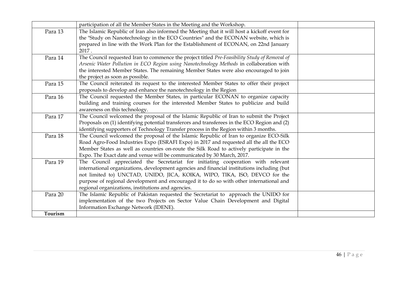|         | participation of all the Member States in the Meeting and the Workshop.                       |  |
|---------|-----------------------------------------------------------------------------------------------|--|
| Para 13 | The Islamic Republic of Iran also informed the Meeting that it will host a kickoff event for  |  |
|         | the "Study on Nanotechnology in the ECO Countries" and the ECONAN website, which is           |  |
|         | prepared in line with the Work Plan for the Establishment of ECONAN, on 22nd January          |  |
|         | 2017.                                                                                         |  |
| Para 14 | The Council requested Iran to commence the project titled Pre-Feasibility Study of Removal of |  |
|         | Arsenic Water Pollution in ECO Region using Nanotechnology Methods in collaboration with      |  |
|         | the interested Member States. The remaining Member States were also encouraged to join        |  |
|         | the project as soon as possible.                                                              |  |
| Para 15 | The Council reiterated its request to the interested Member States to offer their project     |  |
|         | proposals to develop and enhance the nanotechnology in the Region                             |  |
| Para 16 | The Council requested the Member States, in particular ECONAN to organize capacity            |  |
|         | building and training courses for the interested Member States to publicize and build         |  |
|         | awareness on this technology.                                                                 |  |
| Para 17 | The Council welcomed the proposal of the Islamic Republic of Iran to submit the Project       |  |
|         | Proposals on (1) identifying potential transferors and transferees in the ECO Region and (2)  |  |
|         | identifying supporters of Technology Transfer process in the Region within 3 months.          |  |
| Para 18 | The Council welcomed the proposal of the Islamic Republic of Iran to organize ECO-Silk        |  |
|         | Road Agro-Food Industries Expo (ESRAFI Expo) in 2017 and requested all the all the ECO        |  |
|         | Member States as well as countries on-route the Silk Road to actively participate in the      |  |
|         | Expo. The Exact date and venue will be communicated by 30 March, 2017.                        |  |
| Para 19 | The Council appreciated the Secretariat for initiating cooperation with relevant              |  |
|         | international organizations, development agencies and financial institutions including (but   |  |
|         | not limited to) UNCTAD, UNIDO, JICA, KOIKA, WIPO, TIKA, ISO, DEVCO for the                    |  |
|         | purpose of regional development and encouraged it to do so with other international and       |  |
|         | regional organizations, institutions and agencies.                                            |  |
| Para 20 | The Islamic Republic of Pakistan requested the Secretariat to approach the UNIDO for          |  |
|         | implementation of the two Projects on Sector Value Chain Development and Digital              |  |
|         | Information Exchange Network (IDENE).                                                         |  |
| Tourism |                                                                                               |  |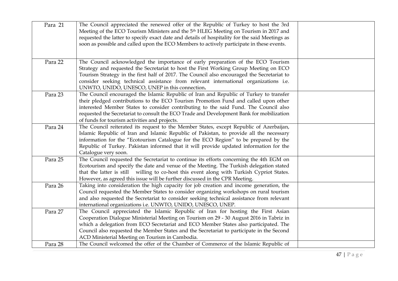| Para 21 | The Council appreciated the renewed offer of the Republic of Turkey to host the 3rd<br>Meeting of the ECO Tourism Ministers and the 5 <sup>th</sup> HLEG Meeting on Tourism in 2017 and<br>requested the latter to specify exact date and details of hospitality for the said Meetings as<br>soon as possible and called upon the ECO Members to actively participate in these events.                              |  |
|---------|---------------------------------------------------------------------------------------------------------------------------------------------------------------------------------------------------------------------------------------------------------------------------------------------------------------------------------------------------------------------------------------------------------------------|--|
| Para 22 | The Council acknowledged the importance of early preparation of the ECO Tourism<br>Strategy and requested the Secretariat to host the First Working Group Meeting on ECO<br>Tourism Strategy in the first half of 2017. The Council also encouraged the Secretariat to<br>consider seeking technical assistance from relevant international organizations i.e.<br>UNWTO, UNIDO, UNESCO, UNEP in this connection.    |  |
| Para 23 | The Council encouraged the Islamic Republic of Iran and Republic of Turkey to transfer<br>their pledged contributions to the ECO Tourism Promotion Fund and called upon other<br>interested Member States to consider contributing to the said Fund. The Council also<br>requested the Secretariat to consult the ECO Trade and Development Bank for mobilization<br>of funds for tourism activities and projects.  |  |
| Para 24 | The Council reiterated its request to the Member States, except Republic of Azerbaijan,<br>Islamic Republic of Iran and Islamic Republic of Pakistan, to provide all the necessary<br>information for the "Ecotourism Catalogue for the ECO Region" to be prepared by the<br>Republic of Turkey. Pakistan informed that it will provide updated information for the<br>Catalogue very soon.                         |  |
| Para 25 | The Council requested the Secretariat to continue its efforts concerning the 4th EGM on<br>Ecotourism and specify the date and venue of the Meeting. The Turkish delegation stated<br>that the latter is still willing to co-host this event along with Turkish Cypriot States.<br>However, as agreed this issue will be further discussed in the CPR Meeting.                                                      |  |
| Para 26 | Taking into consideration the high capacity for job creation and income generation, the<br>Council requested the Member States to consider organizing workshops on rural tourism<br>and also requested the Secretariat to consider seeking technical assistance from relevant<br>international organizations i.e. UNWTO, UNIDO, UNESCO, UNEP.                                                                       |  |
| Para 27 | The Council appreciated the Islamic Republic of Iran for hosting the First Asian<br>Cooperation Dialogue Ministerial Meeting on Tourism on 29 - 30 August 2016 in Tabriz in<br>which a delegation from ECO Secretariat and ECO Member States also participated. The<br>Council also requested the Member States and the Secretariat to participate in the Second<br>ACD Ministerial Meeting on Tourism in Cambodia. |  |
| Para 28 | The Council welcomed the offer of the Chamber of Commerce of the Islamic Republic of                                                                                                                                                                                                                                                                                                                                |  |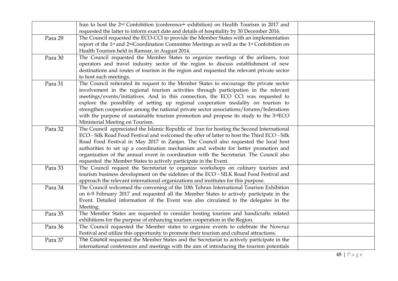|         | Iran to host the 2 <sup>nd</sup> Confobition (conference+ exhibition) on Health Tourism in 2017 and                             |  |
|---------|---------------------------------------------------------------------------------------------------------------------------------|--|
|         | requested the latter to inform exact date and details of hospitality by 30 December 2016.                                       |  |
| Para 29 | The Council requested the ECO-CCI to provide the Member States with an implementation                                           |  |
|         | report of the 1 <sup>st</sup> and 2 <sup>nd</sup> Coordination Committee Meetings as well as the 1 <sup>st</sup> Confobition on |  |
|         | Health Tourism held in Ramsar, in August 2014.                                                                                  |  |
| Para 30 | The Council requested the Member States to organize meetings of the airliners, tour                                             |  |
|         | operators and travel industry sector of the region to discuss establishment of new                                              |  |
|         | destinations and routes of tourism in the region and requested the relevant private sector                                      |  |
|         | to host such meetings.                                                                                                          |  |
| Para 31 | The Council reiterated its request to the Member States to encourage the private sector                                         |  |
|         | involvement in the regional tourism activities through participation in the relevant                                            |  |
|         | meetings/events/initiatives. And in this connection, the ECO CCI was requested to                                               |  |
|         | explore the possibility of setting up regional cooperation modality on tourism to                                               |  |
|         | strengthen cooperation among the national private sector associations/forums/federations                                        |  |
|         | with the purpose of sustainable tourism promotion and propose its study to the 3rdECO                                           |  |
|         | Ministerial Meeting on Tourism.                                                                                                 |  |
| Para 32 | The Council appreciated the Islamic Republic of Iran for hosting the Second International                                       |  |
|         | ECO - Silk Road Food Festival and welcomed the offer of latter to host the Third ECO - Silk                                     |  |
|         | Road Food Festival in May 2017 in Zanjan. The Council also requested the local host                                             |  |
|         | authorities to set up a coordination mechanism and website for better promotion and                                             |  |
|         | organization of the annual event in coordination with the Secretariat. The Council also                                         |  |
|         | requested the Member States to actively participate in the Event.                                                               |  |
| Para 33 | The Council request the Secretariat to organize workshops on culinary tourism and                                               |  |
|         | tourism business development on the sidelines of the ECO - SILK Road Food Festival and                                          |  |
|         | approach the relevant international organizations and institutes for this purpose.                                              |  |
| Para 34 | The Council welcomed the convening of the 10th Tehran International Tourism Exhibition                                          |  |
|         | on 6-9 February 2017 and requested all the Member States to actively participate in the                                         |  |
|         | Event. Detailed information of the Event was also circulated to the delegates in the                                            |  |
|         | Meeting.                                                                                                                        |  |
| Para 35 | The Member States are requested to consider hosting tourism and handicrafts related                                             |  |
|         | exhibitions for the purpose of enhancing tourism cooperation in the Region.                                                     |  |
| Para 36 | The Council requested the Member states to organize events to celebrate the Nowruz                                              |  |
|         | Festival and utilize this opportunity to promote their tourism and cultural attractions.                                        |  |
| Para 37 | The Council requested the Member States and the Secretariat to actively participate in the                                      |  |
|         | international conferences and meetings with the aim of introducing the tourism potentials                                       |  |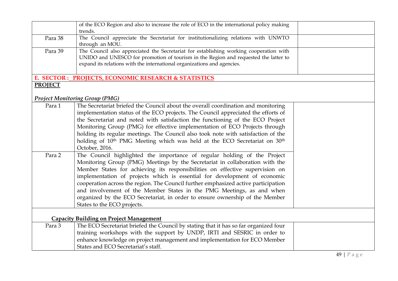|                | of the ECO Region and also to increase the role of ECO in the international policy making         |  |
|----------------|---------------------------------------------------------------------------------------------------|--|
|                | trends.                                                                                           |  |
| Para 38        | The Council appreciate the Secretariat for institutionalizing relations with UNWTO                |  |
|                | through an MOU.                                                                                   |  |
| Para 39        | The Council also appreciated the Secretariat for establishing working cooperation with            |  |
|                | UNIDO and UNESCO for promotion of tourism in the Region and requested the latter to               |  |
|                | expand its relations with the international organizations and agencies.                           |  |
|                | E. SECTOR : PROJECTS, ECONOMIC RESEARCH & STATISTICS                                              |  |
| <b>PROJECT</b> |                                                                                                   |  |
|                |                                                                                                   |  |
|                | <b>Project Monitoring Group (PMG)</b>                                                             |  |
| Para 1         | The Secretariat briefed the Council about the overall coordination and monitoring                 |  |
|                | implementation status of the ECO projects. The Council appreciated the efforts of                 |  |
|                | the Secretariat and noted with satisfaction the functioning of the ECO Project                    |  |
|                | Monitoring Group (PMG) for effective implementation of ECO Projects through                       |  |
|                | holding its regular meetings. The Council also took note with satisfaction of the                 |  |
|                | holding of 10 <sup>th</sup> PMG Meeting which was held at the ECO Secretariat on 30 <sup>th</sup> |  |
|                | October, 2016.                                                                                    |  |
| Para 2         | The Council highlighted the importance of regular holding of the Project                          |  |
|                | Monitoring Group (PMG) Meetings by the Secretariat in collaboration with the                      |  |
|                | Member States for achieving its responsibilities on effective supervision on                      |  |
|                | implementation of projects which is essential for development of economic                         |  |
|                | cooperation across the region. The Council further emphasized active participation                |  |
|                | and involvement of the Member States in the PMG Meetings, as and when                             |  |
|                | organized by the ECO Secretariat, in order to ensure ownership of the Member                      |  |
|                | States to the ECO projects.                                                                       |  |
|                |                                                                                                   |  |
|                | <b>Capacity Building on Project Management</b>                                                    |  |
| Para 3         | The ECO Secretariat briefed the Council by stating that it has so far organized four              |  |
|                | training workshops with the support by UNDP, IRTI and SESRIC in order to                          |  |
|                | enhance knowledge on project management and implementation for ECO Member                         |  |
|                | States and ECO Secretariat's staff.                                                               |  |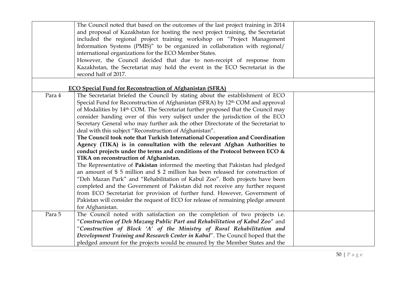|        | The Council noted that based on the outcomes of the last project training in 2014            |  |
|--------|----------------------------------------------------------------------------------------------|--|
|        | and proposal of Kazakhstan for hosting the next project training, the Secretariat            |  |
|        | included the regional project training workshop on "Project Management                       |  |
|        | Information Systems (PMIS)" to be organized in collaboration with regional/                  |  |
|        | international organizations for the ECO Member States.                                       |  |
|        | However, the Council decided that due to non-receipt of response from                        |  |
|        | Kazakhstan, the Secretariat may hold the event in the ECO Secretariat in the                 |  |
|        | second half of 2017.                                                                         |  |
|        |                                                                                              |  |
|        | <b>ECO Special Fund for Reconstruction of Afghanistan (SFRA)</b>                             |  |
| Para 4 | The Secretariat briefed the Council by stating about the establishment of ECO                |  |
|        | Special Fund for Reconstruction of Afghanistan (SFRA) by 12 <sup>th</sup> COM and approval   |  |
|        | of Modalities by 14 <sup>th</sup> COM. The Secretariat further proposed that the Council may |  |
|        | consider handing over of this very subject under the jurisdiction of the ECO                 |  |
|        | Secretary General who may further ask the other Directorate of the Secretariat to            |  |
|        | deal with this subject "Reconstruction of Afghanistan".                                      |  |
|        | The Council took note that Turkish International Cooperation and Coordination                |  |
|        | Agency (TIKA) is in consultation with the relevant Afghan Authorities to                     |  |
|        | conduct projects under the terms and conditions of the Protocol between ECO &                |  |
|        | TIKA on reconstruction of Afghanistan.                                                       |  |
|        | The Representative of Pakistan informed the meeting that Pakistan had pledged                |  |
|        | an amount of $$5$ million and $$2$ million has been released for construction of             |  |
|        | "Deh Mazan Park" and "Rehabilitation of Kabul Zoo". Both projects have been                  |  |
|        | completed and the Government of Pakistan did not receive any further request                 |  |
|        | from ECO Secretariat for provision of further fund. However, Government of                   |  |
|        | Pakistan will consider the request of ECO for release of remaining pledge amount             |  |
|        | for Afghanistan.                                                                             |  |
| Para 5 | The Council noted with satisfaction on the completion of two projects i.e.                   |  |
|        | "Construction of Deh Mazang Public Part and Rehabilitation of Kabul Zoo" and                 |  |
|        | "Construction of Block 'A' of the Ministry of Rural Rehabilitation and                       |  |
|        | Development Training and Research Center in Kabul". The Council hoped that the               |  |
|        | pledged amount for the projects would be ensured by the Member States and the                |  |
|        |                                                                                              |  |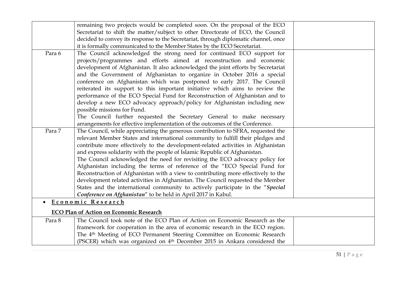|        | remaining two projects would be completed soon. On the proposal of the ECO            |  |
|--------|---------------------------------------------------------------------------------------|--|
|        | Secretariat to shift the matter/subject to other Directorate of ECO, the Council      |  |
|        | decided to convey its response to the Secretariat, through diplomatic channel, once   |  |
|        | it is formally communicated to the Member States by the ECO Secretariat.              |  |
| Para 6 | The Council acknowledged the strong need for continued ECO support for                |  |
|        | projects/programmes and efforts aimed at reconstruction and economic                  |  |
|        | development of Afghanistan. It also acknowledged the joint efforts by Secretariat     |  |
|        | and the Government of Afghanistan to organize in October 2016 a special               |  |
|        | conference on Afghanistan which was postponed to early 2017. The Council              |  |
|        | reiterated its support to this important initiative which aims to review the          |  |
|        | performance of the ECO Special Fund for Reconstruction of Afghanistan and to          |  |
|        | develop a new ECO advocacy approach/policy for Afghanistan including new              |  |
|        | possible missions for Fund.                                                           |  |
|        | The Council further requested the Secretary General to make necessary                 |  |
|        | arrangements for effective implementation of the outcomes of the Conference.          |  |
| Para 7 | The Council, while appreciating the generous contribution to SFRA, requested the      |  |
|        | relevant Member States and international community to fulfill their pledges and       |  |
|        | contribute more effectively to the development-related activities in Afghanistan      |  |
|        | and express solidarity with the people of Islamic Republic of Afghanistan.            |  |
|        | The Council acknowledged the need for revisiting the ECO advocacy policy for          |  |
|        | Afghanistan including the terms of reference of the "ECO Special Fund for             |  |
|        | Reconstruction of Afghanistan with a view to contributing more effectively to the     |  |
|        | development related activities in Afghanistan. The Council requested the Member       |  |
|        | States and the international community to actively participate in the "Special        |  |
|        | Conference on Afghanistan" to be held in April 2017 in Kabul.                         |  |
|        | Economic Research                                                                     |  |
|        | <b>ECO Plan of Action on Economic Research</b>                                        |  |
| Para 8 | The Council took note of the ECO Plan of Action on Economic Research as the           |  |
|        | framework for cooperation in the area of economic research in the ECO region.         |  |
|        | The 4 <sup>th</sup> Meeting of ECO Permanent Steering Committee on Economic Research  |  |
|        | (PSCER) which was organized on 4 <sup>th</sup> December 2015 in Ankara considered the |  |
|        |                                                                                       |  |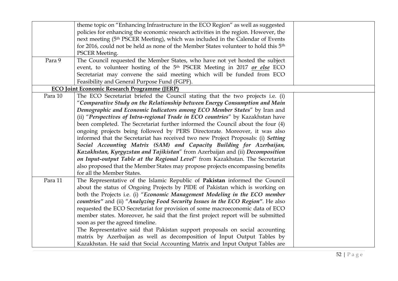|         | theme topic on "Enhancing Infrastructure in the ECO Region" as well as suggested                |  |
|---------|-------------------------------------------------------------------------------------------------|--|
|         | policies for enhancing the economic research activities in the region. However, the             |  |
|         | next meeting (5 <sup>th</sup> PSCER Meeting), which was included in the Calendar of Events      |  |
|         | for 2016, could not be held as none of the Member States volunteer to hold this 5 <sup>th</sup> |  |
|         | <b>PSCER Meeting.</b>                                                                           |  |
| Para 9  | The Council requested the Member States, who have not yet hosted the subject                    |  |
|         | event, to volunteer hosting of the 5 <sup>th</sup> PSCER Meeting in 2017 or else ECO            |  |
|         | Secretariat may convene the said meeting which will be funded from ECO                          |  |
|         | Feasibility and General Purpose Fund (FGPF).                                                    |  |
|         | <b>ECO Joint Economic Research Programme (JERP)</b>                                             |  |
| Para 10 | The ECO Secretariat briefed the Council stating that the two projects i.e. (i)                  |  |
|         | "Comparative Study on the Relationship between Energy Consumption and Main                      |  |
|         | Demographic and Economic Indicators among ECO Member States" by Iran and                        |  |
|         | (ii) "Perspectives of Intra-regional Trade in ECO countries" by Kazakhstan have                 |  |
|         | been completed. The Secretariat further informed the Council about the four (4)                 |  |
|         | ongoing projects being followed by PERS Directorate. Moreover, it was also                      |  |
|         | informed that the Secretariat has received two new Project Proposals: (i) Setting               |  |
|         | Social Accounting Matrix (SAM) and Capacity Building for Azerbaijan,                            |  |
|         | Kazakhstan, Kyrgyzstan and Tajikistan" from Azerbaijan and (ii) Decomposition                   |  |
|         | on Input-output Table at the Regional Level" from Kazakhstan. The Secretariat                   |  |
|         | also proposed that the Member States may propose projects encompassing benefits                 |  |
|         | for all the Member States.                                                                      |  |
| Para 11 | The Representative of the Islamic Republic of Pakistan informed the Council                     |  |
|         | about the status of Ongoing Projects by PIDE of Pakistan which is working on                    |  |
|         | both the Projects i.e. (i) "Economic Management Modeling in the ECO member                      |  |
|         | countries" and (ii) "Analyzing Food Security Issues in the ECO Region". He also                 |  |
|         | requested the ECO Secretariat for provision of some macroeconomic data of ECO                   |  |
|         | member states. Moreover, he said that the first project report will be submitted                |  |
|         | soon as per the agreed timeline.                                                                |  |
|         | The Representative said that Pakistan support proposals on social accounting                    |  |
|         | matrix by Azerbaijan as well as decomposition of Input Output Tables by                         |  |
|         | Kazakhstan. He said that Social Accounting Matrix and Input Output Tables are                   |  |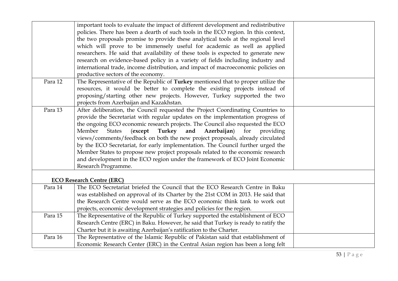|         | important tools to evaluate the impact of different development and redistributive     |  |
|---------|----------------------------------------------------------------------------------------|--|
|         | policies. There has been a dearth of such tools in the ECO region. In this context,    |  |
|         | the two proposals promise to provide these analytical tools at the regional level      |  |
|         | which will prove to be immensely useful for academic as well as applied                |  |
|         | researchers. He said that availability of these tools is expected to generate new      |  |
|         | research on evidence-based policy in a variety of fields including industry and        |  |
|         | international trade, income distribution, and impact of macroeconomic policies on      |  |
|         | productive sectors of the economy.                                                     |  |
| Para 12 | The Representative of the Republic of Turkey mentioned that to proper utilize the      |  |
|         | resources, it would be better to complete the existing projects instead of             |  |
|         | proposing/starting other new projects. However, Turkey supported the two               |  |
|         | projects from Azerbaijan and Kazakhstan.                                               |  |
| Para 13 | After deliberation, the Council requested the Project Coordinating Countries to        |  |
|         | provide the Secretariat with regular updates on the implementation progress of         |  |
|         | the ongoing ECO economic research projects. The Council also requested the ECO         |  |
|         | Member<br>Azerbaijan)<br><b>States</b><br>(except<br>Turkey<br>and<br>for<br>providing |  |
|         | views/comments/feedback on both the new project proposals, already circulated          |  |
|         | by the ECO Secretariat, for early implementation. The Council further urged the        |  |
|         | Member States to propose new project proposals related to the economic research        |  |
|         | and development in the ECO region under the framework of ECO Joint Economic            |  |
|         | Research Programme.                                                                    |  |
|         |                                                                                        |  |
|         | <b>ECO Research Centre (ERC)</b>                                                       |  |
| Para 14 | The ECO Secretariat briefed the Council that the ECO Research Centre in Baku           |  |
|         | was established on approval of its Charter by the 21st COM in 2013. He said that       |  |
|         | the Research Centre would serve as the ECO economic think tank to work out             |  |
|         | projects, economic development strategies and policies for the region.                 |  |
| Para 15 | The Representative of the Republic of Turkey supported the establishment of ECO        |  |
|         | Research Centre (ERC) in Baku. However, he said that Turkey is ready to ratify the     |  |
|         | Charter but it is awaiting Azerbaijan's ratification to the Charter.                   |  |
| Para 16 | The Representative of the Islamic Republic of Pakistan said that establishment of      |  |
|         | Economic Research Center (ERC) in the Central Asian region has been a long felt        |  |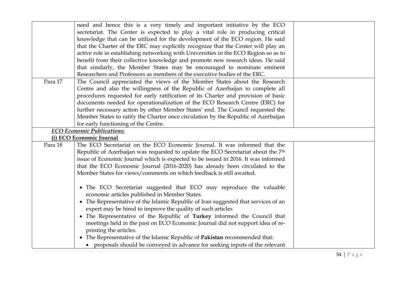|         | need and hence this is a very timely and important initiative by the ECO                     |
|---------|----------------------------------------------------------------------------------------------|
|         | secretariat. The Center is expected to play a vital role in producing critical               |
|         | knowledge that can be utilized for the development of the ECO region. He said                |
|         | that the Charter of the ERC may explicitly recognize that the Center will play an            |
|         | active role in establishing networking with Universities in the ECO Region so as to          |
|         | benefit from their collective knowledge and promote new research ideas. He said              |
|         | that similarly, the Member States may be encouraged to nominate eminent                      |
|         | Researchers and Professors as members of the executive bodies of the ERC.                    |
| Para 17 | The Council appreciated the views of the Member States about the Research                    |
|         | Centre and also the willingness of the Republic of Azerbaijan to complete all                |
|         | procedures requested for early ratification of its Charter and provision of basic            |
|         | documents needed for operationalization of the ECO Research Centre (ERC) for                 |
|         | further necessary action by other Member States' end. The Council requested the              |
|         | Member States to ratify the Charter once circulation by the Republic of Azerbaijan           |
|         | for early functioning of the Centre.                                                         |
|         | <b>ECO</b> Economic Publications:                                                            |
|         | (i) ECO Economic Journal                                                                     |
| Para 18 | The ECO Secretariat on the ECO Economic Journal. It was informed that the                    |
|         | Republic of Azerbaijan was requested to update the ECO Secretariat about the 7 <sup>th</sup> |
|         | issue of Economic Journal which is expected to be issued in 2016. It was informed            |
|         | that the ECO Economic Journal (2016-2020) has already been circulated to the                 |
|         | Member States for views/comments on which feedback is still awaited.                         |
|         |                                                                                              |
|         | • The ECO Secretariat suggested that ECO may reproduce the valuable                          |
|         | economic articles published in Member States.                                                |
|         | • The Representative of the Islamic Republic of Iran suggested that services of an           |
|         | expert may be hired to improve the quality of such articles                                  |
|         | • The Representative of the Republic of Turkey informed the Council that                     |
|         | meetings held in the past on ECO Economic Journal did not support idea of re-                |
|         | printing the articles.                                                                       |
|         | • The Representative of the Islamic Republic of Pakistan recommended that:                   |
|         | • proposals should be conveyed in advance for seeking inputs of the relevant                 |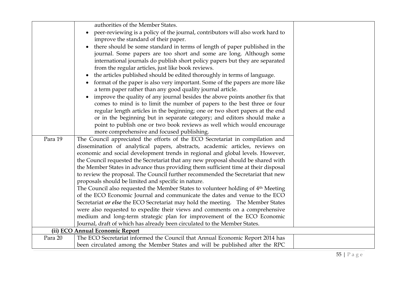|         | authorities of the Member States.                                                            |  |
|---------|----------------------------------------------------------------------------------------------|--|
|         |                                                                                              |  |
|         | peer-reviewing is a policy of the journal, contributors will also work hard to               |  |
|         | improve the standard of their paper.                                                         |  |
|         | there should be some standard in terms of length of paper published in the                   |  |
|         | journal. Some papers are too short and some are long. Although some                          |  |
|         | international journals do publish short policy papers but they are separated                 |  |
|         | from the regular articles, just like book reviews.                                           |  |
|         | the articles published should be edited thoroughly in terms of language.                     |  |
|         | format of the paper is also very important. Some of the papers are more like                 |  |
|         | a term paper rather than any good quality journal article.                                   |  |
|         | improve the quality of any journal besides the above points another fix that                 |  |
|         | comes to mind is to limit the number of papers to the best three or four                     |  |
|         | regular length articles in the beginning; one or two short papers at the end                 |  |
|         | or in the beginning but in separate category; and editors should make a                      |  |
|         | point to publish one or two book reviews as well which would encourage                       |  |
|         | more comprehensive and focused publishing.                                                   |  |
| Para 19 | The Council appreciated the efforts of the ECO Secretariat in compilation and                |  |
|         | dissemination of analytical papers, abstracts, academic articles, reviews on                 |  |
|         | economic and social development trends in regional and global levels. However,               |  |
|         | the Council requested the Secretariat that any new proposal should be shared with            |  |
|         | the Member States in advance thus providing them sufficient time at their disposal           |  |
|         | to review the proposal. The Council further recommended the Secretariat that new             |  |
|         | proposals should be limited and specific in nature.                                          |  |
|         | The Council also requested the Member States to volunteer holding of 4 <sup>th</sup> Meeting |  |
|         | of the ECO Economic Journal and communicate the dates and venue to the ECO                   |  |
|         | Secretariat or else the ECO Secretariat may hold the meeting. The Member States              |  |
|         | were also requested to expedite their views and comments on a comprehensive                  |  |
|         | medium and long-term strategic plan for improvement of the ECO Economic                      |  |
|         | Journal, draft of which has already been circulated to the Member States.                    |  |
|         | (ii) ECO Annual Economic Report                                                              |  |
| Para 20 | The ECO Secretariat informed the Council that Annual Economic Report 2014 has                |  |
|         | been circulated among the Member States and will be published after the RPC                  |  |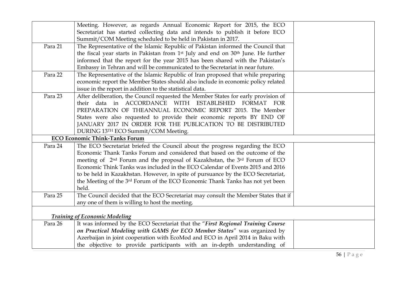|         | Meeting. However, as regards Annual Economic Report for 2015, the ECO                                     |  |
|---------|-----------------------------------------------------------------------------------------------------------|--|
|         | Secretariat has started collecting data and intends to publish it before ECO                              |  |
|         | Summit/COM Meeting scheduled to be held in Pakistan in 2017.                                              |  |
| Para 21 | The Representative of the Islamic Republic of Pakistan informed the Council that                          |  |
|         | the fiscal year starts in Pakistan from 1 <sup>st</sup> July and end on 30 <sup>th</sup> June. He further |  |
|         | informed that the report for the year 2015 has been shared with the Pakistan's                            |  |
|         | Embassy in Tehran and will be communicated to the Secretariat in near future.                             |  |
| Para 22 | The Representative of the Islamic Republic of Iran proposed that while preparing                          |  |
|         | economic report the Member States should also include in economic policy related                          |  |
|         | issue in the report in addition to the statistical data.                                                  |  |
| Para 23 | After deliberation, the Council requested the Member States for early provision of                        |  |
|         | their data in ACCORDANCE WITH ESTABLISHED FORMAT FOR                                                      |  |
|         | PREPARATION OF THEANNUAL ECONOMIC REPORT 2015. The Member                                                 |  |
|         | States were also requested to provide their economic reports BY END OF                                    |  |
|         | JANUARY 2017 IN ORDER FOR THE PUBLICATION TO BE DISTRIBUTED                                               |  |
|         | DURING 13TH ECO Summit/COM Meeting.                                                                       |  |
|         | <b>ECO Economic Think-Tanks Forum</b>                                                                     |  |
| Para 24 | The ECO Secretariat briefed the Council about the progress regarding the ECO                              |  |
|         | Economic Thank Tanks Forum and considered that based on the outcome of the                                |  |
|         | meeting of 2 <sup>nd</sup> Forum and the proposal of Kazakhstan, the 3 <sup>rd</sup> Forum of ECO         |  |
|         | Economic Think Tanks was included in the ECO Calendar of Events 2015 and 2016                             |  |
|         | to be held in Kazakhstan. However, in spite of pursuance by the ECO Secretariat,                          |  |
|         | the Meeting of the 3rd Forum of the ECO Economic Thank Tanks has not yet been                             |  |
|         | held.                                                                                                     |  |
| Para 25 | The Council decided that the ECO Secretariat may consult the Member States that if                        |  |
|         | any one of them is willing to host the meeting.                                                           |  |
|         |                                                                                                           |  |
|         | <b>Training of Economic Modeling</b>                                                                      |  |
| Para 26 | It was informed by the ECO Secretariat that the "First Regional Training Course                           |  |
|         | on Practical Modeling with GAMS for ECO Member States" was organized by                                   |  |
|         |                                                                                                           |  |
|         | Azerbaijan in joint cooperation with EcoMod and ECO in April 2014 in Baku with                            |  |
|         | the objective to provide participants with an in-depth understanding of                                   |  |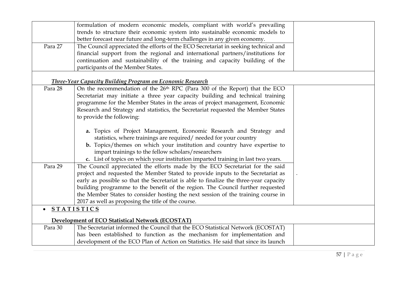|           | formulation of modern economic models, compliant with world's prevailing              |  |
|-----------|---------------------------------------------------------------------------------------|--|
|           | trends to structure their economic system into sustainable economic models to         |  |
|           | better forecast near future and long-term challenges in any given economy.            |  |
| Para 27   | The Council appreciated the efforts of the ECO Secretariat in seeking technical and   |  |
|           | financial support from the regional and international partners/institutions for       |  |
|           | continuation and sustainability of the training and capacity building of the          |  |
|           | participants of the Member States.                                                    |  |
|           | <b>Three-Year Capacity Building Program on Economic Research</b>                      |  |
| Para 28   | On the recommendation of the 26th RPC (Para 300 of the Report) that the ECO           |  |
|           | Secretariat may initiate a three year capacity building and technical training        |  |
|           | programme for the Member States in the areas of project management, Economic          |  |
|           | Research and Strategy and statistics, the Secretariat requested the Member States     |  |
|           | to provide the following:                                                             |  |
|           |                                                                                       |  |
|           | a. Topics of Project Management, Economic Research and Strategy and                   |  |
|           | statistics, where trainings are required/ needed for your country                     |  |
|           | b. Topics/themes on which your institution and country have expertise to              |  |
|           | impart trainings to the fellow scholars/researchers                                   |  |
|           | c. List of topics on which your institution imparted training in last two years.      |  |
| Para 29   | The Council appreciated the efforts made by the ECO Secretariat for the said          |  |
|           | project and requested the Member Stated to provide inputs to the Secretariat as       |  |
|           | early as possible so that the Secretariat is able to finalize the three-year capacity |  |
|           | building programme to the benefit of the region. The Council further requested        |  |
|           | the Member States to consider hosting the next session of the training course in      |  |
|           | 2017 as well as proposing the title of the course.                                    |  |
| $\bullet$ | <b>STATISTICS</b>                                                                     |  |
|           |                                                                                       |  |
|           | <b>Development of ECO Statistical Network (ECOSTAT)</b>                               |  |
| Para 30   | The Secretariat informed the Council that the ECO Statistical Network (ECOSTAT)       |  |
|           | has been established to function as the mechanism for implementation and              |  |
|           | development of the ECO Plan of Action on Statistics. He said that since its launch    |  |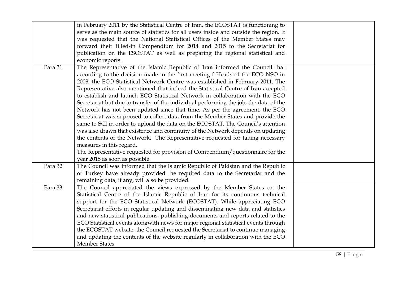|         | in February 2011 by the Statistical Centre of Iran, the ECOSTAT is functioning to<br>serve as the main source of statistics for all users inside and outside the region. It<br>was requested that the National Statistical Offices of the Member States may<br>forward their filled-in Compendium for 2014 and 2015 to the Secretariat for<br>publication on the ESOSTAT as well as preparing the regional statistical and<br>economic reports.                                                                                                                                                                                                                                                                                                                                                                                                                                                                                                                                                                                                        |  |
|---------|--------------------------------------------------------------------------------------------------------------------------------------------------------------------------------------------------------------------------------------------------------------------------------------------------------------------------------------------------------------------------------------------------------------------------------------------------------------------------------------------------------------------------------------------------------------------------------------------------------------------------------------------------------------------------------------------------------------------------------------------------------------------------------------------------------------------------------------------------------------------------------------------------------------------------------------------------------------------------------------------------------------------------------------------------------|--|
| Para 31 | The Representative of the Islamic Republic of Iran informed the Council that<br>according to the decision made in the first meeting f Heads of the ECO NSO in<br>2008, the ECO Statistical Network Centre was established in February 2011. The<br>Representative also mentioned that indeed the Statistical Centre of Iran accepted<br>to establish and launch ECO Statistical Network in collaboration with the ECO<br>Secretariat but due to transfer of the individual performing the job, the data of the<br>Network has not been updated since that time. As per the agreement, the ECO<br>Secretariat was supposed to collect data from the Member States and provide the<br>same to SCI in order to upload the data on the ECOSTAT. The Council's attention<br>was also drawn that existence and continuity of the Network depends on updating<br>the contents of the Network. The Representative requested for taking necessary<br>measures in this regard.<br>The Representative requested for provision of Compendium/questionnaire for the |  |
| Para 32 | year 2015 as soon as possible.<br>The Council was informed that the Islamic Republic of Pakistan and the Republic<br>of Turkey have already provided the required data to the Secretariat and the<br>remaining data, if any, will also be provided.                                                                                                                                                                                                                                                                                                                                                                                                                                                                                                                                                                                                                                                                                                                                                                                                    |  |
| Para 33 | The Council appreciated the views expressed by the Member States on the<br>Statistical Centre of the Islamic Republic of Iran for its continuous technical<br>support for the ECO Statistical Network (ECOSTAT). While appreciating ECO<br>Secretariat efforts in regular updating and disseminating new data and statistics<br>and new statistical publications, publishing documents and reports related to the<br>ECO Statistical events alongwith news for major regional statistical events through<br>the ECOSTAT website, the Council requested the Secretariat to continue managing<br>and updating the contents of the website regularly in collaboration with the ECO<br><b>Member States</b>                                                                                                                                                                                                                                                                                                                                                |  |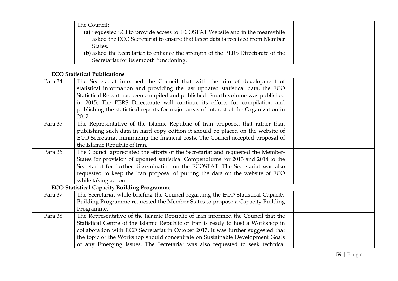|         | The Council:                                                                          |  |
|---------|---------------------------------------------------------------------------------------|--|
|         | (a) requested SCI to provide access to ECOSTAT Website and in the meanwhile           |  |
|         | asked the ECO Secretariat to ensure that latest data is received from Member          |  |
|         | States.                                                                               |  |
|         | (b) asked the Secretariat to enhance the strength of the PERS Directorate of the      |  |
|         | Secretariat for its smooth functioning.                                               |  |
|         |                                                                                       |  |
|         | <b>ECO Statistical Publications</b>                                                   |  |
| Para 34 | The Secretariat informed the Council that with the aim of development of              |  |
|         | statistical information and providing the last updated statistical data, the ECO      |  |
|         | Statistical Report has been compiled and published. Fourth volume was published       |  |
|         | in 2015. The PERS Directorate will continue its efforts for compilation and           |  |
|         | publishing the statistical reports for major areas of interest of the Organization in |  |
|         | 2017.                                                                                 |  |
| Para 35 | The Representative of the Islamic Republic of Iran proposed that rather than          |  |
|         | publishing such data in hard copy edition it should be placed on the website of       |  |
|         | ECO Secretariat minimizing the financial costs. The Council accepted proposal of      |  |
|         | the Islamic Republic of Iran.                                                         |  |
| Para 36 | The Council appreciated the efforts of the Secretariat and requested the Member-      |  |
|         | States for provision of updated statistical Compendiums for 2013 and 2014 to the      |  |
|         | Secretariat for further dissemination on the ECOSTAT. The Secretariat was also        |  |
|         | requested to keep the Iran proposal of putting the data on the website of ECO         |  |
|         | while taking action.                                                                  |  |
|         | <b>ECO Statistical Capacity Building Programme</b>                                    |  |
| Para 37 | The Secretariat while briefing the Council regarding the ECO Statistical Capacity     |  |
|         | Building Programme requested the Member States to propose a Capacity Building         |  |
|         | Programme.                                                                            |  |
| Para 38 | The Representative of the Islamic Republic of Iran informed the Council that the      |  |
|         | Statistical Centre of the Islamic Republic of Iran is ready to host a Workshop in     |  |
|         | collaboration with ECO Secretariat in October 2017. It was further suggested that     |  |
|         | the topic of the Workshop should concentrate on Sustainable Development Goals         |  |
|         | or any Emerging Issues. The Secretariat was also requested to seek technical          |  |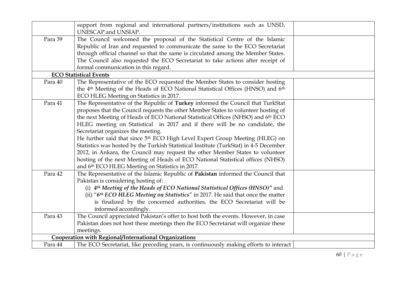|         | support from regional and international partners/institutions such as UNSD,<br>UNESCAP and UNSIAP.                                                                                                                                                                                                                                                                                                                                                                                                                                                                                                                                                                                                                                                                                        |
|---------|-------------------------------------------------------------------------------------------------------------------------------------------------------------------------------------------------------------------------------------------------------------------------------------------------------------------------------------------------------------------------------------------------------------------------------------------------------------------------------------------------------------------------------------------------------------------------------------------------------------------------------------------------------------------------------------------------------------------------------------------------------------------------------------------|
| Para 39 | The Council welcomed the proposal of the Statistical Centre of the Islamic<br>Republic of Iran and requested to communicate the same to the ECO Secretariat<br>through official channel so that the same is circulated among the Member States.<br>The Council also requested the ECO Secretariat to take actions after receipt of<br>formal communication in this regard.                                                                                                                                                                                                                                                                                                                                                                                                                |
|         | <b>ECO Statistical Events</b>                                                                                                                                                                                                                                                                                                                                                                                                                                                                                                                                                                                                                                                                                                                                                             |
| Para 40 | The Representative of the ECO requested the Member States to consider hosting<br>the 4 <sup>th</sup> Meeting of the Heads of ECO National Statistical Offices (HNSO) and 6 <sup>th</sup><br>ECO HLEG Meeting on Statistics in 2017.                                                                                                                                                                                                                                                                                                                                                                                                                                                                                                                                                       |
| Para 41 | The Representative of the Republic of Turkey informed the Council that TurkStat<br>proposes that the Council requests the other Member States to volunteer hosting of<br>the next Meeting of Heads of ECO National Statistical Offices (NHSO) and 6th ECO<br>HLEG meeting on Statistical in 2017 and if there will be no candidate, the<br>Secretariat organizes the meeting.<br>He further said that since 5 <sup>th</sup> ECO High Level Expert Group Meeting (HLEG) on<br>Statistics was hosted by the Turkish Statistical Institute (TurkStat) in 4-5 December<br>2012, in Ankara, the Council may request the other Member States to volunteer<br>hosting of the next Meeting of Heads of ECO National Statistical offices (NHSO)<br>and 6th ECO HLEG Meeting on Statistics in 2017. |
| Para 42 | The Representative of the Islamic Republic of Pakistan informed the Council that<br>Pakistan is considering hosting of:<br>(i) 4th Meeting of the Heads of ECO National Statistical Offices (HNSO)" and<br>(ii) "6th ECO HLEG Meeting on Statistics" in 2017. He said that once the matter<br>is finalized by the concerned authorities, the ECO Secretariat will be<br>informed accordingly.                                                                                                                                                                                                                                                                                                                                                                                             |
| Para 43 | The Council appreciated Pakistan's offer to host both the events. However, in case<br>Pakistan does not host these meetings then the ECO Secretariat will organize these<br>meetings.                                                                                                                                                                                                                                                                                                                                                                                                                                                                                                                                                                                                     |
|         | Cooperation with Regional/International Organizations                                                                                                                                                                                                                                                                                                                                                                                                                                                                                                                                                                                                                                                                                                                                     |
| Para 44 | The ECO Secretariat, like preceding years, is continuously making efforts to interact                                                                                                                                                                                                                                                                                                                                                                                                                                                                                                                                                                                                                                                                                                     |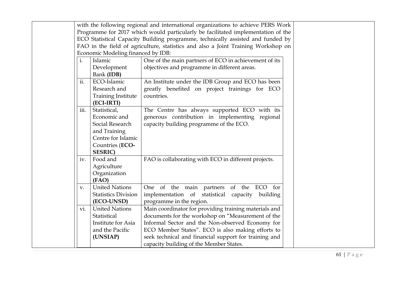|             |                                    | with the following regional and international organizations to achieve PERS Work  |  |
|-------------|------------------------------------|-----------------------------------------------------------------------------------|--|
|             |                                    | Programme for 2017 which would particularly be facilitated implementation of the  |  |
|             |                                    | ECO Statistical Capacity Building programme, technically assisted and funded by   |  |
|             |                                    | FAO in the field of agriculture, statistics and also a Joint Training Workshop on |  |
|             | Economic Modeling financed by IDB: |                                                                                   |  |
| i.          | Islamic                            | One of the main partners of ECO in achievement of its                             |  |
|             | Development                        | objectives and programme in different areas.                                      |  |
|             | Bank (IDB)                         |                                                                                   |  |
| ii.         | ECO-Islamic                        | An Institute under the IDB Group and ECO has been                                 |  |
|             | Research and                       | greatly benefited on project trainings for ECO                                    |  |
|             | <b>Training Institute</b>          | countries.                                                                        |  |
|             | (ECI-IRTI)                         |                                                                                   |  |
| iii.        | Statistical,                       | The Centre has always supported ECO with its                                      |  |
|             | Economic and                       | generous contribution in implementing regional                                    |  |
|             | Social Research                    | capacity building programme of the ECO.                                           |  |
|             | and Training                       |                                                                                   |  |
|             | Centre for Islamic                 |                                                                                   |  |
|             | Countries (ECO-                    |                                                                                   |  |
|             | <b>SESRIC</b> )                    |                                                                                   |  |
| iv.         | Food and                           | FAO is collaborating with ECO in different projects.                              |  |
|             | Agriculture                        |                                                                                   |  |
|             | Organization                       |                                                                                   |  |
|             | (FAO)                              |                                                                                   |  |
| $V_{\cdot}$ | <b>United Nations</b>              | One of the main partners of the ECO for                                           |  |
|             | <b>Statistics Division</b>         | implementation of statistical capacity<br>building                                |  |
|             | (ECO-UNSD)                         | programme in the region.                                                          |  |
| vi.         | <b>United Nations</b>              | Main coordinator for providing training materials and                             |  |
|             | Statistical                        | documents for the workshop on "Measurement of the                                 |  |
|             | Institute for Asia                 | Informal Sector and the Non-observed Economy for                                  |  |
|             | and the Pacific                    | ECO Member States". ECO is also making efforts to                                 |  |
|             | (UNSIAP)                           | seek technical and financial support for training and                             |  |
|             |                                    | capacity building of the Member States.                                           |  |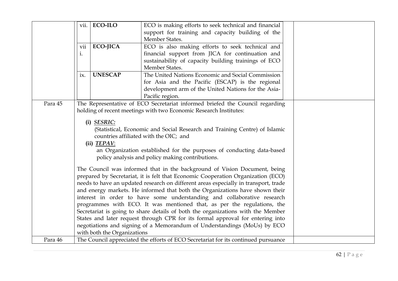|         | vii. ECO-ILO                             | ECO is making efforts to seek technical and financial<br>support for training and capacity building of the<br>Member States.                                                                                                                                                                                                                                                                                                                                                                                                                                                                                                                                                                                                                                                                                                                                                                         |  |
|---------|------------------------------------------|------------------------------------------------------------------------------------------------------------------------------------------------------------------------------------------------------------------------------------------------------------------------------------------------------------------------------------------------------------------------------------------------------------------------------------------------------------------------------------------------------------------------------------------------------------------------------------------------------------------------------------------------------------------------------------------------------------------------------------------------------------------------------------------------------------------------------------------------------------------------------------------------------|--|
|         | <b>ECO-JICA</b><br>vii<br>$\mathbf{i}$ . | ECO is also making efforts to seek technical and<br>financial support from JICA for continuation and<br>sustainability of capacity building trainings of ECO<br>Member States.                                                                                                                                                                                                                                                                                                                                                                                                                                                                                                                                                                                                                                                                                                                       |  |
|         | <b>UNESCAP</b><br>ix.                    | The United Nations Economic and Social Commission<br>for Asia and the Pacific (ESCAP) is the regional<br>development arm of the United Nations for the Asia-<br>Pacific region.                                                                                                                                                                                                                                                                                                                                                                                                                                                                                                                                                                                                                                                                                                                      |  |
| Para 45 | (i) SESRIC:<br>(ii) <b>TEPAV</b> :       | The Representative of ECO Secretariat informed briefed the Council regarding<br>holding of recent meetings with two Economic Research Institutes:<br>(Statistical, Economic and Social Research and Training Centre) of Islamic<br>countries affiliated with the OIC; and<br>an Organization established for the purposes of conducting data-based<br>policy analysis and policy making contributions.<br>The Council was informed that in the background of Vision Document, being<br>prepared by Secretariat, it is felt that Economic Cooperation Organization (ECO)<br>needs to have an updated research on different areas especially in transport, trade<br>and energy markets. He informed that both the Organizations have shown their<br>interest in order to have some understanding and collaborative research<br>programmes with ECO. It was mentioned that, as per the regulations, the |  |
| Para 46 | with both the Organizations              | Secretariat is going to share details of both the organizations with the Member<br>States and later request through CPR for its formal approval for entering into<br>negotiations and signing of a Memorandum of Understandings (MoUs) by ECO<br>The Council appreciated the efforts of ECO Secretariat for its continued pursuance                                                                                                                                                                                                                                                                                                                                                                                                                                                                                                                                                                  |  |
|         |                                          |                                                                                                                                                                                                                                                                                                                                                                                                                                                                                                                                                                                                                                                                                                                                                                                                                                                                                                      |  |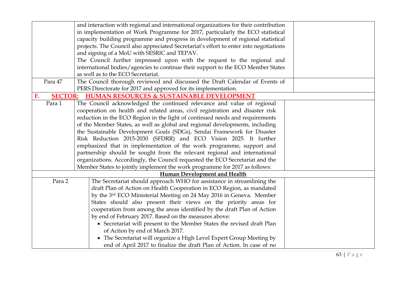|                      | and interaction with regional and international organizations for their contribution   |  |
|----------------------|----------------------------------------------------------------------------------------|--|
|                      | in implementation of Work Programme for 2017, particularly the ECO statistical         |  |
|                      | capacity building programme and progress in development of regional statistical        |  |
|                      | projects. The Council also appreciated Secretariat's effort to enter into negotiations |  |
|                      | and signing of a MoU with SESRIC and TEPAV.                                            |  |
|                      | The Council further impressed upon with the request to the regional and                |  |
|                      | international bodies/agencies to continue their support to the ECO Member States       |  |
|                      | as well as to the ECO Secretariat.                                                     |  |
| Para 47              | The Council thorough reviewed and discussed the Draft Calendar of Events of            |  |
|                      | PERS Directorate for 2017 and approved for its implementation.                         |  |
| <b>SECTOR:</b><br>F. | <b>HUMAN RESOURCES &amp; SUSTAINABLE DEVELOPMENT</b>                                   |  |
| Para 1               | The Council acknowledged the continued relevance and value of regional                 |  |
|                      | cooperation on health and related areas, civil registration and disaster risk          |  |
|                      | reduction in the ECO Region in the light of continued needs and requirements           |  |
|                      | of the Member States, as well as global and regional developments, including           |  |
|                      | the Sustainable Development Goals (SDGs), Sendai Framework for Disaster                |  |
|                      | Risk Reduction 2015-2030 (SFDRR) and ECO Vision 2025. It further                       |  |
|                      | emphasized that in implementation of the work programme, support and                   |  |
|                      | partnership should be sought from the relevant regional and international              |  |
|                      | organizations. Accordingly, the Council requested the ECO Secretariat and the          |  |
|                      | Member States to jointly implement the work programme for 2017 as follows:             |  |
|                      | Human Development and Health                                                           |  |
| Para 2               | The Secretariat should approach WHO for assistance in streamlining the                 |  |
|                      | draft Plan of Action on Health Cooperation in ECO Region, as mandated                  |  |
|                      | by the 3rd ECO Ministerial Meeting on 24 May 2016 in Geneva. Member                    |  |
|                      | States should also present their views on the priority areas for                       |  |
|                      | cooperation from among the areas identified by the draft Plan of Action                |  |
|                      | by end of February 2017. Based on the measures above:                                  |  |
|                      | • Secretariat will present to the Member States the revised draft Plan                 |  |
|                      | of Action by end of March 2017.                                                        |  |
|                      | • The Secretariat will organize a High Level Expert Group Meeting by                   |  |
|                      | end of April 2017 to finalize the draft Plan of Action. In case of no                  |  |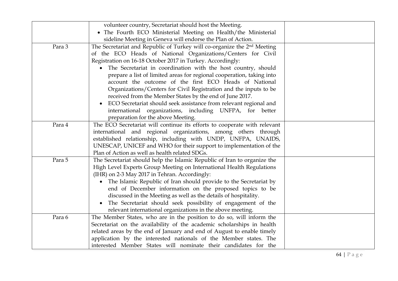|        | volunteer country, Secretariat should host the Meeting.                             |  |
|--------|-------------------------------------------------------------------------------------|--|
|        | • The Fourth ECO Ministerial Meeting on Health/the Ministerial                      |  |
|        | sideline Meeting in Geneva will endorse the Plan of Action.                         |  |
| Para 3 | The Secretariat and Republic of Turkey will co-organize the 2 <sup>nd</sup> Meeting |  |
|        | of the ECO Heads of National Organizations/Centers for Civil                        |  |
|        | Registration on 16-18 October 2017 in Turkey. Accordingly:                          |  |
|        | The Secretariat in coordination with the host country, should                       |  |
|        | prepare a list of limited areas for regional cooperation, taking into               |  |
|        | account the outcome of the first ECO Heads of National                              |  |
|        | Organizations/Centers for Civil Registration and the inputs to be                   |  |
|        | received from the Member States by the end of June 2017.                            |  |
|        | ECO Secretariat should seek assistance from relevant regional and<br>$\bullet$      |  |
|        | international organizations, including UNFPA, for better                            |  |
|        | preparation for the above Meeting.                                                  |  |
| Para 4 | The ECO Secretariat will continue its efforts to cooperate with relevant            |  |
|        | international and regional organizations, among others through                      |  |
|        | established relationship, including with UNDP, UNFPA, UNAIDS,                       |  |
|        | UNESCAP, UNICEF and WHO for their support to implementation of the                  |  |
|        | Plan of Action as well as health related SDGs.                                      |  |
| Para 5 | The Secretariat should help the Islamic Republic of Iran to organize the            |  |
|        | High Level Experts Group Meeting on International Health Regulations                |  |
|        | (IHR) on 2-3 May 2017 in Tehran. Accordingly:                                       |  |
|        | The Islamic Republic of Iran should provide to the Secretariat by                   |  |
|        | end of December information on the proposed topics to be                            |  |
|        | discussed in the Meeting as well as the details of hospitality.                     |  |
|        | The Secretariat should seek possibility of engagement of the                        |  |
|        | relevant international organizations in the above meeting.                          |  |
| Para 6 | The Member States, who are in the position to do so, will inform the                |  |
|        | Secretariat on the availability of the academic scholarships in health              |  |
|        | related areas by the end of January and end of August to enable timely              |  |
|        | application by the interested nationals of the Member states. The                   |  |
|        | interested Member States will nominate their candidates for the                     |  |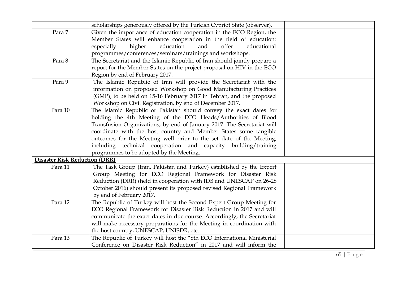|                                      | scholarships generously offered by the Turkish Cypriot State (observer).  |  |
|--------------------------------------|---------------------------------------------------------------------------|--|
| Para 7                               | Given the importance of education cooperation in the ECO Region, the      |  |
|                                      | Member States will enhance cooperation in the field of education:         |  |
|                                      | especially<br>education<br>educational<br>higher<br>and<br>offer          |  |
|                                      | programmes/conferences/seminars/trainings and workshops.                  |  |
| Para 8                               | The Secretariat and the Islamic Republic of Iran should jointly prepare a |  |
|                                      | report for the Member States on the project proposal on HIV in the ECO    |  |
|                                      | Region by end of February 2017.                                           |  |
| Para 9                               | The Islamic Republic of Iran will provide the Secretariat with the        |  |
|                                      | information on proposed Workshop on Good Manufacturing Practices          |  |
|                                      | (GMP), to be held on 15-16 February 2017 in Tehran, and the proposed      |  |
|                                      | Workshop on Civil Registration, by end of December 2017.                  |  |
| Para 10                              | The Islamic Republic of Pakistan should convey the exact dates for        |  |
|                                      | holding the 4th Meeting of the ECO Heads/Authorities of Blood             |  |
|                                      | Transfusion Organizations, by end of January 2017. The Secretariat will   |  |
|                                      | coordinate with the host country and Member States some tangible          |  |
|                                      | outcomes for the Meeting well prior to the set date of the Meeting,       |  |
|                                      | including technical cooperation and capacity building/training            |  |
|                                      | programmes to be adopted by the Meeting.                                  |  |
| <b>Disaster Risk Reduction (DRR)</b> |                                                                           |  |
| Para 11                              | The Task Group (Iran, Pakistan and Turkey) established by the Expert      |  |
|                                      | Group Meeting for ECO Regional Framework for Disaster Risk                |  |
|                                      | Reduction (DRR) (held in cooperation with IDB and UNESCAP on 26-28        |  |
|                                      | October 2016) should present its proposed revised Regional Framework      |  |
|                                      | by end of February 2017.                                                  |  |
| Para 12                              | The Republic of Turkey will host the Second Expert Group Meeting for      |  |
|                                      | ECO Regional Framework for Disaster Risk Reduction in 2017 and will       |  |
|                                      | communicate the exact dates in due course. Accordingly, the Secretariat   |  |
|                                      | will make necessary preparations for the Meeting in coordination with     |  |
|                                      | the host country, UNESCAP, UNISDR, etc.                                   |  |
| Para 13                              | The Republic of Turkey will host the "8th ECO International Ministerial   |  |
|                                      | Conference on Disaster Risk Reduction" in 2017 and will inform the        |  |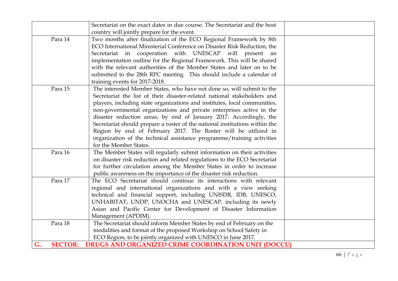|                      | Secretariat on the exact dates in due course. The Secretariat and the host  |
|----------------------|-----------------------------------------------------------------------------|
|                      | country will jointly prepare for the event.                                 |
| Para 14              | Two months after finalization of the ECO Regional Framework by 8th          |
|                      | ECO International Ministerial Conference on Disaster Risk Reduction, the    |
|                      | Secretariat in cooperation with UNESCAP will present an                     |
|                      | implementation outline for the Regional Framework. This will be shared      |
|                      | with the relevant authorities of the Member States and later on to be       |
|                      | submitted to the 28th RPC meeting. This should include a calendar of        |
|                      | training events for 2017-2018.                                              |
| Para 15              | The interested Member States, who have not done so, will submit to the      |
|                      | Secretariat the list of their disaster-related national stakeholders and    |
|                      | players, including state organizations and institutes, local communities,   |
|                      | non-governmental organizations and private enterprises active in the        |
|                      | disaster reduction areas, by end of January 2017. Accordingly, the          |
|                      | Secretariat should prepare a roster of the national institutions within the |
|                      | Region by end of February 2017. The Roster will be utilized in              |
|                      | organization of the technical assistance programme/training activities      |
|                      | for the Member States.                                                      |
| Para 16              | The Member States will regularly submit information on their activities     |
|                      | on disaster risk reduction and related regulations to the ECO Secretariat   |
|                      | for further circulation among the Member States in order to increase        |
|                      | public awareness on the importance of the disaster risk reduction.          |
| Para 17              | The ECO Secretariat should continue its interactions with relevant          |
|                      | regional and international organizations and with a view seeking            |
|                      | technical and financial support, including UNISDR, IDB, UNESCO,             |
|                      | UNHABITAT, UNDP, UNOCHA and UNESCAP, including its newly                    |
|                      | Asian and Pacific Center for Development of Disaster Information            |
|                      | Management (APDIM).                                                         |
| Para 18              | The Secretariat should inform Member States by end of February on the       |
|                      | modalities and format of the proposed Workshop on School Safety in          |
|                      | ECO Region, to be jointly organized with UNESCO in June 2017.               |
| G.<br><b>SECTOR:</b> | <b>DRUGS AND ORGANIZED CRIME COORDINATION UNIT (DOCCU)</b>                  |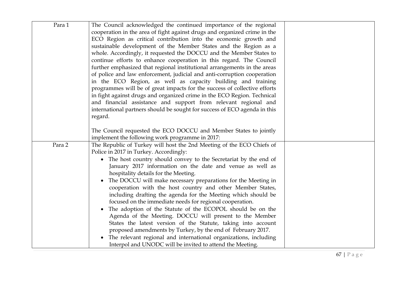| Para 1 | The Council acknowledged the continued importance of the regional<br>cooperation in the area of fight against drugs and organized crime in the<br>ECO Region as critical contribution into the economic growth and<br>sustainable development of the Member States and the Region as a<br>whole. Accordingly, it requested the DOCCU and the Member States to<br>continue efforts to enhance cooperation in this regard. The Council<br>further emphasized that regional institutional arrangements in the areas<br>of police and law enforcement, judicial and anti-corruption cooperation<br>in the ECO Region, as well as capacity building and training<br>programmes will be of great impacts for the success of collective efforts<br>in fight against drugs and organized crime in the ECO Region. Technical<br>and financial assistance and support from relevant regional and<br>international partners should be sought for success of ECO agenda in this<br>regard. |
|--------|--------------------------------------------------------------------------------------------------------------------------------------------------------------------------------------------------------------------------------------------------------------------------------------------------------------------------------------------------------------------------------------------------------------------------------------------------------------------------------------------------------------------------------------------------------------------------------------------------------------------------------------------------------------------------------------------------------------------------------------------------------------------------------------------------------------------------------------------------------------------------------------------------------------------------------------------------------------------------------|
|        | The Council requested the ECO DOCCU and Member States to jointly                                                                                                                                                                                                                                                                                                                                                                                                                                                                                                                                                                                                                                                                                                                                                                                                                                                                                                               |
|        | implement the following work programme in 2017:                                                                                                                                                                                                                                                                                                                                                                                                                                                                                                                                                                                                                                                                                                                                                                                                                                                                                                                                |
| Para 2 | The Republic of Turkey will host the 2nd Meeting of the ECO Chiefs of<br>Police in 2017 in Turkey. Accordingly:                                                                                                                                                                                                                                                                                                                                                                                                                                                                                                                                                                                                                                                                                                                                                                                                                                                                |
|        | • The host country should convey to the Secretariat by the end of<br>January 2017 information on the date and venue as well as<br>hospitality details for the Meeting.<br>The DOCCU will make necessary preparations for the Meeting in<br>$\bullet$                                                                                                                                                                                                                                                                                                                                                                                                                                                                                                                                                                                                                                                                                                                           |
|        | cooperation with the host country and other Member States,<br>including drafting the agenda for the Meeting which should be<br>focused on the immediate needs for regional cooperation.                                                                                                                                                                                                                                                                                                                                                                                                                                                                                                                                                                                                                                                                                                                                                                                        |
|        | The adoption of the Statute of the ECOPOL should be on the<br>$\bullet$<br>Agenda of the Meeting. DOCCU will present to the Member<br>States the latest version of the Statute, taking into account<br>proposed amendments by Turkey, by the end of February 2017.<br>The relevant regional and international organizations, including<br>$\bullet$                                                                                                                                                                                                                                                                                                                                                                                                                                                                                                                                                                                                                            |
|        | Interpol and UNODC will be invited to attend the Meeting.                                                                                                                                                                                                                                                                                                                                                                                                                                                                                                                                                                                                                                                                                                                                                                                                                                                                                                                      |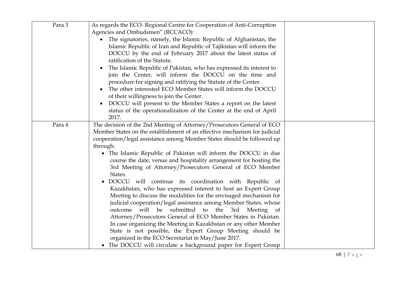| Para 3 | As regards the ECO- Regional Centre for Cooperation of Anti-Corruption<br>Agencies and Ombudsmen" (RCCACO):<br>The signatories, namely, the Islamic Republic of Afghanistan, the<br>$\bullet$<br>Islamic Republic of Iran and Republic of Tajikistan will inform the<br>DOCCU by the end of February 2017 about the latest status of<br>ratification of the Statute.<br>The Islamic Republic of Pakistan, who has expressed its interest to<br>join the Center, will inform the DOCCU on the time and<br>procedure for signing and ratifying the Statute of the Center.<br>The other interested ECO Member States will inform the DOCCU<br>of their willingness to join the Center.<br>DOCCU will present to the Member States a report on the latest<br>status of the operationalization of the Center at the end of April                                                                                                                                                                                                                                                                                               |  |
|--------|---------------------------------------------------------------------------------------------------------------------------------------------------------------------------------------------------------------------------------------------------------------------------------------------------------------------------------------------------------------------------------------------------------------------------------------------------------------------------------------------------------------------------------------------------------------------------------------------------------------------------------------------------------------------------------------------------------------------------------------------------------------------------------------------------------------------------------------------------------------------------------------------------------------------------------------------------------------------------------------------------------------------------------------------------------------------------------------------------------------------------|--|
|        | 2017.                                                                                                                                                                                                                                                                                                                                                                                                                                                                                                                                                                                                                                                                                                                                                                                                                                                                                                                                                                                                                                                                                                                     |  |
| Para 4 | The decision of the 2nd Meeting of Attorney/Prosecutors General of ECO<br>Member States on the establishment of an effective mechanism for judicial<br>cooperation/legal assistance among Member States should be followed up<br>through:<br>• The Islamic Republic of Pakistan will inform the DOCCU in due<br>course the date, venue and hospitality arrangement for hosting the<br>3rd Meeting of Attorney/Prosecutors General of ECO Member<br>States.<br>DOCCU will continue its coordination with Republic of<br>$\bullet$<br>Kazakhstan, who has expressed interest to host an Expert Group<br>Meeting to discuss the modalities for the envisaged mechanism for<br>judicial cooperation/legal assistance among Member States, whose<br>outcome will be submitted to the 3rd Meeting of<br>Attorney/Prosecutors General of ECO Member States in Pakistan.<br>In case organizing the Meeting in Kazakhstan or any other Member<br>State is not possible, the Expert Group Meeting should be<br>organized in the ECO Secretariat in May/June 2017.<br>• The DOCCU will circulate a background paper for Expert Group |  |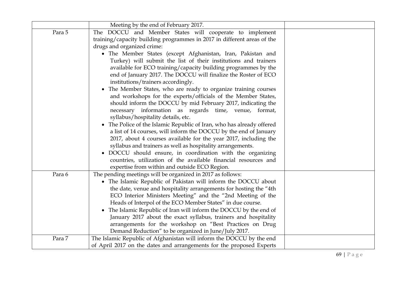|        | Meeting by the end of February 2017.                                                                                                                  |  |
|--------|-------------------------------------------------------------------------------------------------------------------------------------------------------|--|
| Para 5 | The DOCCU and Member States will cooperate to implement                                                                                               |  |
|        | training/capacity building programmes in 2017 in different areas of the                                                                               |  |
|        | drugs and organized crime:                                                                                                                            |  |
|        | • The Member States (except Afghanistan, Iran, Pakistan and                                                                                           |  |
|        | Turkey) will submit the list of their institutions and trainers                                                                                       |  |
|        | available for ECO training/capacity building programmes by the                                                                                        |  |
|        | end of January 2017. The DOCCU will finalize the Roster of ECO                                                                                        |  |
|        | institutions/trainers accordingly.                                                                                                                    |  |
|        | The Member States, who are ready to organize training courses<br>$\bullet$                                                                            |  |
|        | and workshops for the experts/officials of the Member States,                                                                                         |  |
|        | should inform the DOCCU by mid February 2017, indicating the                                                                                          |  |
|        | necessary information as regards time, venue, format,                                                                                                 |  |
|        | syllabus/hospitality details, etc.                                                                                                                    |  |
|        | The Police of the Islamic Republic of Iran, who has already offered<br>$\bullet$<br>a list of 14 courses, will inform the DOCCU by the end of January |  |
|        | 2017, about 4 courses available for the year 2017, including the                                                                                      |  |
|        | syllabus and trainers as well as hospitality arrangements.                                                                                            |  |
|        | DOCCU should ensure, in coordination with the organizing                                                                                              |  |
|        | countries, utilization of the available financial resources and                                                                                       |  |
|        | expertise from within and outside ECO Region.                                                                                                         |  |
| Para 6 | The pending meetings will be organized in 2017 as follows:                                                                                            |  |
|        | • The Islamic Republic of Pakistan will inform the DOCCU about                                                                                        |  |
|        | the date, venue and hospitality arrangements for hosting the "4th                                                                                     |  |
|        | ECO Interior Ministers Meeting" and the "2nd Meeting of the                                                                                           |  |
|        | Heads of Interpol of the ECO Member States" in due course.                                                                                            |  |
|        | The Islamic Republic of Iran will inform the DOCCU by the end of<br>$\bullet$                                                                         |  |
|        | January 2017 about the exact syllabus, trainers and hospitality                                                                                       |  |
|        | arrangements for the workshop on "Best Practices on Drug                                                                                              |  |
|        | Demand Reduction" to be organized in June/July 2017.                                                                                                  |  |
| Para 7 | The Islamic Republic of Afghanistan will inform the DOCCU by the end                                                                                  |  |
|        | of April 2017 on the dates and arrangements for the proposed Experts                                                                                  |  |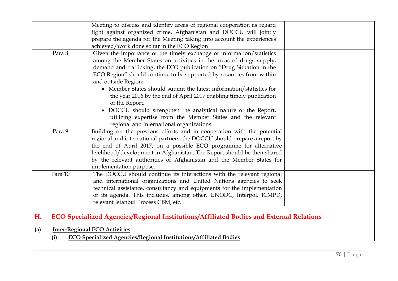|     |         | Meeting to discuss and identify areas of regional cooperation as regard                        |
|-----|---------|------------------------------------------------------------------------------------------------|
|     |         | fight against organized crime. Afghanistan and DOCCU will jointly                              |
|     |         | prepare the agenda for the Meeting taking into account the experiences                         |
|     |         | achieved/work done so far in the ECO Region                                                    |
|     | Para 8  | Given the importance of the timely exchange of information/statistics                          |
|     |         | among the Member States on activities in the areas of drugs supply,                            |
|     |         | demand and trafficking, the ECO publication on "Drug Situation in the                          |
|     |         | ECO Region" should continue to be supported by resources from within                           |
|     |         | and outside Region:                                                                            |
|     |         | • Member States should submit the latest information/statistics for                            |
|     |         | the year 2016 by the end of April 2017 enabling timely publication                             |
|     |         | of the Report.                                                                                 |
|     |         | • DOCCU should strengthen the analytical nature of the Report,                                 |
|     |         | utilizing expertise from the Member States and the relevant                                    |
|     |         | regional and international organizations.                                                      |
|     | Para 9  | Building on the previous efforts and in cooperation with the potential                         |
|     |         | regional and international partners, the DOCCU should prepare a report by                      |
|     |         | the end of April 2017, on a possible ECO programme for alternative                             |
|     |         | livelihood/development in Afghanistan. The Report should be then shared                        |
|     |         | by the relevant authorities of Afghanistan and the Member States for                           |
|     |         | implementation purpose.                                                                        |
|     | Para 10 | The DOCCU should continue its interactions with the relevant regional                          |
|     |         | and international organizations and United Nations agencies to seek                            |
|     |         | technical assistance, consultancy and equipments for the implementation                        |
|     |         | of its agenda. This includes, among other, UNODC, Interpol, ICMPD,                             |
|     |         | relevant Istanbul Process CBM, etc.                                                            |
|     |         |                                                                                                |
| Н.  |         | <b>ECO Specialized Agencies/Regional Institutions/Affiliated Bodies and External Relations</b> |
| (a) |         | <b>Inter-Regional ECO Activities</b>                                                           |
|     | (i)     | <b>ECO Specialized Agencies/Regional Institutions/Affiliated Bodies</b>                        |
|     |         |                                                                                                |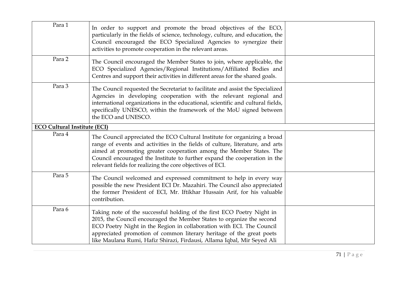| Para 1                              | In order to support and promote the broad objectives of the ECO,<br>particularly in the fields of science, technology, culture, and education, the<br>Council encouraged the ECO Specialized Agencies to synergize their<br>activities to promote cooperation in the relevant areas.                                                                                        |  |
|-------------------------------------|-----------------------------------------------------------------------------------------------------------------------------------------------------------------------------------------------------------------------------------------------------------------------------------------------------------------------------------------------------------------------------|--|
| Para 2                              | The Council encouraged the Member States to join, where applicable, the<br>ECO Specialized Agencies/Regional Institutions/Affiliated Bodies and<br>Centres and support their activities in different areas for the shared goals.                                                                                                                                            |  |
| Para 3                              | The Council requested the Secretariat to facilitate and assist the Specialized<br>Agencies in developing cooperation with the relevant regional and<br>international organizations in the educational, scientific and cultural fields,<br>specifically UNESCO, within the framework of the MoU signed between<br>the ECO and UNESCO.                                        |  |
| <b>ECO Cultural Institute (ECI)</b> |                                                                                                                                                                                                                                                                                                                                                                             |  |
| Para 4                              | The Council appreciated the ECO Cultural Institute for organizing a broad<br>range of events and activities in the fields of culture, literature, and arts<br>aimed at promoting greater cooperation among the Member States. The<br>Council encouraged the Institute to further expand the cooperation in the<br>relevant fields for realizing the core objectives of ECI. |  |
| Para 5                              | The Council welcomed and expressed commitment to help in every way<br>possible the new President ECI Dr. Mazahiri. The Council also appreciated<br>the former President of ECI, Mr. Iftikhar Hussain Arif, for his valuable<br>contribution.                                                                                                                                |  |
| Para 6                              | Taking note of the successful holding of the first ECO Poetry Night in<br>2015, the Council encouraged the Member States to organize the second<br>ECO Poetry Night in the Region in collaboration with ECI. The Council<br>appreciated promotion of common literary heritage of the great poets<br>like Maulana Rumi, Hafiz Shirazi, Firdausi, Allama Iqbal, Mir Seyed Ali |  |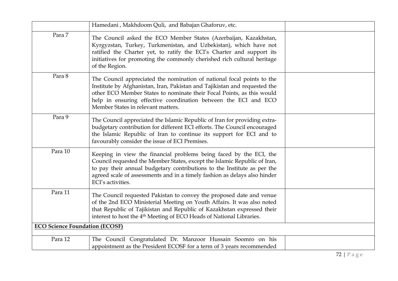|                                       | Hamedani, Makhdoom Quli, and Babajan Ghaforuv, etc.                                                                                                                                                                                                                                                                                   |  |
|---------------------------------------|---------------------------------------------------------------------------------------------------------------------------------------------------------------------------------------------------------------------------------------------------------------------------------------------------------------------------------------|--|
| Para 7                                | The Council asked the ECO Member States (Azerbaijan, Kazakhstan,<br>Kyrgyzstan, Turkey, Turkmenistan, and Uzbekistan), which have not<br>ratified the Charter yet, to ratify the ECI's Charter and support its<br>initiatives for promoting the commonly cherished rich cultural heritage<br>of the Region.                           |  |
| Para 8                                | The Council appreciated the nomination of national focal points to the<br>Institute by Afghanistan, Iran, Pakistan and Tajikistan and requested the<br>other ECO Member States to nominate their Focal Points, as this would<br>help in ensuring effective coordination between the ECI and ECO<br>Member States in relevant matters. |  |
| Para 9                                | The Council appreciated the Islamic Republic of Iran for providing extra-<br>budgetary contribution for different ECI efforts. The Council encouraged<br>the Islamic Republic of Iran to continue its support for ECI and to<br>favourably consider the issue of ECI Premises.                                                        |  |
| Para 10                               | Keeping in view the financial problems being faced by the ECI, the<br>Council requested the Member States, except the Islamic Republic of Iran,<br>to pay their annual budgetary contributions to the Institute as per the<br>agreed scale of assessments and in a timely fashion as delays also hinder<br>ECI's activities.          |  |
| Para 11                               | The Council requested Pakistan to convey the proposed date and venue<br>of the 2nd ECO Ministerial Meeting on Youth Affairs. It was also noted<br>that Republic of Tajikistan and Republic of Kazakhstan expressed their<br>interest to host the 4 <sup>th</sup> Meeting of ECO Heads of National Libraries.                          |  |
| <b>ECO Science Foundation (ECOSF)</b> |                                                                                                                                                                                                                                                                                                                                       |  |
| Para 12                               | The Council Congratulated Dr. Manzoor Hussain Soomro on his<br>appointment as the President ECOSF for a term of 3 years recommended                                                                                                                                                                                                   |  |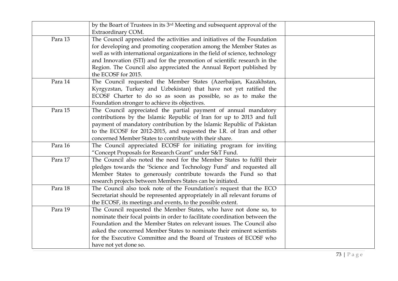|         | by the Boart of Trustees in its 3 <sup>rd</sup> Meeting and subsequent approval of the<br>Extraordinary COM.                                                                                                                                                                                                                                                                                              |  |
|---------|-----------------------------------------------------------------------------------------------------------------------------------------------------------------------------------------------------------------------------------------------------------------------------------------------------------------------------------------------------------------------------------------------------------|--|
| Para 13 | The Council appreciated the activities and initiatives of the Foundation<br>for developing and promoting cooperation among the Member States as<br>well as with international organizations in the field of science, technology<br>and Innovation (STI) and for the promotion of scientific research in the<br>Region. The Council also appreciated the Annual Report published by<br>the ECOSF for 2015. |  |
| Para 14 | The Council requested the Member States (Azerbaijan, Kazakhstan,<br>Kyrgyzstan, Turkey and Uzbekistan) that have not yet ratified the<br>ECOSF Charter to do so as soon as possible, so as to make the<br>Foundation stronger to achieve its objectives.                                                                                                                                                  |  |
| Para 15 | The Council appreciated the partial payment of annual mandatory<br>contributions by the Islamic Republic of Iran for up to 2013 and full<br>payment of mandatory contribution by the Islamic Republic of Pakistan<br>to the ECOSF for 2012-2015, and requested the I.R. of Iran and other<br>concerned Member States to contribute with their share.                                                      |  |
| Para 16 | The Council appreciated ECOSF for initiating program for inviting<br>"Concept Proposals for Research Grant" under S&T Fund.                                                                                                                                                                                                                                                                               |  |
| Para 17 | The Council also noted the need for the Member States to fulfil their<br>pledges towards the 'Science and Technology Fund' and requested all<br>Member States to generously contribute towards the Fund so that<br>research projects between Members States can be initiated.                                                                                                                             |  |
| Para 18 | The Council also took note of the Foundation's request that the ECO<br>Secretariat should be represented appropriately in all relevant forums of<br>the ECOSF, its meetings and events, to the possible extent.                                                                                                                                                                                           |  |
| Para 19 | The Council requested the Member States, who have not done so, to<br>nominate their focal points in order to facilitate coordination between the<br>Foundation and the Member States on relevant issues. The Council also<br>asked the concerned Member States to nominate their eminent scientists<br>for the Executive Committee and the Board of Trustees of ECOSF who<br>have not yet done so.        |  |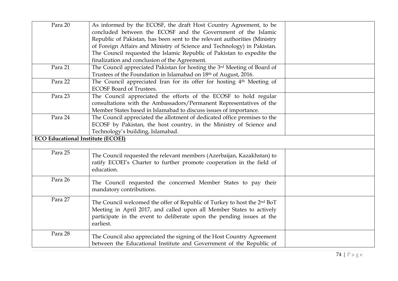| Para 20                                  | As informed by the ECOSF, the draft Host Country Agreement, to be                    |  |
|------------------------------------------|--------------------------------------------------------------------------------------|--|
|                                          | concluded between the ECOSF and the Government of the Islamic                        |  |
|                                          | Republic of Pakistan, has been sent to the relevant authorities (Ministry            |  |
|                                          | of Foreign Affairs and Ministry of Science and Technology) in Pakistan.              |  |
|                                          | The Council requested the Islamic Republic of Pakistan to expedite the               |  |
|                                          | finalization and conclusion of the Agreement.                                        |  |
| Para 21                                  | The Council appreciated Pakistan for hosting the 3rd Meeting of Board of             |  |
|                                          | Trustees of the Foundation in Islamabad on 18th of August, 2016.                     |  |
| Para 22                                  | The Council appreciated Iran for its offer for hosting 4 <sup>th</sup> Meeting of    |  |
|                                          | <b>ECOSF Board of Trustees.</b>                                                      |  |
| Para 23                                  | The Council appreciated the efforts of the ECOSF to hold regular                     |  |
|                                          | consultations with the Ambassadors/Permanent Representatives of the                  |  |
|                                          | Member States based in Islamabad to discuss issues of importance.                    |  |
| Para 24                                  | The Council appreciated the allotment of dedicated office premises to the            |  |
|                                          | ECOSF by Pakistan, the host country, in the Ministry of Science and                  |  |
|                                          | Technology's building, Islamabad.                                                    |  |
| <b>ECO Educational Institute (ECOEI)</b> |                                                                                      |  |
|                                          |                                                                                      |  |
| Para 25                                  | The Council requested the relevant members (Azerbaijan, Kazakhstan) to               |  |
|                                          | ratify ECOEI's Charter to further promote cooperation in the field of                |  |
|                                          | education.                                                                           |  |
|                                          |                                                                                      |  |
| Para 26                                  | The Council requested the concerned Member States to pay their                       |  |
|                                          | mandatory contributions.                                                             |  |
|                                          |                                                                                      |  |
| Para 27                                  | The Council welcomed the offer of Republic of Turkey to host the 2 <sup>nd</sup> BoT |  |
|                                          | Meeting in April 2017, and called upon all Member States to actively                 |  |
|                                          | participate in the event to deliberate upon the pending issues at the                |  |
|                                          | earliest.                                                                            |  |
| Para 28                                  |                                                                                      |  |
|                                          | The Council also appreciated the signing of the Host Country Agreement               |  |
|                                          | between the Educational Institute and Government of the Republic of                  |  |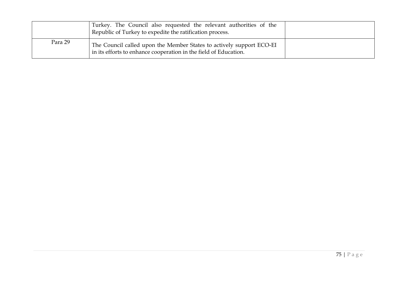|         | Turkey. The Council also requested the relevant authorities of the<br>Republic of Turkey to expedite the ratification process.           |  |
|---------|------------------------------------------------------------------------------------------------------------------------------------------|--|
| Para 29 | The Council called upon the Member States to actively support ECO-EI<br>in its efforts to enhance cooperation in the field of Education. |  |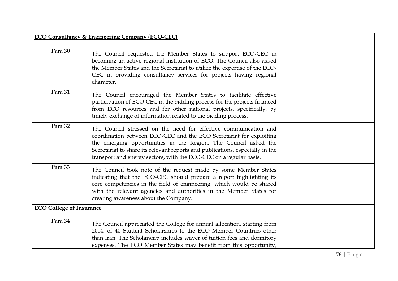|                                 | <b>ECO Consultancy &amp; Engineering Company (ECO-CEC)</b>                                                                                                                                                                                                                                                                                                        |
|---------------------------------|-------------------------------------------------------------------------------------------------------------------------------------------------------------------------------------------------------------------------------------------------------------------------------------------------------------------------------------------------------------------|
| Para 30                         | The Council requested the Member States to support ECO-CEC in<br>becoming an active regional institution of ECO. The Council also asked<br>the Member States and the Secretariat to utilize the expertise of the ECO-<br>CEC in providing consultancy services for projects having regional<br>character.                                                         |
| Para 31                         | The Council encouraged the Member States to facilitate effective<br>participation of ECO-CEC in the bidding process for the projects financed<br>from ECO resources and for other national projects, specifically, by<br>timely exchange of information related to the bidding process.                                                                           |
| Para 32                         | The Council stressed on the need for effective communication and<br>coordination between ECO-CEC and the ECO Secretariat for exploiting<br>the emerging opportunities in the Region. The Council asked the<br>Secretariat to share its relevant reports and publications, especially in the<br>transport and energy sectors, with the ECO-CEC on a regular basis. |
| Para 33                         | The Council took note of the request made by some Member States<br>indicating that the ECO-CEC should prepare a report highlighting its<br>core competencies in the field of engineering, which would be shared<br>with the relevant agencies and authorities in the Member States for<br>creating awareness about the Company.                                   |
| <b>ECO College of Insurance</b> |                                                                                                                                                                                                                                                                                                                                                                   |
| Para 34                         | The Council appreciated the College for annual allocation, starting from<br>2014, of 40 Student Scholarships to the ECO Member Countries other<br>than Iran. The Scholarship includes waver of tuition fees and dormitory<br>expenses. The ECO Member States may benefit from this opportunity,                                                                   |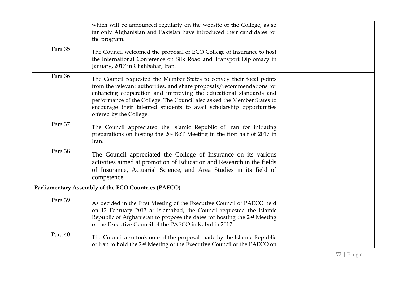|         | which will be announced regularly on the website of the College, as so<br>far only Afghanistan and Pakistan have introduced their candidates for<br>the program.                                                                                                                                                                                                                                  |  |
|---------|---------------------------------------------------------------------------------------------------------------------------------------------------------------------------------------------------------------------------------------------------------------------------------------------------------------------------------------------------------------------------------------------------|--|
| Para 35 | The Council welcomed the proposal of ECO College of Insurance to host<br>the International Conference on Silk Road and Transport Diplomacy in<br>January, 2017 in Chahbahar, Iran.                                                                                                                                                                                                                |  |
| Para 36 | The Council requested the Member States to convey their focal points<br>from the relevant authorities, and share proposals/recommendations for<br>enhancing cooperation and improving the educational standards and<br>performance of the College. The Council also asked the Member States to<br>encourage their talented students to avail scholarship opportunities<br>offered by the College. |  |
| Para 37 | The Council appreciated the Islamic Republic of Iran for initiating<br>preparations on hosting the 2 <sup>nd</sup> BoT Meeting in the first half of 2017 in<br>Iran.                                                                                                                                                                                                                              |  |
| Para 38 | The Council appreciated the College of Insurance on its various<br>activities aimed at promotion of Education and Research in the fields<br>of Insurance, Actuarial Science, and Area Studies in its field of<br>competence.                                                                                                                                                                      |  |
|         | Parliamentary Assembly of the ECO Countries (PAECO)                                                                                                                                                                                                                                                                                                                                               |  |
| Para 39 | As decided in the First Meeting of the Executive Council of PAECO held<br>on 12 February 2013 at Islamabad, the Council requested the Islamic<br>Republic of Afghanistan to propose the dates for hosting the 2 <sup>nd</sup> Meeting<br>of the Executive Council of the PAECO in Kabul in 2017.                                                                                                  |  |
| Para 40 | The Council also took note of the proposal made by the Islamic Republic<br>of Iran to hold the 2 <sup>nd</sup> Meeting of the Executive Council of the PAECO on                                                                                                                                                                                                                                   |  |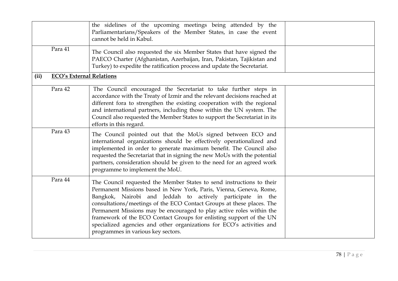|         | the sidelines of the upcoming meetings being attended by the<br>Parliamentarians/Speakers of the Member States, in case the event<br>cannot be held in Kabul.                                                                                                                                                                                                                                                                                                                                                                                    |  |
|---------|--------------------------------------------------------------------------------------------------------------------------------------------------------------------------------------------------------------------------------------------------------------------------------------------------------------------------------------------------------------------------------------------------------------------------------------------------------------------------------------------------------------------------------------------------|--|
| Para 41 | The Council also requested the six Member States that have signed the<br>PAECO Charter (Afghanistan, Azerbaijan, Iran, Pakistan, Tajikistan and<br>Turkey) to expedite the ratification process and update the Secretariat.                                                                                                                                                                                                                                                                                                                      |  |
| (ii)    | <b>ECO's External Relations</b>                                                                                                                                                                                                                                                                                                                                                                                                                                                                                                                  |  |
| Para 42 | The Council encouraged the Secretariat to take further steps in<br>accordance with the Treaty of Izmir and the relevant decisions reached at<br>different fora to strengthen the existing cooperation with the regional<br>and international partners, including those within the UN system. The<br>Council also requested the Member States to support the Secretariat in its<br>efforts in this regard.                                                                                                                                        |  |
| Para 43 | The Council pointed out that the MoUs signed between ECO and<br>international organizations should be effectively operationalized and<br>implemented in order to generate maximum benefit. The Council also<br>requested the Secretariat that in signing the new MoUs with the potential<br>partners, consideration should be given to the need for an agreed work<br>programme to implement the MoU.                                                                                                                                            |  |
| Para 44 | The Council requested the Member States to send instructions to their<br>Permanent Missions based in New York, Paris, Vienna, Geneva, Rome,<br>Bangkok, Nairobi and Jeddah to actively participate in the<br>consultations/meetings of the ECO Contact Groups at these places. The<br>Permanent Missions may be encouraged to play active roles within the<br>framework of the ECO Contact Groups for enlisting support of the UN<br>specialized agencies and other organizations for ECO's activities and<br>programmes in various key sectors. |  |